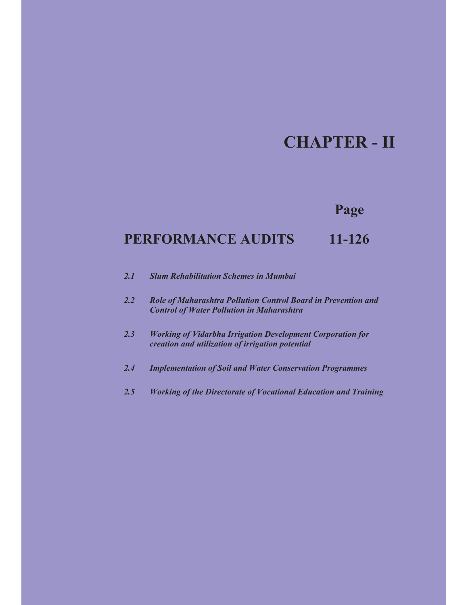# **CHAPTER - II**

# **Page**

# **PERFORMANCE AUDITS** 11-126

| 2.1 |  | <b>Slum Rehabilitation Schemes in Mumbai</b> |  |  |
|-----|--|----------------------------------------------|--|--|
|-----|--|----------------------------------------------|--|--|

- *2.2 Role of Maharashtra Pollution Control Board in Prevention and Control of Water Pollution in Maharashtra*
- *2.3 Working of Vidarbha Irrigation Development Corporation for creation and utilization of irrigation potential*
- *2.4 Implementation of Soil and Water Conservation Programmes*
- *2.5 Working of the Directorate of Vocational Education and Training*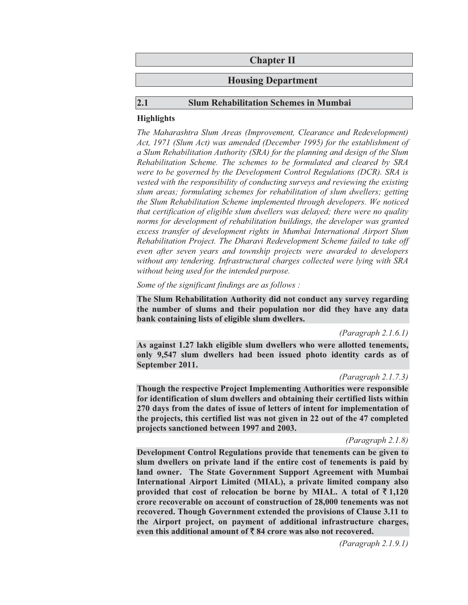| <b>Chapter II</b>         |
|---------------------------|
| <b>Housing Department</b> |
|                           |

#### **2.1 Slum Rehabilitation Schemes in Mumbai**

#### **Highlights**

*The Maharashtra Slum Areas (Improvement, Clearance and Redevelopment) Act, 1971 (Slum Act) was amended (December 1995) for the establishment of a Slum Rehabilitation Authority (SRA) for the planning and design of the Slum Rehabilitation Scheme. The schemes to be formulated and cleared by SRA were to be governed by the Development Control Regulations (DCR). SRA is vested with the responsibility of conducting surveys and reviewing the existing slum areas; formulating schemes for rehabilitation of slum dwellers; getting the Slum Rehabilitation Scheme implemented through developers. We noticed that certification of eligible slum dwellers was delayed; there were no quality norms for development of rehabilitation buildings, the developer was granted excess transfer of development rights in Mumbai International Airport Slum Rehabilitation Project. The Dharavi Redevelopment Scheme failed to take off even after seven years and township projects were awarded to developers without any tendering. Infrastructural charges collected were lying with SRA without being used for the intended purpose.* 

*Some of the significant findings are as follows :* 

**The Slum Rehabilitation Authority did not conduct any survey regarding the number of slums and their population nor did they have any data bank containing lists of eligible slum dwellers.** 

*(Paragraph 2.1.6.1)* 

**As against 1.27 lakh eligible slum dwellers who were allotted tenements, only 9,547 slum dwellers had been issued photo identity cards as of September 2011.** 

#### *(Paragraph 2.1.7.3)*

**Though the respective Project Implementing Authorities were responsible for identification of slum dwellers and obtaining their certified lists within 270 days from the dates of issue of letters of intent for implementation of the projects, this certified list was not given in 22 out of the 47 completed projects sanctioned between 1997 and 2003.** 

*(Paragraph 2.1.8)* 

**Development Control Regulations provide that tenements can be given to slum dwellers on private land if the entire cost of tenements is paid by land owner. The State Government Support Agreement with Mumbai International Airport Limited (MIAL), a private limited company also provided that cost of relocation be borne by MIAL. A total of**  $\bar{\tau}$  **1,120 crore recoverable on account of construction of 28,000 tenements was not recovered. Though Government extended the provisions of Clause 3.11 to the Airport project, on payment of additional infrastructure charges,**  even this additional amount of  $\bar{\tau}$  84 crore was also not recovered.

*(Paragraph 2.1.9.1)*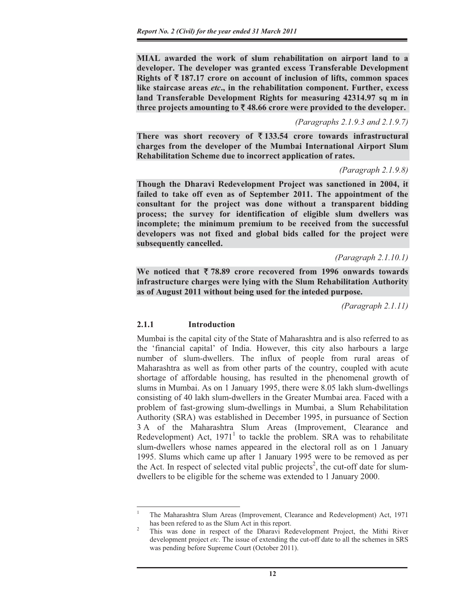**MIAL awarded the work of slum rehabilitation on airport land to a developer. The developer was granted excess Transferable Development Rights of**  $\bar{\xi}$  **187.17 crore on account of inclusion of lifts, common spaces like staircase areas** *etc***., in the rehabilitation component. Further, excess land Transferable Development Rights for measuring 42314.97 sq m in**  three projects amounting to  $\bar{\xi}$  48.66 crore were provided to the developer.

#### *(Paragraphs 2.1.9.3 and 2.1.9.7)*

There was short recovery of  $\bar{\tau}$  133.54 crore towards infrastructural **charges from the developer of the Mumbai International Airport Slum Rehabilitation Scheme due to incorrect application of rates.** 

#### *(Paragraph 2.1.9.8)*

**Though the Dharavi Redevelopment Project was sanctioned in 2004, it failed to take off even as of September 2011. The appointment of the consultant for the project was done without a transparent bidding process; the survey for identification of eligible slum dwellers was incomplete; the minimum premium to be received from the successful developers was not fixed and global bids called for the project were subsequently cancelled.** 

#### *(Paragraph 2.1.10.1)*

**We noticed that** ` **78.89 crore recovered from 1996 onwards towards infrastructure charges were lying with the Slum Rehabilitation Authority as of August 2011 without being used for the inteded purpose.** 

*(Paragraph 2.1.11)* 

# **2.1.1 Introduction**

Mumbai is the capital city of the State of Maharashtra and is also referred to as the 'financial capital' of India. However, this city also harbours a large number of slum-dwellers. The influx of people from rural areas of Maharashtra as well as from other parts of the country, coupled with acute shortage of affordable housing, has resulted in the phenomenal growth of slums in Mumbai. As on 1 January 1995, there were 8.05 lakh slum-dwellings consisting of 40 lakh slum-dwellers in the Greater Mumbai area. Faced with a problem of fast-growing slum-dwellings in Mumbai, a Slum Rehabilitation Authority (SRA) was established in December 1995, in pursuance of Section 3 A of the Maharashtra Slum Areas (Improvement, Clearance and Redevelopment) Act,  $1971<sup>1</sup>$  to tackle the problem. SRA was to rehabilitate slum-dwellers whose names appeared in the electoral roll as on 1 January 1995. Slums which came up after 1 January 1995 were to be removed as per the Act. In respect of selected vital public projects<sup>2</sup>, the cut-off date for slumdwellers to be eligible for the scheme was extended to 1 January 2000.

<sup>1</sup> The Maharashtra Slum Areas (Improvement, Clearance and Redevelopment) Act, 1971 has been refered to as the Slum Act in this report.

This was done in respect of the Dharavi Redevelopment Project, the Mithi River development project *etc*. The issue of extending the cut-off date to all the schemes in SRS was pending before Supreme Court (October 2011).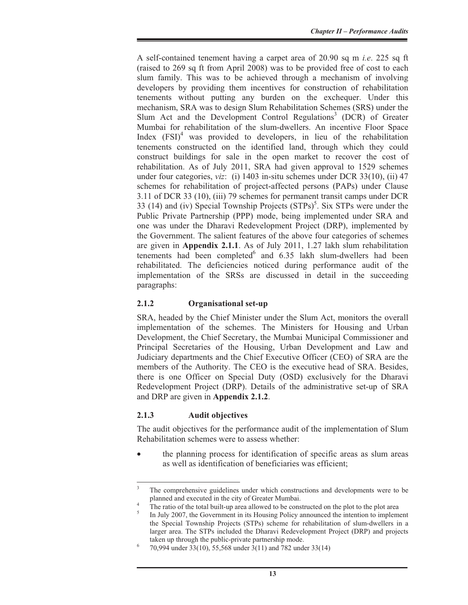A self-contained tenement having a carpet area of 20.90 sq m *i.e*. 225 sq ft (raised to 269 sq ft from April 2008) was to be provided free of cost to each slum family. This was to be achieved through a mechanism of involving developers by providing them incentives for construction of rehabilitation tenements without putting any burden on the exchequer. Under this mechanism, SRA was to design Slum Rehabilitation Schemes (SRS) under the Slum Act and the Development Control Regulations<sup>3</sup> (DCR) of Greater Mumbai for rehabilitation of the slum-dwellers. An incentive Floor Space Index  $(FSI)^4$  was provided to developers, in lieu of the rehabilitation tenements constructed on the identified land, through which they could construct buildings for sale in the open market to recover the cost of rehabilitation. As of July 2011, SRA had given approval to 1529 schemes under four categories, *viz*: (i) 1403 in-situ schemes under DCR 33(10), (ii) 47 schemes for rehabilitation of project-affected persons (PAPs) under Clause 3.11 of DCR 33 (10), (iii) 79 schemes for permanent transit camps under DCR 33 (14) and (iv) Special Township Projects  $(STPs)^5$ . Six STPs were under the Public Private Partnership (PPP) mode, being implemented under SRA and one was under the Dharavi Redevelopment Project (DRP), implemented by the Government. The salient features of the above four categories of schemes are given in **Appendix 2.1.1**. As of July 2011, 1.27 lakh slum rehabilitation tenements had been completed $6$  and  $6.35$  lakh slum-dwellers had been rehabilitated. The deficiencies noticed during performance audit of the implementation of the SRSs are discussed in detail in the succeeding paragraphs:

# **2.1.2 Organisational set-up**

SRA, headed by the Chief Minister under the Slum Act, monitors the overall implementation of the schemes. The Ministers for Housing and Urban Development, the Chief Secretary, the Mumbai Municipal Commissioner and Principal Secretaries of the Housing, Urban Development and Law and Judiciary departments and the Chief Executive Officer (CEO) of SRA are the members of the Authority. The CEO is the executive head of SRA. Besides, there is one Officer on Special Duty (OSD) exclusively for the Dharavi Redevelopment Project (DRP). Details of the administrative set-up of SRA and DRP are given in **Appendix 2.1.2**.

#### **2.1.3 Audit objectives**

The audit objectives for the performance audit of the implementation of Slum Rehabilitation schemes were to assess whether:

the planning process for identification of specific areas as slum areas as well as identification of beneficiaries was efficient;

<sup>3</sup> The comprehensive guidelines under which constructions and developments were to be planned and executed in the city of Greater Mumbai. 4

The ratio of the total built-up area allowed to be constructed on the plot to the plot area

<sup>5</sup> In July 2007, the Government in its Housing Policy announced the intention to implement the Special Township Projects (STPs) scheme for rehabilitation of slum-dwellers in a larger area. The STPs included the Dharavi Redevelopment Project (DRP) and projects taken up through the public-private partnership mode.

 <sup>70,994</sup> under 33(10), 55,568 under 3(11) and 782 under 33(14)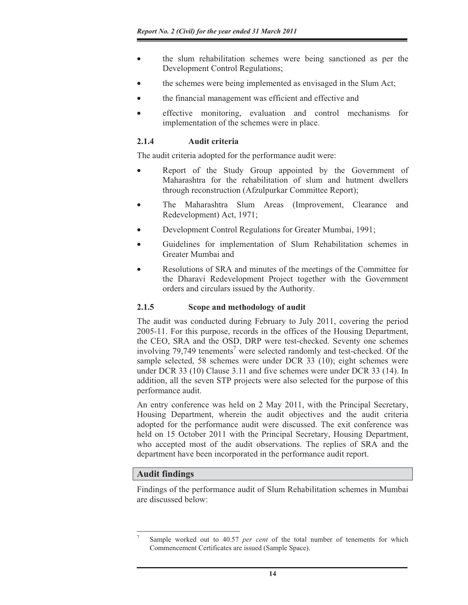- the slum rehabilitation schemes were being sanctioned as per the Development Control Regulations;
- the schemes were being implemented as envisaged in the Slum Act;
- the financial management was efficient and effective and
- effective monitoring, evaluation and control mechanisms for implementation of the schemes were in place.

#### **2.1.4 Audit criteria**

The audit criteria adopted for the performance audit were:

- Report of the Study Group appointed by the Government of Maharashtra for the rehabilitation of slum and hutment dwellers through reconstruction (Afzulpurkar Committee Report);
- The Maharashtra Slum Areas (Improvement, Clearance and Redevelopment) Act, 1971;
- Development Control Regulations for Greater Mumbai, 1991;
- Guidelines for implementation of Slum Rehabilitation schemes in Greater Mumbai and
- Resolutions of SRA and minutes of the meetings of the Committee for the Dharavi Redevelopment Project together with the Government orders and circulars issued by the Authority.

# **2.1.5 Scope and methodology of audit**

The audit was conducted during February to July 2011, covering the period 2005-11. For this purpose, records in the offices of the Housing Department, the CEO, SRA and the OSD, DRP were test-checked. Seventy one schemes involving  $79,749$  tenements<sup>7</sup> were selected randomly and test-checked. Of the sample selected, 58 schemes were under DCR 33 (10); eight schemes were under DCR 33 (10) Clause 3.11 and five schemes were under DCR 33 (14). In addition, all the seven STP projects were also selected for the purpose of this performance audit.

An entry conference was held on 2 May 2011, with the Principal Secretary, Housing Department, wherein the audit objectives and the audit criteria adopted for the performance audit were discussed. The exit conference was held on 15 October 2011 with the Principal Secretary, Housing Department, who accepted most of the audit observations. The replies of SRA and the department have been incorporated in the performance audit report.

# **Audit findings**

Findings of the performance audit of Slum Rehabilitation schemes in Mumbai are discussed below:

<sup>7</sup> Sample worked out to 40.57 *per cent* of the total number of tenements for which Commencement Certificates are issued (Sample Space).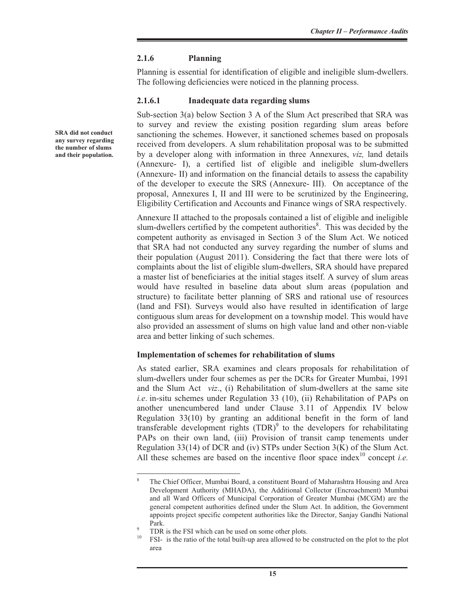# **2.1.6 Planning**

Planning is essential for identification of eligible and ineligible slum-dwellers. The following deficiencies were noticed in the planning process.

#### **2.1.6.1 Inadequate data regarding slums**

Sub-section 3(a) below Section 3 A of the Slum Act prescribed that SRA was to survey and review the existing position regarding slum areas before sanctioning the schemes. However, it sanctioned schemes based on proposals received from developers. A slum rehabilitation proposal was to be submitted by a developer along with information in three Annexures, *viz,* land details (Annexure- I), a certified list of eligible and ineligible slum-dwellers (Annexure- II) and information on the financial details to assess the capability of the developer to execute the SRS (Annexure- III). On acceptance of the proposal, Annexures I, II and III were to be scrutinized by the Engineering, Eligibility Certification and Accounts and Finance wings of SRA respectively.

Annexure II attached to the proposals contained a list of eligible and ineligible slum-dwellers certified by the competent authorities<sup>8</sup>. This was decided by the competent authority as envisaged in Section 3 of the Slum Act. We noticed that SRA had not conducted any survey regarding the number of slums and their population (August 2011). Considering the fact that there were lots of complaints about the list of eligible slum-dwellers, SRA should have prepared a master list of beneficiaries at the initial stages itself. A survey of slum areas would have resulted in baseline data about slum areas (population and structure) to facilitate better planning of SRS and rational use of resources (land and FSI). Surveys would also have resulted in identification of large contiguous slum areas for development on a township model. This would have also provided an assessment of slums on high value land and other non-viable area and better linking of such schemes.

# **Implementation of schemes for rehabilitation of slums**

As stated earlier, SRA examines and clears proposals for rehabilitation of slum-dwellers under four schemes as per the DCRs for Greater Mumbai, 1991 and the Slum Act *viz*., (i) Rehabilitation of slum-dwellers at the same site *i.e*. in-situ schemes under Regulation 33 (10), (ii) Rehabilitation of PAPs on another unencumbered land under Clause 3.11 of Appendix IV below Regulation 33(10) by granting an additional benefit in the form of land transferable development rights  $(TDR)^9$  to the developers for rehabilitating PAPs on their own land, (iii) Provision of transit camp tenements under Regulation 33(14) of DCR and (iv) STPs under Section 3(K) of the Slum Act. All these schemes are based on the incentive floor space index<sup>10</sup> concept *i.e.* 

**SRA did not conduct any survey regarding the number of slums and their population.** 

<sup>8</sup> The Chief Officer, Mumbai Board, a constituent Board of Maharashtra Housing and Area Development Authority (MHADA), the Additional Collector (Encroachment) Mumbai and all Ward Officers of Municipal Corporation of Greater Mumbai (MCGM) are the general competent authorities defined under the Slum Act. In addition, the Government appoints project specific competent authorities like the Director, Sanjay Gandhi National Park.

 $\frac{9}{10}$  TDR is the FSI which can be used on some other plots.

<sup>10</sup> FSI- is the ratio of the total built-up area allowed to be constructed on the plot to the plot area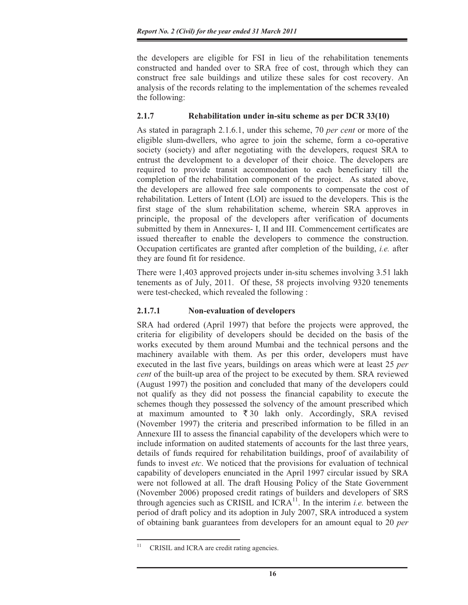the developers are eligible for FSI in lieu of the rehabilitation tenements constructed and handed over to SRA free of cost, through which they can construct free sale buildings and utilize these sales for cost recovery. An analysis of the records relating to the implementation of the schemes revealed the following:

# **2.1.7 Rehabilitation under in-situ scheme as per DCR 33(10)**

As stated in paragraph 2.1.6.1, under this scheme, 70 *per cent* or more of the eligible slum-dwellers, who agree to join the scheme, form a co-operative society (society) and after negotiating with the developers, request SRA to entrust the development to a developer of their choice. The developers are required to provide transit accommodation to each beneficiary till the completion of the rehabilitation component of the project. As stated above, the developers are allowed free sale components to compensate the cost of rehabilitation. Letters of Intent (LOI) are issued to the developers. This is the first stage of the slum rehabilitation scheme, wherein SRA approves in principle, the proposal of the developers after verification of documents submitted by them in Annexures- I, II and III. Commencement certificates are issued thereafter to enable the developers to commence the construction. Occupation certificates are granted after completion of the building, *i.e.* after they are found fit for residence.

There were 1,403 approved projects under in-situ schemes involving 3.51 lakh tenements as of July, 2011. Of these, 58 projects involving 9320 tenements were test-checked, which revealed the following :

# **2.1.7.1 Non-evaluation of developers**

SRA had ordered (April 1997) that before the projects were approved, the criteria for eligibility of developers should be decided on the basis of the works executed by them around Mumbai and the technical persons and the machinery available with them. As per this order, developers must have executed in the last five years, buildings on areas which were at least 25 *per cent* of the built-up area of the project to be executed by them. SRA reviewed (August 1997) the position and concluded that many of the developers could not qualify as they did not possess the financial capability to execute the schemes though they possessed the solvency of the amount prescribed which at maximum amounted to  $\overline{\xi}$  30 lakh only. Accordingly, SRA revised (November 1997) the criteria and prescribed information to be filled in an Annexure III to assess the financial capability of the developers which were to include information on audited statements of accounts for the last three years, details of funds required for rehabilitation buildings, proof of availability of funds to invest *etc*. We noticed that the provisions for evaluation of technical capability of developers enunciated in the April 1997 circular issued by SRA were not followed at all. The draft Housing Policy of the State Government (November 2006) proposed credit ratings of builders and developers of SRS through agencies such as CRISIL and  $ICRA<sup>11</sup>$ . In the interim *i.e.* between the period of draft policy and its adoption in July 2007, SRA introduced a system of obtaining bank guarantees from developers for an amount equal to 20 *per*

<sup>&</sup>lt;sup>11</sup> CRISIL and ICRA are credit rating agencies.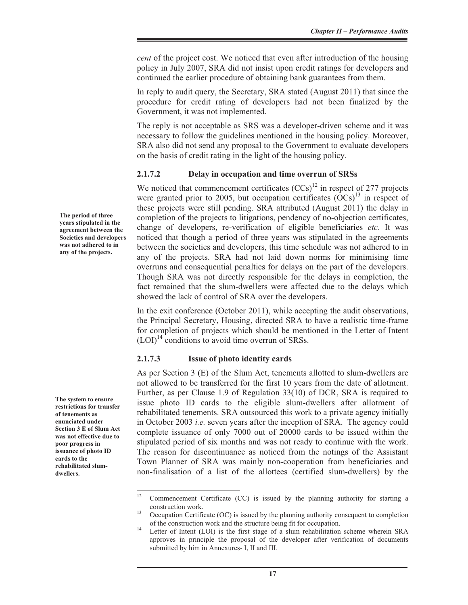*cent* of the project cost. We noticed that even after introduction of the housing policy in July 2007, SRA did not insist upon credit ratings for developers and continued the earlier procedure of obtaining bank guarantees from them.

In reply to audit query, the Secretary, SRA stated (August 2011) that since the procedure for credit rating of developers had not been finalized by the Government, it was not implemented.

The reply is not acceptable as SRS was a developer-driven scheme and it was necessary to follow the guidelines mentioned in the housing policy. Moreover, SRA also did not send any proposal to the Government to evaluate developers on the basis of credit rating in the light of the housing policy.

# **2.1.7.2 Delay in occupation and time overrun of SRSs**

We noticed that commencement certificates  $(CCs)^{12}$  in respect of 277 projects were granted prior to 2005, but occupation certificates  $(OCs)^{13}$  in respect of these projects were still pending. SRA attributed (August 2011) the delay in completion of the projects to litigations, pendency of no-objection certificates, change of developers, re-verification of eligible beneficiaries *etc*. It was noticed that though a period of three years was stipulated in the agreements between the societies and developers, this time schedule was not adhered to in any of the projects. SRA had not laid down norms for minimising time overruns and consequential penalties for delays on the part of the developers. Though SRA was not directly responsible for the delays in completion, the fact remained that the slum-dwellers were affected due to the delays which showed the lack of control of SRA over the developers.

In the exit conference (October 2011), while accepting the audit observations, the Principal Secretary, Housing, directed SRA to have a realistic time-frame for completion of projects which should be mentioned in the Letter of Intent  $(LOI)<sup>14</sup>$  conditions to avoid time overrun of SRSs.

# **2.1.7.3 Issue of photo identity cards**

As per Section 3 (E) of the Slum Act, tenements allotted to slum-dwellers are not allowed to be transferred for the first 10 years from the date of allotment. Further, as per Clause 1.9 of Regulation 33(10) of DCR, SRA is required to issue photo ID cards to the eligible slum-dwellers after allotment of rehabilitated tenements. SRA outsourced this work to a private agency initially in October 2003 *i.e.* seven years after the inception of SRA. The agency could complete issuance of only 7000 out of 20000 cards to be issued within the stipulated period of six months and was not ready to continue with the work. The reason for discontinuance as noticed from the notings of the Assistant Town Planner of SRA was mainly non-cooperation from beneficiaries and non-finalisation of a list of the allottees (certified slum-dwellers) by the

**The period of three years stipulated in the agreement between the Societies and developers was not adhered to in any of the projects.** 

**The system to ensure restrictions for transfer of tenements as enunciated under Section 3 E of Slum Act was not effective due to poor progress in issuance of photo ID cards to the rehabilitated slumdwellers.** 

<sup>&</sup>lt;sup>12</sup> Commencement Certificate (CC) is issued by the planning authority for starting a construction work. 13 Occupation Certificate (OC) is issued by the planning authority consequent to completion

of the construction work and the structure being fit for occupation. 14 Letter of Intent (LOI) is the first stage of a slum rehabilitation scheme wherein SRA

approves in principle the proposal of the developer after verification of documents submitted by him in Annexures- I, II and III.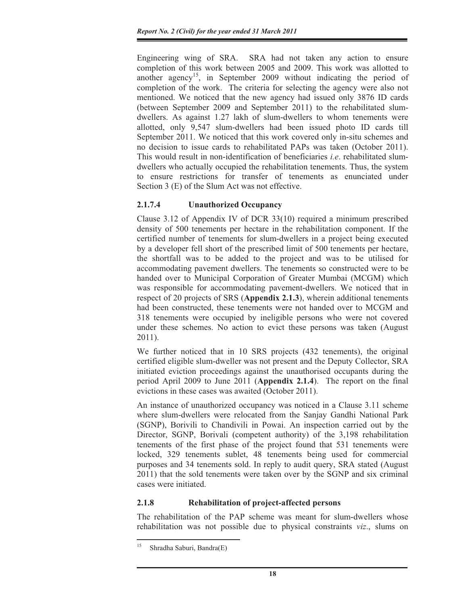Engineering wing of SRA. SRA had not taken any action to ensure completion of this work between 2005 and 2009. This work was allotted to another agency<sup>15</sup>, in September 2009 without indicating the period of completion of the work. The criteria for selecting the agency were also not mentioned. We noticed that the new agency had issued only 3876 ID cards (between September 2009 and September 2011) to the rehabilitated slumdwellers. As against 1.27 lakh of slum-dwellers to whom tenements were allotted, only 9,547 slum-dwellers had been issued photo ID cards till September 2011. We noticed that this work covered only in-situ schemes and no decision to issue cards to rehabilitated PAPs was taken (October 2011). This would result in non-identification of beneficiaries *i.e*. rehabilitated slumdwellers who actually occupied the rehabilitation tenements. Thus, the system to ensure restrictions for transfer of tenements as enunciated under Section 3 (E) of the Slum Act was not effective.

# **2.1.7.4 Unauthorized Occupancy**

Clause 3.12 of Appendix IV of DCR 33(10) required a minimum prescribed density of 500 tenements per hectare in the rehabilitation component. If the certified number of tenements for slum-dwellers in a project being executed by a developer fell short of the prescribed limit of 500 tenements per hectare, the shortfall was to be added to the project and was to be utilised for accommodating pavement dwellers. The tenements so constructed were to be handed over to Municipal Corporation of Greater Mumbai (MCGM) which was responsible for accommodating pavement-dwellers. We noticed that in respect of 20 projects of SRS (**Appendix 2.1.3**), wherein additional tenements had been constructed, these tenements were not handed over to MCGM and 318 tenements were occupied by ineligible persons who were not covered under these schemes. No action to evict these persons was taken (August 2011).

We further noticed that in 10 SRS projects (432 tenements), the original certified eligible slum-dweller was not present and the Deputy Collector, SRA initiated eviction proceedings against the unauthorised occupants during the period April 2009 to June 2011 (**Appendix 2.1.4**). The report on the final evictions in these cases was awaited (October 2011).

An instance of unauthorized occupancy was noticed in a Clause 3.11 scheme where slum-dwellers were relocated from the Sanjay Gandhi National Park (SGNP), Borivili to Chandivili in Powai. An inspection carried out by the Director, SGNP, Borivali (competent authority) of the 3,198 rehabilitation tenements of the first phase of the project found that 531 tenements were locked, 329 tenements sublet, 48 tenements being used for commercial purposes and 34 tenements sold. In reply to audit query, SRA stated (August 2011) that the sold tenements were taken over by the SGNP and six criminal cases were initiated.

# **2.1.8 Rehabilitation of project-affected persons**

The rehabilitation of the PAP scheme was meant for slum-dwellers whose rehabilitation was not possible due to physical constraints *viz*., slums on

<sup>&</sup>lt;sup>15</sup> Shradha Saburi, Bandra(E)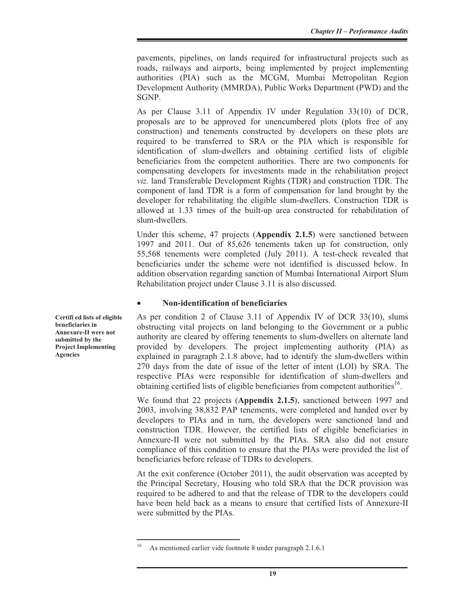pavements, pipelines, on lands required for infrastructural projects such as roads, railways and airports, being implemented by project implementing authorities (PIA) such as the MCGM, Mumbai Metropolitan Region Development Authority (MMRDA), Public Works Department (PWD) and the SGNP.

As per Clause 3.11 of Appendix IV under Regulation 33(10) of DCR, proposals are to be approved for unencumbered plots (plots free of any construction) and tenements constructed by developers on these plots are required to be transferred to SRA or the PIA which is responsible for identification of slum-dwellers and obtaining certified lists of eligible beneficiaries from the competent authorities. There are two components for compensating developers for investments made in the rehabilitation project *viz.* land Transferable Development Rights (TDR) and construction TDR. The component of land TDR is a form of compensation for land brought by the developer for rehabilitating the eligible slum-dwellers. Construction TDR is allowed at 1.33 times of the built-up area constructed for rehabilitation of slum-dwellers.

Under this scheme, 47 projects (**Appendix 2.1.5**) were sanctioned between 1997 and 2011. Out of 85,626 tenements taken up for construction, only 55,568 tenements were completed (July 2011). A test-check revealed that beneficiaries under the scheme were not identified is discussed below. In addition observation regarding sanction of Mumbai International Airport Slum Rehabilitation project under Clause 3.11 is also discussed.

#### x **Non-identification of beneficiaries**

As per condition 2 of Clause 3.11 of Appendix IV of DCR 33(10), slums obstructing vital projects on land belonging to the Government or a public authority are cleared by offering tenements to slum-dwellers on alternate land provided by developers. The project implementing authority (PIA) as explained in paragraph 2.1.8 above, had to identify the slum-dwellers within 270 days from the date of issue of the letter of intent (LOI) by SRA. The respective PIAs were responsible for identification of slum-dwellers and obtaining certified lists of eligible beneficiaries from competent authorities<sup>16</sup>.

We found that 22 projects (**Appendix 2.1.5**), sanctioned between 1997 and 2003, involving 38,832 PAP tenements, were completed and handed over by developers to PIAs and in turn, the developers were sanctioned land and construction TDR. However, the certified lists of eligible beneficiaries in Annexure-II were not submitted by the PIAs. SRA also did not ensure compliance of this condition to ensure that the PIAs were provided the list of beneficiaries before release of TDRs to developers.

At the exit conference (October 2011), the audit observation was accepted by the Principal Secretary, Housing who told SRA that the DCR provision was required to be adhered to and that the release of TDR to the developers could have been held back as a means to ensure that certified lists of Annexure-II were submitted by the PIAs.

**Certifi ed lists of eligible beneficiaries in Annexure-II were not submitted by the Project Implementing Agencies**

<sup>16</sup> As mentioned earlier vide footnote 8 under paragraph 2.1.6.1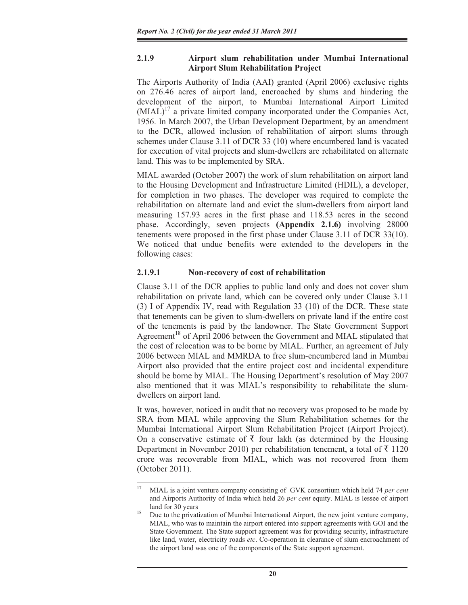#### **2.1.9 Airport slum rehabilitation under Mumbai International Airport Slum Rehabilitation Project**

The Airports Authority of India (AAI) granted (April 2006) exclusive rights on 276.46 acres of airport land, encroached by slums and hindering the development of the airport, to Mumbai International Airport Limited  $(MIAL)^{17}$  a private limited company incorporated under the Companies Act, 1956. In March 2007, the Urban Development Department, by an amendment to the DCR, allowed inclusion of rehabilitation of airport slums through schemes under Clause 3.11 of DCR 33 (10) where encumbered land is vacated for execution of vital projects and slum-dwellers are rehabilitated on alternate land. This was to be implemented by SRA.

MIAL awarded (October 2007) the work of slum rehabilitation on airport land to the Housing Development and Infrastructure Limited (HDIL), a developer, for completion in two phases. The developer was required to complete the rehabilitation on alternate land and evict the slum-dwellers from airport land measuring 157.93 acres in the first phase and 118.53 acres in the second phase. Accordingly, seven projects **(Appendix 2.1.6)** involving 28000 tenements were proposed in the first phase under Clause 3.11 of DCR 33(10). We noticed that undue benefits were extended to the developers in the following cases:

# **2.1.9.1 Non-recovery of cost of rehabilitation**

Clause 3.11 of the DCR applies to public land only and does not cover slum rehabilitation on private land, which can be covered only under Clause 3.11 (3) I of Appendix IV, read with Regulation 33 (10) of the DCR. These state that tenements can be given to slum-dwellers on private land if the entire cost of the tenements is paid by the landowner. The State Government Support Agreement<sup>18</sup> of April 2006 between the Government and MIAL stipulated that the cost of relocation was to be borne by MIAL. Further, an agreement of July 2006 between MIAL and MMRDA to free slum-encumbered land in Mumbai Airport also provided that the entire project cost and incidental expenditure should be borne by MIAL. The Housing Department's resolution of May 2007 also mentioned that it was MIAL's responsibility to rehabilitate the slumdwellers on airport land.

It was, however, noticed in audit that no recovery was proposed to be made by SRA from MIAL while approving the Slum Rehabilitation schemes for the Mumbai International Airport Slum Rehabilitation Project (Airport Project). On a conservative estimate of  $\bar{\tau}$  four lakh (as determined by the Housing Department in November 2010) per rehabilitation tenement, a total of  $\bar{\tau}$  1120 crore was recoverable from MIAL, which was not recovered from them (October 2011).

<sup>17</sup> MIAL is a joint venture company consisting of GVK consortium which held 74 *per cent* and Airports Authority of India which held 26 *per cent* equity. MIAL is lessee of airport

land for 30 years<br><sup>18</sup> Due to the privatization of Mumbai International Airport, the new joint venture company, MIAL, who was to maintain the airport entered into support agreements with GOI and the State Government. The State support agreement was for providing security, infrastructure like land, water, electricity roads *etc*. Co-operation in clearance of slum encroachment of the airport land was one of the components of the State support agreement.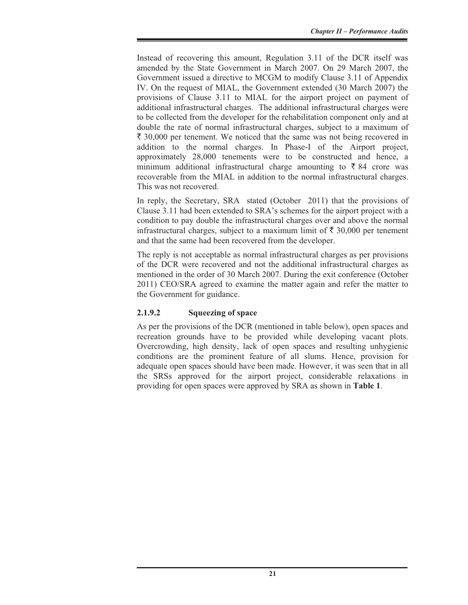Instead of recovering this amount, Regulation 3.11 of the DCR itself was amended by the State Government in March 2007. On 29 March 2007, the Government issued a directive to MCGM to modify Clause 3.11 of Appendix IV. On the request of MIAL, the Government extended (30 March 2007) the provisions of Clause 3.11 to MIAL for the airport project on payment of additional infrastructural charges. The additional infrastructural charges were to be collected from the developer for the rehabilitation component only and at double the rate of normal infrastructural charges, subject to a maximum of  $\bar{\xi}$  30,000 per tenement. We noticed that the same was not being recovered in addition to the normal charges. In Phase-I of the Airport project, approximately 28,000 tenements were to be constructed and hence, a minimum additional infrastructural charge amounting to  $\bar{\xi}$  84 crore was recoverable from the MIAL in addition to the normal infrastructural charges. This was not recovered.

In reply, the Secretary, SRA stated (October 2011) that the provisions of Clause 3.11 had been extended to SRA's schemes for the airport project with a condition to pay double the infrastructural charges over and above the normal infrastructural charges, subject to a maximum limit of  $\bar{\tau}$  30,000 per tenement and that the same had been recovered from the developer.

The reply is not acceptable as normal infrastructural charges as per provisions of the DCR were recovered and not the additional infrastructural charges as mentioned in the order of 30 March 2007. During the exit conference (October 2011) CEO/SRA agreed to examine the matter again and refer the matter to the Government for guidance.

# **2.1.9.2 Squeezing of space**

As per the provisions of the DCR (mentioned in table below), open spaces and recreation grounds have to be provided while developing vacant plots. Overcrowding, high density, lack of open spaces and resulting unhygienic conditions are the prominent feature of all slums. Hence, provision for adequate open spaces should have been made. However, it was seen that in all the SRSs approved for the airport project, considerable relaxations in providing for open spaces were approved by SRA as shown in **Table 1**.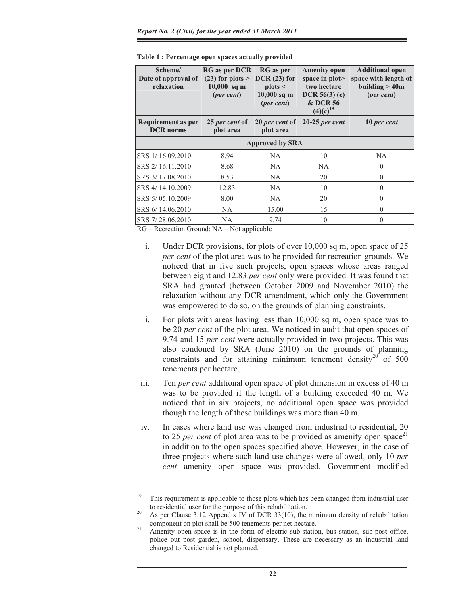| <b>RG</b> as per DCR<br>Scheme/<br>Date of approval of<br>$(23)$ for plots ><br>relaxation<br>$10,000$ sq m<br>(per cent) |                             | <b>RG</b> as per<br><b>Amenity open</b><br>$DCR(23)$ for<br>space in $plot$<br>plots <<br>two hectare<br>$10,000$ sq m<br>DCR 56(3) (c)<br><b>&amp; DCR 56</b><br>(per cent)<br>$(4)(c)^{19}$ |                  | <b>Additional open</b><br>space with length of<br>building $>40m$<br>(per cent) |  |  |  |  |
|---------------------------------------------------------------------------------------------------------------------------|-----------------------------|-----------------------------------------------------------------------------------------------------------------------------------------------------------------------------------------------|------------------|---------------------------------------------------------------------------------|--|--|--|--|
| Requirement as per<br><b>DCR</b> norms                                                                                    | 25 per cent of<br>plot area | 20 per cent of<br>plot area                                                                                                                                                                   | $20-25$ per cent | 10 per cent                                                                     |  |  |  |  |
| <b>Approved by SRA</b>                                                                                                    |                             |                                                                                                                                                                                               |                  |                                                                                 |  |  |  |  |
| SRS 1/16.09.2010                                                                                                          | 8.94                        | NA                                                                                                                                                                                            | 10               | <b>NA</b>                                                                       |  |  |  |  |
| SRS 2/16.11.2010                                                                                                          | 8.68                        | NA                                                                                                                                                                                            | NA               | $\theta$                                                                        |  |  |  |  |
| SRS 3/17.08.2010                                                                                                          | 8.53                        | NA                                                                                                                                                                                            | 20               | $\theta$                                                                        |  |  |  |  |
| SRS 4/14.10.2009                                                                                                          | 12.83                       | NA                                                                                                                                                                                            | 10               | $\theta$                                                                        |  |  |  |  |
| SRS 5/05.10.2009                                                                                                          | 8.00                        | <b>NA</b>                                                                                                                                                                                     | 20               | $\theta$                                                                        |  |  |  |  |
| SRS 6/14.06.2010                                                                                                          | NA                          | 15.00                                                                                                                                                                                         | 15               | $\theta$                                                                        |  |  |  |  |
| SRS 7/28.06.2010                                                                                                          | NA                          | 9.74                                                                                                                                                                                          | 10               | $\theta$                                                                        |  |  |  |  |

**Table 1 : Percentage open spaces actually provided** 

RG – Recreation Ground; NA – Not applicable

- i. Under DCR provisions, for plots of over 10,000 sq m, open space of 25 *per cent* of the plot area was to be provided for recreation grounds. We noticed that in five such projects, open spaces whose areas ranged between eight and 12.83 *per cent* only were provided. It was found that SRA had granted (between October 2009 and November 2010) the relaxation without any DCR amendment, which only the Government was empowered to do so, on the grounds of planning constraints.
- ii. For plots with areas having less than 10,000 sq m, open space was to be 20 *per cent* of the plot area. We noticed in audit that open spaces of 9.74 and 15 *per cent* were actually provided in two projects. This was also condoned by SRA (June 2010) on the grounds of planning constraints and for attaining minimum tenement density<sup>20</sup> of 500 tenements per hectare.
- iii. Ten *per cent* additional open space of plot dimension in excess of 40 m was to be provided if the length of a building exceeded 40 m. We noticed that in six projects, no additional open space was provided though the length of these buildings was more than 40 m.
- iv. In cases where land use was changed from industrial to residential, 20 to 25 *per cent* of plot area was to be provided as amenity open space<sup>21</sup> in addition to the open spaces specified above. However, in the case of three projects where such land use changes were allowed, only 10 *per cent* amenity open space was provided. Government modified

<sup>&</sup>lt;sup>19</sup> This requirement is applicable to those plots which has been changed from industrial user to residential user for the purpose of this rehabilitation.<br>As per Clause 3.12 Appendix IV of DCR 33(10), the minimum density of rehabilitation

component on plot shall be 500 tenements per net hectare.<br><sup>21</sup> Amenity open space is in the form of electric sub-station, bus station, sub-post office,

police out post garden, school, dispensary. These are necessary as an industrial land changed to Residential is not planned.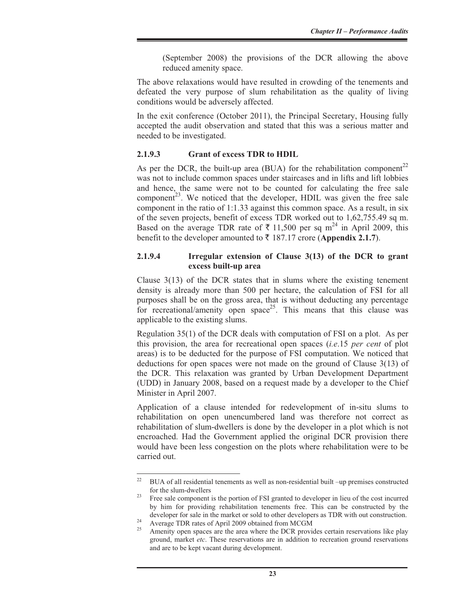(September 2008) the provisions of the DCR allowing the above reduced amenity space.

The above relaxations would have resulted in crowding of the tenements and defeated the very purpose of slum rehabilitation as the quality of living conditions would be adversely affected.

In the exit conference (October 2011), the Principal Secretary, Housing fully accepted the audit observation and stated that this was a serious matter and needed to be investigated.

#### **2.1.9.3 Grant of excess TDR to HDIL**

As per the DCR, the built-up area (BUA) for the rehabilitation component<sup>22</sup> was not to include common spaces under staircases and in lifts and lift lobbies and hence, the same were not to be counted for calculating the free sale component<sup>23</sup>. We noticed that the developer, HDIL was given the free sale component in the ratio of 1:1.33 against this common space. As a result, in six of the seven projects, benefit of excess TDR worked out to 1,62,755.49 sq m. Based on the average TDR rate of  $\bar{\tau}$  11,500 per sq m<sup>24</sup> in April 2009, this benefit to the developer amounted to  $\bar{\tau}$  187.17 crore (**Appendix 2.1.7**).

#### **2.1.9.4 Irregular extension of Clause 3(13) of the DCR to grant excess built-up area**

Clause  $3(13)$  of the DCR states that in slums where the existing tenement density is already more than 500 per hectare, the calculation of FSI for all purposes shall be on the gross area, that is without deducting any percentage for recreational/amenity open space<sup>25</sup>. This means that this clause was applicable to the existing slums.

Regulation 35(1) of the DCR deals with computation of FSI on a plot. As per this provision, the area for recreational open spaces (*i.e*.15 *per cent* of plot areas) is to be deducted for the purpose of FSI computation. We noticed that deductions for open spaces were not made on the ground of Clause 3(13) of the DCR. This relaxation was granted by Urban Development Department (UDD) in January 2008, based on a request made by a developer to the Chief Minister in April 2007.

Application of a clause intended for redevelopment of in-situ slums to rehabilitation on open unencumbered land was therefore not correct as rehabilitation of slum-dwellers is done by the developer in a plot which is not encroached. Had the Government applied the original DCR provision there would have been less congestion on the plots where rehabilitation were to be carried out.

<sup>22</sup> BUA of all residential tenements as well as non-residential built –up premises constructed for the slum-dwellers<br><sup>23</sup> Free sale component is the portion of FSI granted to developer in lieu of the cost incurred

by him for providing rehabilitation tenements free. This can be constructed by the developer for sale in the market or sold to other developers as TDR with out construction.<br><sup>24</sup> Average TDR rates of April 2009 obtained from MCGM

Amenity open spaces are the area where the DCR provides certain reservations like play ground, market *etc*. These reservations are in addition to recreation ground reservations and are to be kept vacant during development.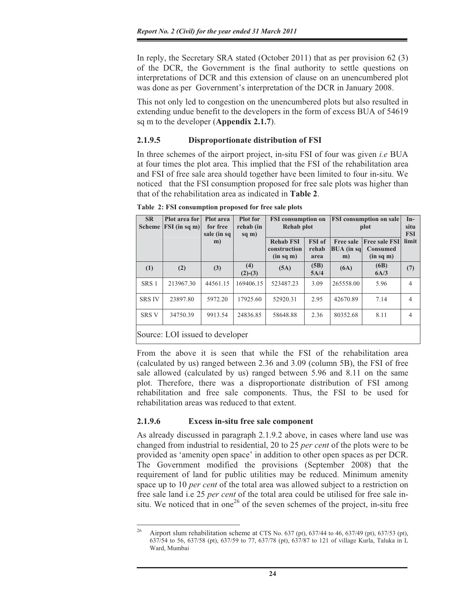In reply, the Secretary SRA stated (October 2011) that as per provision 62 (3) of the DCR, the Government is the final authority to settle questions on interpretations of DCR and this extension of clause on an unencumbered plot was done as per Government's interpretation of the DCR in January 2008.

This not only led to congestion on the unencumbered plots but also resulted in extending undue benefit to the developers in the form of excess BUA of 54619 sq m to the developer (**Appendix 2.1.7**).

#### **2.1.9.5 Disproportionate distribution of FSI**

In three schemes of the airport project, in-situ FSI of four was given *i.e* BUA at four times the plot area. This implied that the FSI of the rehabilitation area and FSI of free sale area should together have been limited to four in-situ. We noticed that the FSI consumption proposed for free sale plots was higher than that of the rehabilitation area as indicated in **Table 2**.

**Table 2: FSI consumption proposed for free sale plots** 

| <b>SR</b><br><b>Scheme</b>                           | Plot area for<br>$ FSI$ (in sq m) | Plot area<br>for free<br>sale (in sq | <b>Plot</b> for<br>rehab (in<br>sq m) | <b>FSI</b> consumption on<br>Rehab plot       |                                | <b>FSI</b> consumption on sale<br>plot  |                                                      | $In-$<br>situ<br><b>FSI</b> |
|------------------------------------------------------|-----------------------------------|--------------------------------------|---------------------------------------|-----------------------------------------------|--------------------------------|-----------------------------------------|------------------------------------------------------|-----------------------------|
|                                                      |                                   | m)                                   |                                       | <b>Rehab FSI</b><br>construction<br>(in sq m) | <b>FSI</b> of<br>rehab<br>area | <b>Free sale</b><br>$ BUA$ (in sq<br>m) | <b>Free sale FSI</b><br><b>Consumed</b><br>(in sq m) | limit                       |
| (1)                                                  | (2)                               | (3)                                  | (4)<br>$(2)-(3)$                      | (5A)                                          | (5B)<br>5A/4                   | (6A)                                    | (6B)<br>6A/3                                         | (7)                         |
| SRS <sub>1</sub>                                     | 213967.30                         | 44561.15                             | 169406.15                             | 523487.23                                     | 3.09                           | 265558.00                               | 5.96                                                 | 4                           |
| <b>SRS IV</b>                                        | 23897.80                          | 5972.20                              | 17925.60                              | 52920.31                                      | 2.95                           | 42670.89                                | 7.14                                                 | 4                           |
| <b>SRS V</b>                                         | 34750.39                          | 9913.54                              | 24836.85                              | 58648.88                                      | 2.36                           | 80352.68                                | 8.11                                                 | $\overline{4}$              |
| $\text{Source} \cdot \text{LOI}$ issued to developer |                                   |                                      |                                       |                                               |                                |                                         |                                                      |                             |

Source: LOI issued to developer

From the above it is seen that while the FSI of the rehabilitation area (calculated by us) ranged between 2.36 and 3.09 (column 5B), the FSI of free sale allowed (calculated by us) ranged between 5.96 and 8.11 on the same plot. Therefore, there was a disproportionate distribution of FSI among rehabilitation and free sale components. Thus, the FSI to be used for rehabilitation areas was reduced to that extent.

#### **2.1.9.6 Excess in-situ free sale component**

As already discussed in paragraph 2.1.9.2 above, in cases where land use was changed from industrial to residential, 20 to 25 *per cent* of the plots were to be provided as 'amenity open space' in addition to other open spaces as per DCR. The Government modified the provisions (September 2008) that the requirement of land for public utilities may be reduced. Minimum amenity space up to 10 *per cent* of the total area was allowed subject to a restriction on free sale land i.e 25 *per cent* of the total area could be utilised for free sale insitu. We noticed that in one<sup>26</sup> of the seven schemes of the project, in-situ free

<sup>&</sup>lt;sup>26</sup> Airport slum rehabilitation scheme at CTS No. 637 (pt), 637/44 to 46, 637/49 (pt), 637/53 (pt), 637/54 to 56, 637/58 (pt), 637/59 to 77, 637/78 (pt), 637/87 to 121 of village Kurla, Taluka in L Ward, Mumbai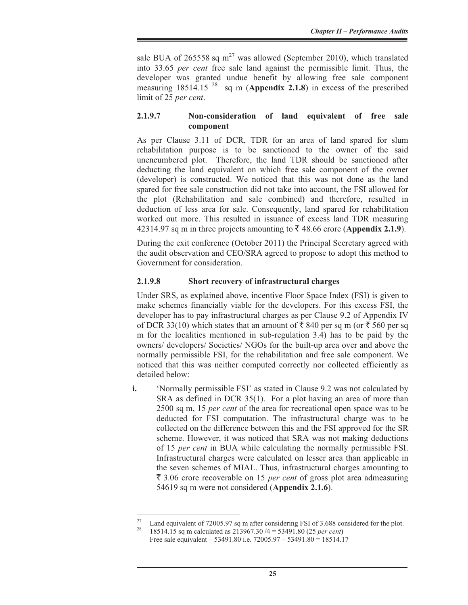sale BUA of 265558 sq  $m^{27}$  was allowed (September 2010), which translated into 33.65 *per cent* free sale land against the permissible limit. Thus, the developer was granted undue benefit by allowing free sale component measuring  $18514.15^{28}$  sq m (**Appendix 2.1.8**) in excess of the prescribed limit of 25 *per cent*.

#### **2.1.9.7 Non-consideration of land equivalent of free sale component**

As per Clause 3.11 of DCR, TDR for an area of land spared for slum rehabilitation purpose is to be sanctioned to the owner of the said unencumbered plot. Therefore, the land TDR should be sanctioned after deducting the land equivalent on which free sale component of the owner (developer) is constructed. We noticed that this was not done as the land spared for free sale construction did not take into account, the FSI allowed for the plot (Rehabilitation and sale combined) and therefore, resulted in deduction of less area for sale. Consequently, land spared for rehabilitation worked out more. This resulted in issuance of excess land TDR measuring  $42314.97$  sq m in three projects amounting to  $\bar{\zeta}$  48.66 crore (**Appendix 2.1.9**).

During the exit conference (October 2011) the Principal Secretary agreed with the audit observation and CEO/SRA agreed to propose to adopt this method to Government for consideration.

#### **2.1.9.8 Short recovery of infrastructural charges**

Under SRS, as explained above, incentive Floor Space Index (FSI) is given to make schemes financially viable for the developers. For this excess FSI, the developer has to pay infrastructural charges as per Clause 9.2 of Appendix IV of DCR 33(10) which states that an amount of  $\bar{\xi}$  840 per sq m (or  $\bar{\xi}$  560 per sq m for the localities mentioned in sub-regulation 3.4) has to be paid by the owners/ developers/ Societies/ NGOs for the built-up area over and above the normally permissible FSI, for the rehabilitation and free sale component. We noticed that this was neither computed correctly nor collected efficiently as detailed below:

**i.** 'Normally permissible FSI' as stated in Clause 9.2 was not calculated by SRA as defined in DCR 35(1). For a plot having an area of more than 2500 sq m, 15 *per cent* of the area for recreational open space was to be deducted for FSI computation. The infrastructural charge was to be collected on the difference between this and the FSI approved for the SR scheme. However, it was noticed that SRA was not making deductions of 15 *per cent* in BUA while calculating the normally permissible FSI. Infrastructural charges were calculated on lesser area than applicable in the seven schemes of MIAL. Thus, infrastructural charges amounting to ` 3.06 crore recoverable on 15 *per cent* of gross plot area admeasuring 54619 sq m were not considered (**Appendix 2.1.6**).

<sup>&</sup>lt;sup>27</sup> Land equivalent of 72005.97 sq m after considering FSI of 3.688 considered for the plot.

<sup>28 18514.15</sup> sq m calculated as 213967.30 /4 = 53491.80 (25 *per cent*) Free sale equivalent – 53491.80 i.e. 72005.97 – 53491.80 = 18514.17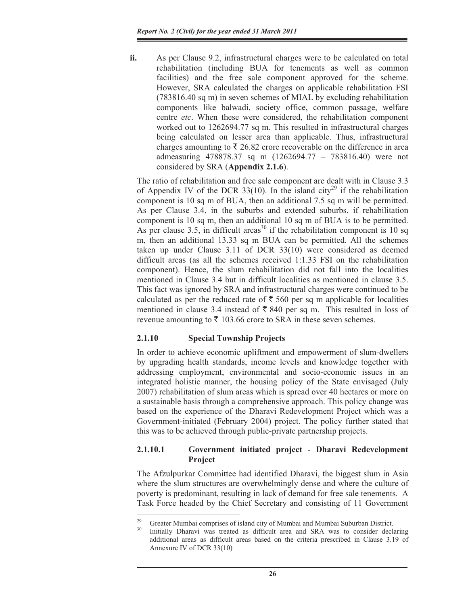**ii.** As per Clause 9.2, infrastructural charges were to be calculated on total rehabilitation (including BUA for tenements as well as common facilities) and the free sale component approved for the scheme. However, SRA calculated the charges on applicable rehabilitation FSI (783816.40 sq m) in seven schemes of MIAL by excluding rehabilitation components like balwadi, society office, common passage, welfare centre *etc*. When these were considered, the rehabilitation component worked out to 1262694.77 sq m. This resulted in infrastructural charges being calculated on lesser area than applicable. Thus, infrastructural charges amounting to  $\bar{\tau}$  26.82 crore recoverable on the difference in area admeasuring 478878.37 sq m (1262694.77 – 783816.40) were not considered by SRA (**Appendix 2.1.6**).

The ratio of rehabilitation and free sale component are dealt with in Clause 3.3 of Appendix IV of the DCR 33(10). In the island city<sup>29</sup> if the rehabilitation component is 10 sq m of BUA, then an additional 7.5 sq m will be permitted. As per Clause 3.4, in the suburbs and extended suburbs, if rehabilitation component is 10 sq m, then an additional 10 sq m of BUA is to be permitted. As per clause 3.5, in difficult areas<sup>30</sup> if the rehabilitation component is 10 sq m, then an additional 13.33 sq m BUA can be permitted. All the schemes taken up under Clause 3.11 of DCR 33(10) were considered as deemed difficult areas (as all the schemes received 1:1.33 FSI on the rehabilitation component). Hence, the slum rehabilitation did not fall into the localities mentioned in Clause 3.4 but in difficult localities as mentioned in clause 3.5. This fact was ignored by SRA and infrastructural charges were continued to be calculated as per the reduced rate of  $\bar{\tau}$  560 per sq m applicable for localities mentioned in clause 3.4 instead of  $\bar{\xi}$  840 per sq m. This resulted in loss of revenue amounting to  $\bar{\tau}$  103.66 crore to SRA in these seven schemes.

# **2.1.10 Special Township Projects**

In order to achieve economic upliftment and empowerment of slum-dwellers by upgrading health standards, income levels and knowledge together with addressing employment, environmental and socio-economic issues in an integrated holistic manner, the housing policy of the State envisaged (July 2007) rehabilitation of slum areas which is spread over 40 hectares or more on a sustainable basis through a comprehensive approach. This policy change was based on the experience of the Dharavi Redevelopment Project which was a Government-initiated (February 2004) project. The policy further stated that this was to be achieved through public-private partnership projects.

# **2.1.10.1 Government initiated project - Dharavi Redevelopment Project**

The Afzulpurkar Committee had identified Dharavi, the biggest slum in Asia where the slum structures are overwhelmingly dense and where the culture of poverty is predominant, resulting in lack of demand for free sale tenements. A Task Force headed by the Chief Secretary and consisting of 11 Government

<sup>&</sup>lt;sup>29</sup> Greater Mumbai comprises of island city of Mumbai and Mumbai Suburban District.

Initially Dharavi was treated as difficult area and SRA was to consider declaring additional areas as difficult areas based on the criteria prescribed in Clause 3.19 of Annexure IV of DCR 33(10)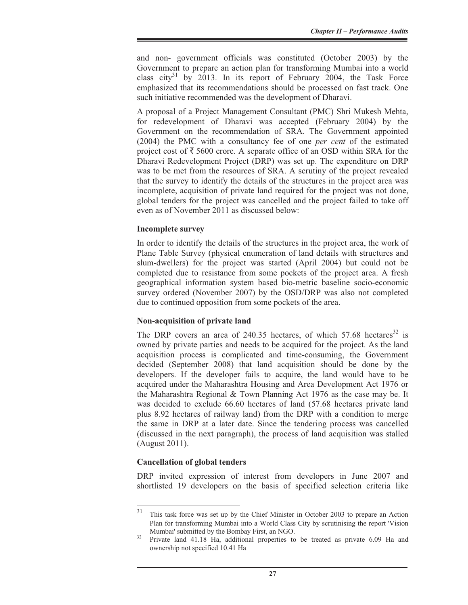and non- government officials was constituted (October 2003) by the Government to prepare an action plan for transforming Mumbai into a world class city<sup>31</sup> by 2013. In its report of February 2004, the Task Force emphasized that its recommendations should be processed on fast track. One such initiative recommended was the development of Dharavi.

A proposal of a Project Management Consultant (PMC) Shri Mukesh Mehta, for redevelopment of Dharavi was accepted (February 2004) by the Government on the recommendation of SRA. The Government appointed (2004) the PMC with a consultancy fee of one *per cent* of the estimated project cost of  $\bar{\tau}$  5600 crore. A separate office of an OSD within SRA for the Dharavi Redevelopment Project (DRP) was set up. The expenditure on DRP was to be met from the resources of SRA. A scrutiny of the project revealed that the survey to identify the details of the structures in the project area was incomplete, acquisition of private land required for the project was not done, global tenders for the project was cancelled and the project failed to take off even as of November 2011 as discussed below:

#### **Incomplete survey**

In order to identify the details of the structures in the project area, the work of Plane Table Survey (physical enumeration of land details with structures and slum-dwellers) for the project was started (April 2004) but could not be completed due to resistance from some pockets of the project area. A fresh geographical information system based bio-metric baseline socio-economic survey ordered (November 2007) by the OSD/DRP was also not completed due to continued opposition from some pockets of the area.

#### **Non-acquisition of private land**

The DRP covers an area of 240.35 hectares, of which  $57.68$  hectares<sup>32</sup> is owned by private parties and needs to be acquired for the project. As the land acquisition process is complicated and time-consuming, the Government decided (September 2008) that land acquisition should be done by the developers. If the developer fails to acquire, the land would have to be acquired under the Maharashtra Housing and Area Development Act 1976 or the Maharashtra Regional & Town Planning Act 1976 as the case may be. It was decided to exclude 66.60 hectares of land (57.68 hectares private land plus 8.92 hectares of railway land) from the DRP with a condition to merge the same in DRP at a later date. Since the tendering process was cancelled (discussed in the next paragraph), the process of land acquisition was stalled (August 2011).

# **Cancellation of global tenders**

DRP invited expression of interest from developers in June 2007 and shortlisted 19 developers on the basis of specified selection criteria like

<sup>31</sup> This task force was set up by the Chief Minister in October 2003 to prepare an Action Plan for transforming Mumbai into a World Class City by scrutinising the report 'Vision Mumbai' submitted by the Bombay First, an NGO.<br><sup>32</sup> Private land 41.18 Ha, additional properties to be treated as private 6.09 Ha and

ownership not specified 10.41 Ha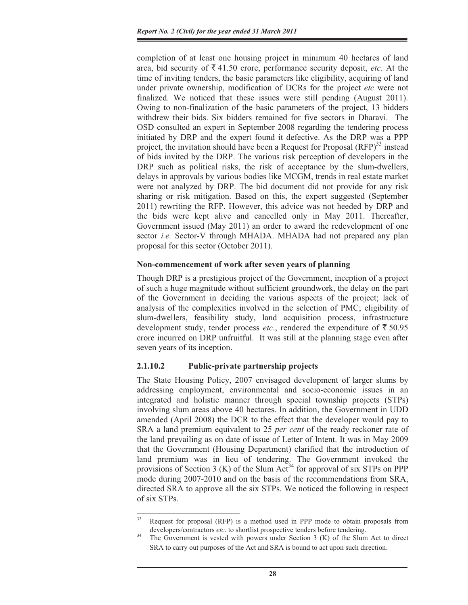completion of at least one housing project in minimum 40 hectares of land area, bid security of  $\bar{\xi}$  41.50 crore, performance security deposit, *etc*. At the time of inviting tenders, the basic parameters like eligibility, acquiring of land under private ownership, modification of DCRs for the project *etc* were not finalized. We noticed that these issues were still pending (August 2011). Owing to non-finalization of the basic parameters of the project, 13 bidders withdrew their bids. Six bidders remained for five sectors in Dharavi. The OSD consulted an expert in September 2008 regarding the tendering process initiated by DRP and the expert found it defective. As the DRP was a PPP project, the invitation should have been a Request for Proposal  $(RFP)^{33}$  instead of bids invited by the DRP. The various risk perception of developers in the DRP such as political risks, the risk of acceptance by the slum-dwellers, delays in approvals by various bodies like MCGM, trends in real estate market were not analyzed by DRP. The bid document did not provide for any risk sharing or risk mitigation. Based on this, the expert suggested (September 2011) rewriting the RFP. However, this advice was not heeded by DRP and the bids were kept alive and cancelled only in May 2011. Thereafter, Government issued (May 2011) an order to award the redevelopment of one sector *i.e.* Sector-V through MHADA. MHADA had not prepared any plan proposal for this sector (October 2011).

# **Non-commencement of work after seven years of planning**

Though DRP is a prestigious project of the Government, inception of a project of such a huge magnitude without sufficient groundwork, the delay on the part of the Government in deciding the various aspects of the project; lack of analysis of the complexities involved in the selection of PMC; eligibility of slum-dwellers, feasibility study, land acquisition process, infrastructure development study, tender process *etc.*, rendered the expenditure of  $\bar{\tau}$  50.95 crore incurred on DRP unfruitful. It was still at the planning stage even after seven years of its inception.

# **2.1.10.2 Public-private partnership projects**

The State Housing Policy, 2007 envisaged development of larger slums by addressing employment, environmental and socio-economic issues in an integrated and holistic manner through special township projects (STPs) involving slum areas above 40 hectares. In addition, the Government in UDD amended (April 2008) the DCR to the effect that the developer would pay to SRA a land premium equivalent to 25 *per cent* of the ready reckoner rate of the land prevailing as on date of issue of Letter of Intent. It was in May 2009 that the Government (Housing Department) clarified that the introduction of land premium was in lieu of tendering. The Government invoked the provisions of Section 3 (K) of the Slum Act<sup>34</sup> for approval of six STPs on PPP mode during 2007-2010 and on the basis of the recommendations from SRA, directed SRA to approve all the six STPs. We noticed the following in respect of six STPs.

<sup>&</sup>lt;sup>33</sup> Request for proposal (RFP) is a method used in PPP mode to obtain proposals from developers/contractors *etc*. to shortlist prospective tenders before tendering.<br>The Government is vested with powers under Section 3 (K) of the Slum Act to direct

SRA to carry out purposes of the Act and SRA is bound to act upon such direction.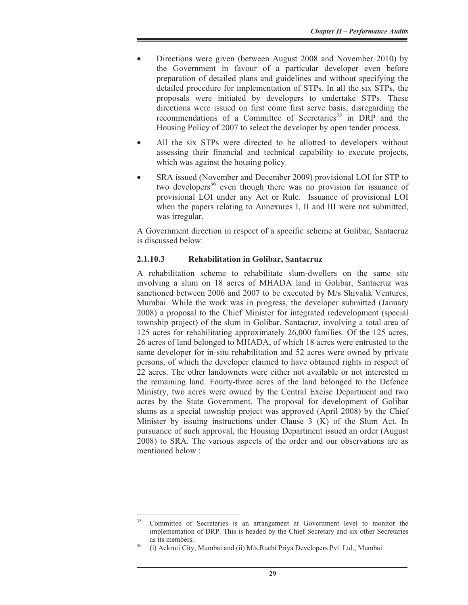- Directions were given (between August 2008 and November 2010) by the Government in favour of a particular developer even before preparation of detailed plans and guidelines and without specifying the detailed procedure for implementation of STPs. In all the six STPs, the proposals were initiated by developers to undertake STPs. These directions were issued on first come first serve basis, disregarding the recommendations of a Committee of Secretaries<sup>35</sup> in DRP and the Housing Policy of 2007 to select the developer by open tender process.
- All the six STPs were directed to be allotted to developers without assessing their financial and technical capability to execute projects, which was against the housing policy.
- SRA issued (November and December 2009) provisional LOI for STP to two developers<sup>36</sup> even though there was no provision for issuance of provisional LOI under any Act or Rule. Issuance of provisional LOI when the papers relating to Annexures I, II and III were not submitted, was irregular.

A Government direction in respect of a specific scheme at Golibar, Santacruz is discussed below:

#### **2.1.10.3 Rehabilitation in Golibar, Santacruz**

A rehabilitation scheme to rehabilitate slum-dwellers on the same site involving a slum on 18 acres of MHADA land in Golibar, Santacruz was sanctioned between 2006 and 2007 to be executed by M/s Shivalik Ventures, Mumbai. While the work was in progress, the developer submitted (January 2008) a proposal to the Chief Minister for integrated redevelopment (special township project) of the slum in Golibar, Santacruz, involving a total area of 125 acres for rehabilitating approximately 26,000 families. Of the 125 acres, 26 acres of land belonged to MHADA, of which 18 acres were entrusted to the same developer for in-situ rehabilitation and 52 acres were owned by private persons, of which the developer claimed to have obtained rights in respect of 22 acres. The other landowners were either not available or not interested in the remaining land. Fourty-three acres of the land belonged to the Defence Ministry, two acres were owned by the Central Excise Department and two acres by the State Government. The proposal for development of Golibar slums as a special township project was approved (April 2008) by the Chief Minister by issuing instructions under Clause 3 (K) of the Slum Act. In pursuance of such approval, the Housing Department issued an order (August 2008) to SRA. The various aspects of the order and our observations are as mentioned below :

<sup>&</sup>lt;sup>35</sup> Committee of Secretaries is an arrangement at Government level to monitor the implementation of DRP. This is headed by the Chief Secretary and six other Secretaries

as its members.<br>(i) Ackruti City, Mumbai and (ii) M/s.Ruchi Priya Developers Pvt. Ltd., Mumbai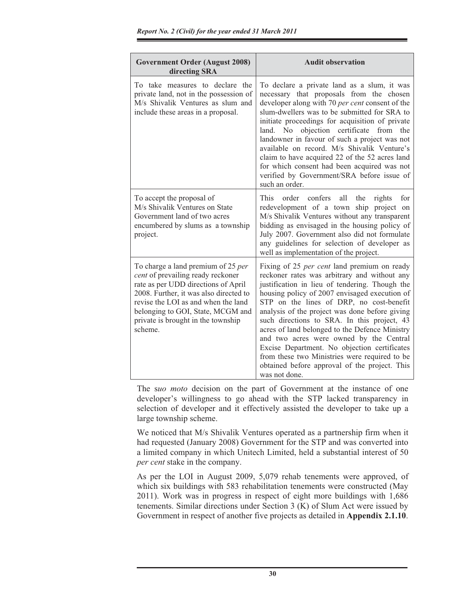| <b>Government Order (August 2008)</b><br>directing SRA                                                                                                                                                                                                                                | <b>Audit observation</b>                                                                                                                                                                                                                                                                                                                                                                                                                                                                                                                                                                                           |
|---------------------------------------------------------------------------------------------------------------------------------------------------------------------------------------------------------------------------------------------------------------------------------------|--------------------------------------------------------------------------------------------------------------------------------------------------------------------------------------------------------------------------------------------------------------------------------------------------------------------------------------------------------------------------------------------------------------------------------------------------------------------------------------------------------------------------------------------------------------------------------------------------------------------|
| To take measures to declare the<br>private land, not in the possession of<br>M/s Shivalik Ventures as slum and<br>include these areas in a proposal.                                                                                                                                  | To declare a private land as a slum, it was<br>necessary that proposals from the chosen<br>developer along with 70 per cent consent of the<br>slum-dwellers was to be submitted for SRA to<br>initiate proceedings for acquisition of private<br>land. No objection certificate from the<br>landowner in favour of such a project was not<br>available on record. M/s Shivalik Venture's<br>claim to have acquired 22 of the 52 acres land<br>for which consent had been acquired was not<br>verified by Government/SRA before issue of<br>such an order.                                                          |
| To accept the proposal of<br>M/s Shivalik Ventures on State<br>Government land of two acres<br>encumbered by slums as a township<br>project.                                                                                                                                          | order confers<br>all<br>the<br><b>This</b><br>rights<br>for<br>redevelopment of a town ship project on<br>M/s Shivalik Ventures without any transparent<br>bidding as envisaged in the housing policy of<br>July 2007. Government also did not formulate<br>any guidelines for selection of developer as<br>well as implementation of the project.                                                                                                                                                                                                                                                                 |
| To charge a land premium of 25 per<br>cent of prevailing ready reckoner<br>rate as per UDD directions of April<br>2008. Further, it was also directed to<br>revise the LOI as and when the land<br>belonging to GOI, State, MCGM and<br>private is brought in the township<br>scheme. | Fixing of 25 <i>per cent</i> land premium on ready<br>reckoner rates was arbitrary and without any<br>justification in lieu of tendering. Though the<br>housing policy of 2007 envisaged execution of<br>STP on the lines of DRP, no cost-benefit<br>analysis of the project was done before giving<br>such directions to SRA. In this project, 43<br>acres of land belonged to the Defence Ministry<br>and two acres were owned by the Central<br>Excise Department. No objection certificates<br>from these two Ministries were required to be<br>obtained before approval of the project. This<br>was not done. |

The s*uo moto* decision on the part of Government at the instance of one developer's willingness to go ahead with the STP lacked transparency in selection of developer and it effectively assisted the developer to take up a large township scheme.

We noticed that M/s Shivalik Ventures operated as a partnership firm when it had requested (January 2008) Government for the STP and was converted into a limited company in which Unitech Limited, held a substantial interest of 50 *per cent* stake in the company.

As per the LOI in August 2009, 5,079 rehab tenements were approved, of which six buildings with 583 rehabilitation tenements were constructed (May 2011). Work was in progress in respect of eight more buildings with 1,686 tenements. Similar directions under Section 3 (K) of Slum Act were issued by Government in respect of another five projects as detailed in **Appendix 2.1.10**.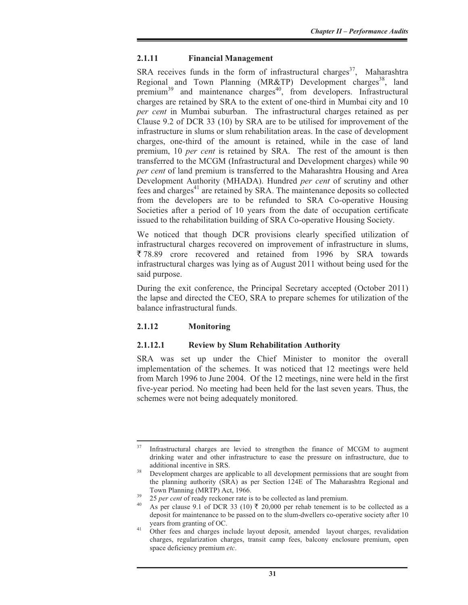#### **2.1.11 Financial Management**

SRA receives funds in the form of infrastructural charges<sup>37</sup>, Maharashtra Regional and Town Planning (MR&TP) Development charges<sup>38</sup>, land premium<sup>39</sup> and maintenance charges<sup>40</sup>, from developers. Infrastructural charges are retained by SRA to the extent of one-third in Mumbai city and 10 *per cent* in Mumbai suburban. The infrastructural charges retained as per Clause 9.2 of DCR 33 (10) by SRA are to be utilised for improvement of the infrastructure in slums or slum rehabilitation areas. In the case of development charges, one-third of the amount is retained, while in the case of land premium, 10 *per cent* is retained by SRA. The rest of the amount is then transferred to the MCGM (Infrastructural and Development charges) while 90 *per cent* of land premium is transferred to the Maharashtra Housing and Area Development Authority (MHADA). Hundred *per cent* of scrutiny and other fees and charges<sup>41</sup> are retained by SRA. The maintenance deposits so collected from the developers are to be refunded to SRA Co-operative Housing Societies after a period of 10 years from the date of occupation certificate issued to the rehabilitation building of SRA Co-operative Housing Society.

We noticed that though DCR provisions clearly specified utilization of infrastructural charges recovered on improvement of infrastructure in slums,  $\overline{5}$  78.89 crore recovered and retained from 1996 by SRA towards infrastructural charges was lying as of August 2011 without being used for the said purpose.

During the exit conference, the Principal Secretary accepted (October 2011) the lapse and directed the CEO, SRA to prepare schemes for utilization of the balance infrastructural funds.

# **2.1.12 Monitoring**

#### **2.1.12.1 Review by Slum Rehabilitation Authority**

SRA was set up under the Chief Minister to monitor the overall implementation of the schemes. It was noticed that 12 meetings were held from March 1996 to June 2004. Of the 12 meetings, nine were held in the first five-year period. No meeting had been held for the last seven years. Thus, the schemes were not being adequately monitored.

<sup>&</sup>lt;sup>37</sup> Infrastructural charges are levied to strengthen the finance of MCGM to augment drinking water and other infrastructure to ease the pressure on infrastructure, due to

additional incentive in SRS.<br><sup>38</sup> Development charges are applicable to all development permissions that are sought from the planning authority (SRA) as per Section 124E of The Maharashtra Regional and

Town Planning (MRTP) Act, 1966.<br><sup>39</sup> 25 *per cent* of ready reckoner rate is to be collected as land premium.<br><sup>40</sup> As per clause 9.1 of DCR 33 (10) ₹ 20,000 per rehab tenement is to be collected as a deposit for maintenance to be passed on to the slum-dwellers co-operative society after 10

years from granting of OC.<br><sup>41</sup> Other fees and charges include layout deposit, amended layout charges, revalidation charges, regularization charges, transit camp fees, balcony enclosure premium, open space deficiency premium *etc*.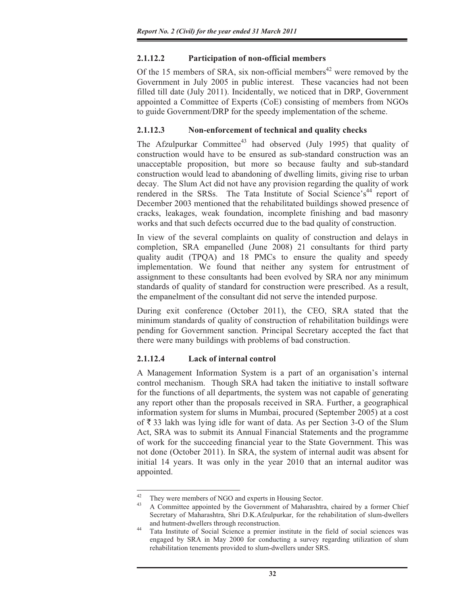# **2.1.12.2 Participation of non-official members**

Of the 15 members of SRA, six non-official members<sup>42</sup> were removed by the Government in July 2005 in public interest. These vacancies had not been filled till date (July 2011). Incidentally, we noticed that in DRP, Government appointed a Committee of Experts (CoE) consisting of members from NGOs to guide Government/DRP for the speedy implementation of the scheme.

# **2.1.12.3 Non-enforcement of technical and quality checks**

The Afzulpurkar Committee<sup>43</sup> had observed (July 1995) that quality of construction would have to be ensured as sub-standard construction was an unacceptable proposition, but more so because faulty and sub-standard construction would lead to abandoning of dwelling limits, giving rise to urban decay. The Slum Act did not have any provision regarding the quality of work rendered in the SRSs. The Tata Institute of Social Science's<sup>44</sup> report of December 2003 mentioned that the rehabilitated buildings showed presence of cracks, leakages, weak foundation, incomplete finishing and bad masonry works and that such defects occurred due to the bad quality of construction.

In view of the several complaints on quality of construction and delays in completion, SRA empanelled (June 2008) 21 consultants for third party quality audit (TPQA) and 18 PMCs to ensure the quality and speedy implementation. We found that neither any system for entrustment of assignment to these consultants had been evolved by SRA nor any minimum standards of quality of standard for construction were prescribed. As a result, the empanelment of the consultant did not serve the intended purpose.

During exit conference (October 2011), the CEO, SRA stated that the minimum standards of quality of construction of rehabilitation buildings were pending for Government sanction. Principal Secretary accepted the fact that there were many buildings with problems of bad construction.

# **2.1.12.4 Lack of internal control**

A Management Information System is a part of an organisation's internal control mechanism. Though SRA had taken the initiative to install software for the functions of all departments, the system was not capable of generating any report other than the proposals received in SRA. Further, a geographical information system for slums in Mumbai, procured (September 2005) at a cost of  $\bar{\xi}$  33 lakh was lying idle for want of data. As per Section 3-O of the Slum Act, SRA was to submit its Annual Financial Statements and the programme of work for the succeeding financial year to the State Government. This was not done (October 2011). In SRA, the system of internal audit was absent for initial 14 years. It was only in the year 2010 that an internal auditor was appointed.

<sup>&</sup>lt;sup>42</sup> They were members of NGO and experts in Housing Sector.

<sup>43</sup> A Committee appointed by the Government of Maharashtra, chaired by a former Chief Secretary of Maharashtra, Shri D.K.Afzulpurkar, for the rehabilitation of slum-dwellers and hutment-dwellers through reconstruction. 44 Tata Institute of Social Science a premier institute in the field of social sciences was

engaged by SRA in May 2000 for conducting a survey regarding utilization of slum rehabilitation tenements provided to slum-dwellers under SRS.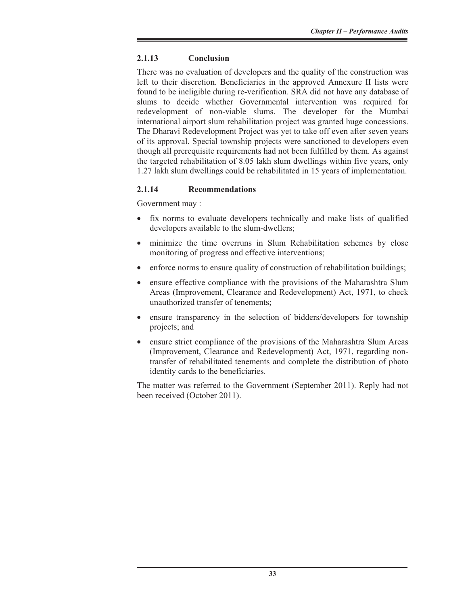# **2.1.13 Conclusion**

There was no evaluation of developers and the quality of the construction was left to their discretion. Beneficiaries in the approved Annexure II lists were found to be ineligible during re-verification. SRA did not have any database of slums to decide whether Governmental intervention was required for redevelopment of non-viable slums. The developer for the Mumbai international airport slum rehabilitation project was granted huge concessions. The Dharavi Redevelopment Project was yet to take off even after seven years of its approval. Special township projects were sanctioned to developers even though all prerequisite requirements had not been fulfilled by them. As against the targeted rehabilitation of 8.05 lakh slum dwellings within five years, only 1.27 lakh slum dwellings could be rehabilitated in 15 years of implementation.

# **2.1.14 Recommendations**

Government may :

- fix norms to evaluate developers technically and make lists of qualified developers available to the slum-dwellers;
- minimize the time overruns in Slum Rehabilitation schemes by close monitoring of progress and effective interventions;
- enforce norms to ensure quality of construction of rehabilitation buildings;
- ensure effective compliance with the provisions of the Maharashtra Slum Areas (Improvement, Clearance and Redevelopment) Act, 1971, to check unauthorized transfer of tenements;
- ensure transparency in the selection of bidders/developers for township projects; and
- ensure strict compliance of the provisions of the Maharashtra Slum Areas (Improvement, Clearance and Redevelopment) Act, 1971, regarding nontransfer of rehabilitated tenements and complete the distribution of photo identity cards to the beneficiaries.

The matter was referred to the Government (September 2011). Reply had not been received (October 2011).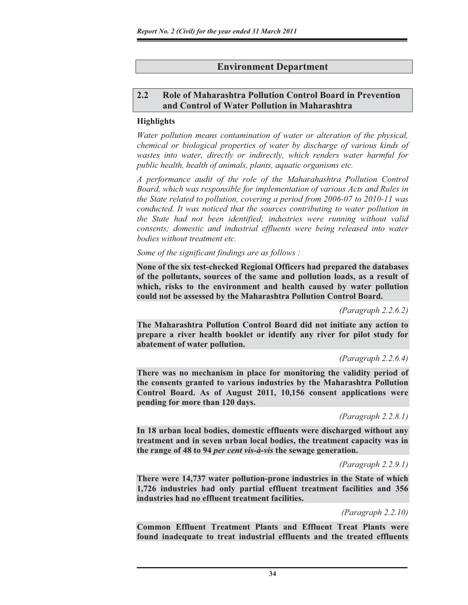# **Environment Department**

# **2.2 Role of Maharashtra Pollution Control Board in Prevention and Control of Water Pollution in Maharashtra**

#### **Highlights**

*Water pollution means contamination of water or alteration of the physical, chemical or biological properties of water by discharge of various kinds of wastes into water, directly or indirectly, which renders water harmful for public health, health of animals, plants, aquatic organisms etc.*

*A performance audit of the role of the Maharahashtra Pollution Control Board, which was responsible for implementation of various Acts and Rules in the State related to pollution, covering a period from 2006-07 to 2010-11 was conducted. It was noticed that the sources contributing to water pollution in the State had not been identified; industries were running without valid consents; domestic and industrial effluents were being released into water bodies without treatment etc.* 

#### *Some of the significant findings are as follows :*

**None of the six test-checked Regional Officers had prepared the databases of the pollutants, sources of the same and pollution loads, as a result of which, risks to the environment and health caused by water pollution could not be assessed by the Maharashtra Pollution Control Board.** 

*(Paragraph 2.2.6.2)* 

**The Maharashtra Pollution Control Board did not initiate any action to prepare a river health booklet or identify any river for pilot study for abatement of water pollution.** 

*(Paragraph 2.2.6.4)* 

**There was no mechanism in place for monitoring the validity period of the consents granted to various industries by the Maharashtra Pollution Control Board. As of August 2011, 10,156 consent applications were pending for more than 120 days.**

*(Paragraph 2.2.8.1)* 

**In 18 urban local bodies, domestic effluents were discharged without any treatment and in seven urban local bodies, the treatment capacity was in the range of 48 to 94** *per cent vis-à-vis* **the sewage generation.** 

*(Paragraph 2.2.9.1)* 

**There were 14,737 water pollution-prone industries in the State of which 1,726 industries had only partial effluent treatment facilities and 356 industries had no effluent treatment facilities.** 

*(Paragraph 2.2.10)* 

**Common Effluent Treatment Plants and Effluent Treat Plants were found inadequate to treat industrial effluents and the treated effluents**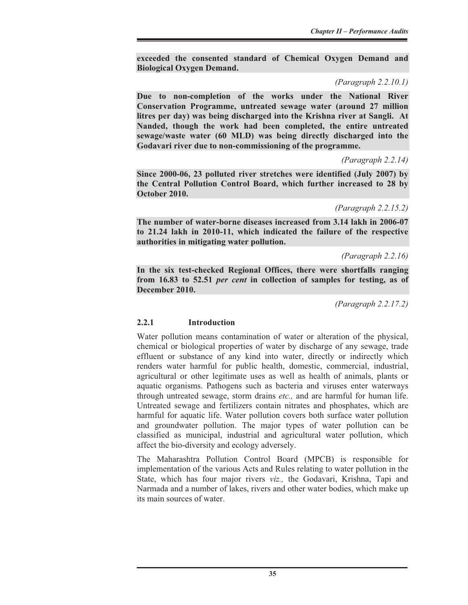**exceeded the consented standard of Chemical Oxygen Demand and Biological Oxygen Demand.** 

*(Paragraph 2.2.10.1)* 

**Due to non-completion of the works under the National River Conservation Programme, untreated sewage water (around 27 million litres per day) was being discharged into the Krishna river at Sangli. At Nanded, though the work had been completed, the entire untreated sewage/waste water (60 MLD) was being directly discharged into the Godavari river due to non-commissioning of the programme.** 

*(Paragraph 2.2.14)* 

**Since 2000-06, 23 polluted river stretches were identified (July 2007) by the Central Pollution Control Board, which further increased to 28 by October 2010.**

*(Paragraph 2.2.15.2)* 

**The number of water-borne diseases increased from 3.14 lakh in 2006-07 to 21.24 lakh in 2010-11, which indicated the failure of the respective authorities in mitigating water pollution.** 

*(Paragraph 2.2.16)* 

**In the six test-checked Regional Offices, there were shortfalls ranging from 16.83 to 52.51** *per cent* **in collection of samples for testing, as of December 2010.** 

*(Paragraph 2.2.17.2)* 

# **2.2.1 Introduction**

Water pollution means contamination of water or alteration of the physical, chemical or biological properties of water by discharge of any sewage, trade effluent or substance of any kind into water, directly or indirectly which renders water harmful for public health, domestic, commercial, industrial, agricultural or other legitimate uses as well as health of animals, plants or aquatic organisms. Pathogens such as bacteria and viruses enter waterways through untreated sewage, storm drains *etc.,* and are harmful for human life. Untreated sewage and fertilizers contain nitrates and phosphates, which are harmful for aquatic life. Water pollution covers both surface water pollution and groundwater pollution. The major types of water pollution can be classified as municipal, industrial and agricultural water pollution, which affect the bio-diversity and ecology adversely.

The Maharashtra Pollution Control Board (MPCB) is responsible for implementation of the various Acts and Rules relating to water pollution in the State, which has four major rivers *viz.,* the Godavari, Krishna, Tapi and Narmada and a number of lakes, rivers and other water bodies, which make up its main sources of water.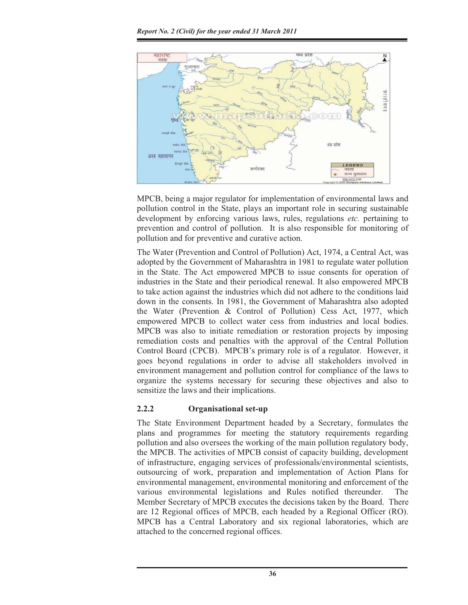

MPCB, being a major regulator for implementation of environmental laws and pollution control in the State, plays an important role in securing sustainable development by enforcing various laws, rules, regulations *etc.* pertaining to prevention and control of pollution. It is also responsible for monitoring of pollution and for preventive and curative action.

The Water (Prevention and Control of Pollution) Act, 1974, a Central Act, was adopted by the Government of Maharashtra in 1981 to regulate water pollution in the State. The Act empowered MPCB to issue consents for operation of industries in the State and their periodical renewal. It also empowered MPCB to take action against the industries which did not adhere to the conditions laid down in the consents. In 1981, the Government of Maharashtra also adopted the Water (Prevention & Control of Pollution) Cess Act, 1977, which empowered MPCB to collect water cess from industries and local bodies. MPCB was also to initiate remediation or restoration projects by imposing remediation costs and penalties with the approval of the Central Pollution Control Board (CPCB). MPCB's primary role is of a regulator. However, it goes beyond regulations in order to advise all stakeholders involved in environment management and pollution control for compliance of the laws to organize the systems necessary for securing these objectives and also to sensitize the laws and their implications.

# **2.2.2 Organisational set-up**

The State Environment Department headed by a Secretary, formulates the plans and programmes for meeting the statutory requirements regarding pollution and also oversees the working of the main pollution regulatory body, the MPCB. The activities of MPCB consist of capacity building, development of infrastructure, engaging services of professionals/environmental scientists, outsourcing of work, preparation and implementation of Action Plans for environmental management, environmental monitoring and enforcement of the various environmental legislations and Rules notified thereunder. The Member Secretary of MPCB executes the decisions taken by the Board. There are 12 Regional offices of MPCB, each headed by a Regional Officer (RO). MPCB has a Central Laboratory and six regional laboratories, which are attached to the concerned regional offices.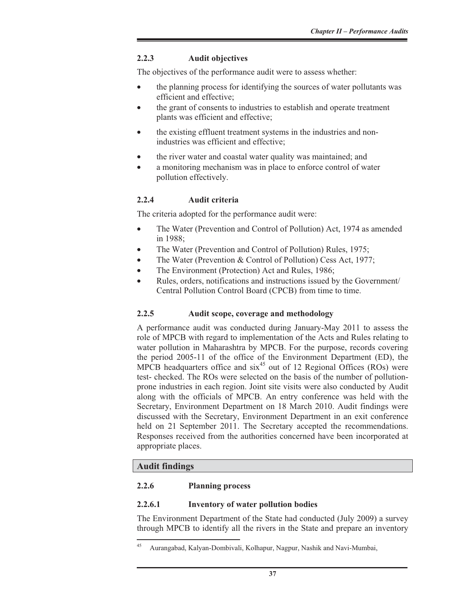# **2.2.3 Audit objectives**

The objectives of the performance audit were to assess whether:

- the planning process for identifying the sources of water pollutants was efficient and effective;
- the grant of consents to industries to establish and operate treatment plants was efficient and effective;
- the existing effluent treatment systems in the industries and nonindustries was efficient and effective;
- the river water and coastal water quality was maintained; and
- a monitoring mechanism was in place to enforce control of water pollution effectively.

# **2.2.4 Audit criteria**

The criteria adopted for the performance audit were:

- The Water (Prevention and Control of Pollution) Act, 1974 as amended in 1988;
- The Water (Prevention and Control of Pollution) Rules, 1975;
- The Water (Prevention  $&$  Control of Pollution) Cess Act, 1977;
- The Environment (Protection) Act and Rules, 1986;
- Rules, orders, notifications and instructions issued by the Government/ Central Pollution Control Board (CPCB) from time to time.

# **2.2.5 Audit scope, coverage and methodology**

A performance audit was conducted during January-May 2011 to assess the role of MPCB with regard to implementation of the Acts and Rules relating to water pollution in Maharashtra by MPCB. For the purpose, records covering the period 2005-11 of the office of the Environment Department (ED), the MPCB headquarters office and  $six^{45}$  out of 12 Regional Offices (ROs) were test- checked. The ROs were selected on the basis of the number of pollutionprone industries in each region. Joint site visits were also conducted by Audit along with the officials of MPCB. An entry conference was held with the Secretary, Environment Department on 18 March 2010. Audit findings were discussed with the Secretary, Environment Department in an exit conference held on 21 September 2011. The Secretary accepted the recommendations. Responses received from the authorities concerned have been incorporated at appropriate places.

# **Audit findings**

#### **2.2.6 Planning process**

#### **2.2.6.1 Inventory of water pollution bodies**

The Environment Department of the State had conducted (July 2009) a survey through MPCB to identify all the rivers in the State and prepare an inventory

<sup>45</sup> Aurangabad, Kalyan-Dombivali, Kolhapur, Nagpur, Nashik and Navi-Mumbai,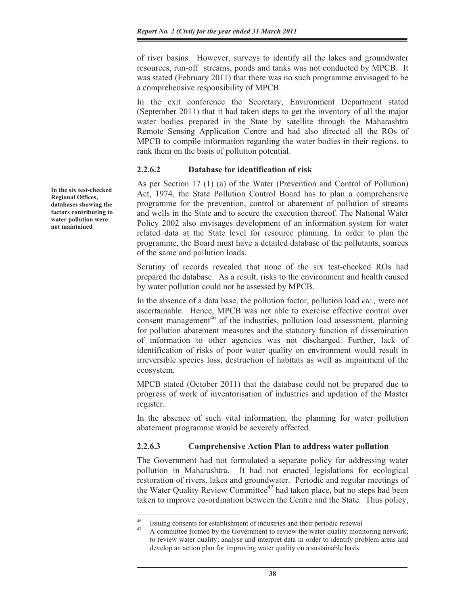of river basins. However, surveys to identify all the lakes and groundwater resources, run-off streams, ponds and tanks was not conducted by MPCB. It was stated (February 2011) that there was no such programme envisaged to be a comprehensive responsibility of MPCB.

In the exit conference the Secretary, Environment Department stated (September 2011) that it had taken steps to get the inventory of all the major water bodies prepared in the State by satellite through the Maharashtra Remote Sensing Application Centre and had also directed all the ROs of MPCB to compile information regarding the water bodies in their regions, to rank them on the basis of pollution potential.

#### **2.2.6.2 Database for identification of risk**

As per Section 17 (1) (a) of the Water (Prevention and Control of Pollution) Act, 1974, the State Pollution Control Board has to plan a comprehensive programme for the prevention, control or abatement of pollution of streams and wells in the State and to secure the execution thereof. The National Water Policy 2002 also envisages development of an information system for water related data at the State level for resource planning. In order to plan the programme, the Board must have a detailed database of the pollutants, sources of the same and pollution loads.

Scrutiny of records revealed that none of the six test-checked ROs had prepared the database. As a result, risks to the environment and health caused by water pollution could not be assessed by MPCB.

In the absence of a data base, the pollution factor, pollution load *etc.,* were not ascertainable. Hence, MPCB was not able to exercise effective control over consent management<sup>46</sup> of the industries, pollution load assessment, planning for pollution abatement measures and the statutory function of dissemination of information to other agencies was not discharged. Further, lack of identification of risks of poor water quality on environment would result in irreversible species loss, destruction of habitats as well as impairment of the ecosystem.

MPCB stated (October 2011) that the database could not be prepared due to progress of work of inventorisation of industries and updation of the Master register.

In the absence of such vital information, the planning for water pollution abatement programme would be severely affected.

#### **2.2.6.3 Comprehensive Action Plan to address water pollution**

The Government had not formulated a separate policy for addressing water pollution in Maharashtra. It had not enacted legislations for ecological restoration of rivers, lakes and groundwater. Periodic and regular meetings of the Water Quality Review Committee<sup>47</sup> had taken place, but no steps had been taken to improve co-ordination between the Centre and the State. Thus policy,

**In the six test-checked Regional Offices, databases showing the factors contributing to water pollution were not maintained** 

<sup>&</sup>lt;sup>46</sup> Issuing consents for establishment of industries and their periodic renewal<br><sup>47</sup> A committee formed by the Covernment to review the water quality monitor

A committee formed by the Government to review the water quality monitoring network; to review water quality; analyse and interpret data in order to identify problem areas and develop an action plan for improving water quality on a sustainable basis.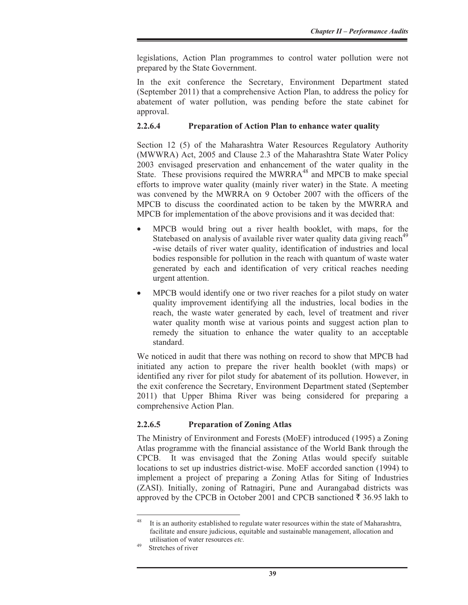legislations, Action Plan programmes to control water pollution were not prepared by the State Government.

In the exit conference the Secretary, Environment Department stated (September 2011) that a comprehensive Action Plan, to address the policy for abatement of water pollution, was pending before the state cabinet for approval.

#### **2.2.6.4 Preparation of Action Plan to enhance water quality**

Section 12 (5) of the Maharashtra Water Resources Regulatory Authority (MWWRA) Act, 2005 and Clause 2.3 of the Maharashtra State Water Policy 2003 envisaged preservation and enhancement of the water quality in the State. These provisions required the MWRRA<sup>48</sup> and MPCB to make special efforts to improve water quality (mainly river water) in the State. A meeting was convened by the MWRRA on 9 October 2007 with the officers of the MPCB to discuss the coordinated action to be taken by the MWRRA and MPCB for implementation of the above provisions and it was decided that:

- MPCB would bring out a river health booklet, with maps, for the Statebased on analysis of available river water quality data giving reach<sup>49</sup> **-**wise details of river water quality, identification of industries and local bodies responsible for pollution in the reach with quantum of waste water generated by each and identification of very critical reaches needing urgent attention.
- MPCB would identify one or two river reaches for a pilot study on water quality improvement identifying all the industries, local bodies in the reach, the waste water generated by each, level of treatment and river water quality month wise at various points and suggest action plan to remedy the situation to enhance the water quality to an acceptable standard.

We noticed in audit that there was nothing on record to show that MPCB had initiated any action to prepare the river health booklet (with maps) or identified any river for pilot study for abatement of its pollution. However, in the exit conference the Secretary, Environment Department stated (September 2011) that Upper Bhima River was being considered for preparing a comprehensive Action Plan.

# **2.2.6.5 Preparation of Zoning Atlas**

The Ministry of Environment and Forests (MoEF) introduced (1995) a Zoning Atlas programme with the financial assistance of the World Bank through the CPCB. It was envisaged that the Zoning Atlas would specify suitable locations to set up industries district-wise. MoEF accorded sanction (1994) to implement a project of preparing a Zoning Atlas for Siting of Industries (ZASI). Initially, zoning of Ratnagiri, Pune and Aurangabad districts was approved by the CPCB in October 2001 and CPCB sanctioned  $\bar{\tau}$  36.95 lakh to

It is an authority established to regulate water resources within the state of Maharashtra, facilitate and ensure judicious, equitable and sustainable management, allocation and utilisation of water resources *etc*.<br>Stretches of river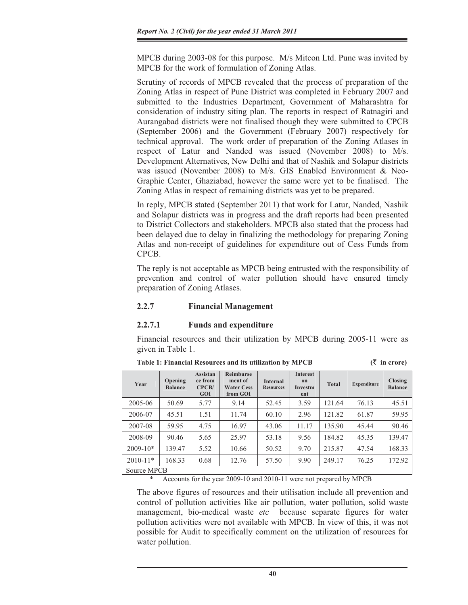MPCB during 2003-08 for this purpose. M/s Mitcon Ltd. Pune was invited by MPCB for the work of formulation of Zoning Atlas.

Scrutiny of records of MPCB revealed that the process of preparation of the Zoning Atlas in respect of Pune District was completed in February 2007 and submitted to the Industries Department, Government of Maharashtra for consideration of industry siting plan. The reports in respect of Ratnagiri and Aurangabad districts were not finalised though they were submitted to CPCB (September 2006) and the Government (February 2007) respectively for technical approval. The work order of preparation of the Zoning Atlases in respect of Latur and Nanded was issued (November 2008) to M/s. Development Alternatives, New Delhi and that of Nashik and Solapur districts was issued (November 2008) to M/s. GIS Enabled Environment & Neo-Graphic Center, Ghaziabad, however the same were yet to be finalised. The Zoning Atlas in respect of remaining districts was yet to be prepared.

In reply, MPCB stated (September 2011) that work for Latur, Nanded, Nashik and Solapur districts was in progress and the draft reports had been presented to District Collectors and stakeholders. MPCB also stated that the process had been delayed due to delay in finalizing the methodology for preparing Zoning Atlas and non-receipt of guidelines for expenditure out of Cess Funds from CPCB.

The reply is not acceptable as MPCB being entrusted with the responsibility of prevention and control of water pollution should have ensured timely preparation of Zoning Atlases.

#### **2.2.7 Financial Management**

#### **2.2.7.1 Funds and expenditure**

Financial resources and their utilization by MPCB during 2005-11 were as given in Table 1.

| Year         | Opening<br><b>Balance</b> | <b>Assistan</b><br>ce from<br>CPCB/<br><b>GOI</b> | <b>Reimburse</b><br>ment of<br><b>Water Cess</b><br>from GOI | <b>Internal</b><br><b>Resources</b> | <b>Interest</b><br>$_{0}n$<br>Investm<br>ent | <b>Total</b> | <b>Expenditure</b> | Closing<br><b>Balance</b> |
|--------------|---------------------------|---------------------------------------------------|--------------------------------------------------------------|-------------------------------------|----------------------------------------------|--------------|--------------------|---------------------------|
| 2005-06      | 50.69                     | 5.77                                              | 9.14                                                         | 52.45                               | 3.59                                         | 121.64       | 76.13              | 45.51                     |
| 2006-07      | 45.51                     | 1.51                                              | 11.74                                                        | 60.10                               | 2.96                                         | 121.82       | 61.87              | 59.95                     |
| 2007-08      | 59.95                     | 4.75                                              | 16.97                                                        | 43.06                               | 11.17                                        | 135.90       | 45.44              | 90.46                     |
| 2008-09      | 90.46                     | 5.65                                              | 25.97                                                        | 53.18                               | 9.56                                         | 184.82       | 45.35              | 139.47                    |
| $2009-10*$   | 139.47                    | 5.52                                              | 10.66                                                        | 50.52                               | 9.70                                         | 215.87       | 47.54              | 168.33                    |
| $2010 - 11*$ | 168.33                    | 0.68                                              | 12.76                                                        | 57.50                               | 9.90                                         | 249.17       | 76.25              | 172.92                    |
| Source MPCB  |                           |                                                   |                                                              |                                     |                                              |              |                    |                           |

**Table 1: Financial Resources and its utilization by MPCB (**` **in crore)** 

Accounts for the year 2009-10 and 2010-11 were not prepared by MPCB

The above figures of resources and their utilisation include all prevention and control of pollution activities like air pollution, water pollution, solid waste management, bio-medical waste *etc* because separate figures for water pollution activities were not available with MPCB. In view of this, it was not possible for Audit to specifically comment on the utilization of resources for water pollution.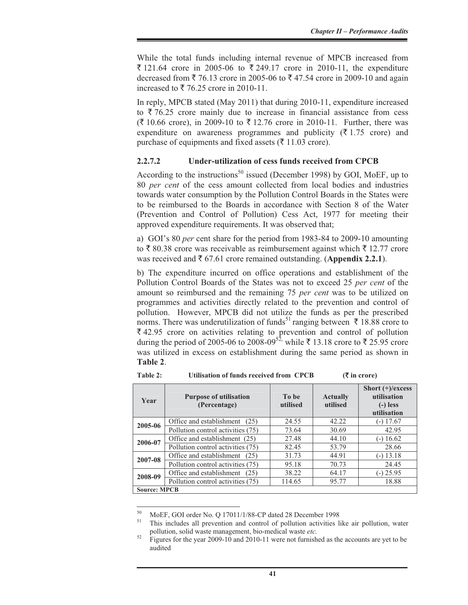While the total funds including internal revenue of MPCB increased from ₹ 121.64 crore in 2005-06 to ₹ 249.17 crore in 2010-11, the expenditure decreased from  $\bar{\xi}$  76.13 crore in 2005-06 to  $\bar{\xi}$  47.54 crore in 2009-10 and again increased to  $\overline{\xi}$  76.25 crore in 2010-11.

In reply, MPCB stated (May 2011) that during 2010-11, expenditure increased to  $\overline{\xi}$  76.25 crore mainly due to increase in financial assistance from cess  $({}^{2}\{10.66} \text{ core})$ , in 2009-10 to  $({}^{2}\{12.76} \text{ core})$  in 2010-11. Further, there was expenditure on awareness programmes and publicity ( $\bar{\tau}$  1.75 crore) and purchase of equipments and fixed assets ( $\bar{\tau}$  11.03 crore).

#### **2.2.7.2 Under-utilization of cess funds received from CPCB**

According to the instructions<sup>50</sup> issued (December 1998) by GOI, MoEF, up to 80 *per cent* of the cess amount collected from local bodies and industries towards water consumption by the Pollution Control Boards in the States were to be reimbursed to the Boards in accordance with Section 8 of the Water (Prevention and Control of Pollution) Cess Act, 1977 for meeting their approved expenditure requirements. It was observed that;

a) GOI's 80 *per* cent share for the period from 1983-84 to 2009-10 amounting to  $\bar{\xi}$  80.38 crore was receivable as reimbursement against which  $\bar{\xi}$  12.77 crore was received and  $\bar{\tau}$  67.61 crore remained outstanding. (Appendix 2.2.1).

b) The expenditure incurred on office operations and establishment of the Pollution Control Boards of the States was not to exceed 25 *per cent* of the amount so reimbursed and the remaining 75 *per cent* was to be utilized on programmes and activities directly related to the prevention and control of pollution. However, MPCB did not utilize the funds as per the prescribed norms. There was underutilization of funds<sup>51</sup> ranging between  $\bar{\tau}$  18.88 crore to  $\bar{\xi}$  42.95 crore on activities relating to prevention and control of pollution during the period of 2005-06 to 2008-09<sup>52,</sup> while ₹ 13.18 crore to ₹ 25.95 crore was utilized in excess on establishment during the same period as shown in **Table 2**.

| Year                | <b>Purpose of utilisation</b><br>(Percentage) | To be<br>utilised | <b>Actually</b><br>utilised | Short $(+)$ /excess<br>utilisation<br>$(-)$ less<br>utilisation |  |  |  |
|---------------------|-----------------------------------------------|-------------------|-----------------------------|-----------------------------------------------------------------|--|--|--|
| 2005-06             | Office and establishment (25)                 | 24.55             | 42.22                       | $(-)$ 17.67                                                     |  |  |  |
|                     | Pollution control activities (75)             | 73.64             | 30.69                       | 42.95                                                           |  |  |  |
| 2006-07             | Office and establishment (25)                 | 27.48             | 44.10                       | $-16.62$                                                        |  |  |  |
|                     | Pollution control activities (75)             | 82.45             | 53.79                       | 28.66                                                           |  |  |  |
| 2007-08             | Office and establishment (25)                 | 31.73             | 44.91                       | $(-)$ 13.18                                                     |  |  |  |
|                     | Pollution control activities (75)             | 95.18             | 70.73                       | 24.45                                                           |  |  |  |
| 2008-09             | Office and establishment<br>(25)              | 38.22             | 64.17                       | $(-)$ 25.95                                                     |  |  |  |
|                     | Pollution control activities (75)             | 114.65            | 95.77                       | 18.88                                                           |  |  |  |
| <b>Source: MPCB</b> |                                               |                   |                             |                                                                 |  |  |  |

**Table 2: Utilisation of funds received from CPCB (**` **in crore)** 

 $^{50}$  MoEF, GOI order No. Q 17011/1/88-CP dated 28 December 1998<br> $^{51}$  This includes all prevention and control of pollution activities li

This includes all prevention and control of pollution activities like air pollution, water pollution, solid waste management, bio-medical waste *etc*.<br><sup>52</sup> Figures for the year 2009-10 and 2010-11 were not furnished as the accounts are yet to be

audited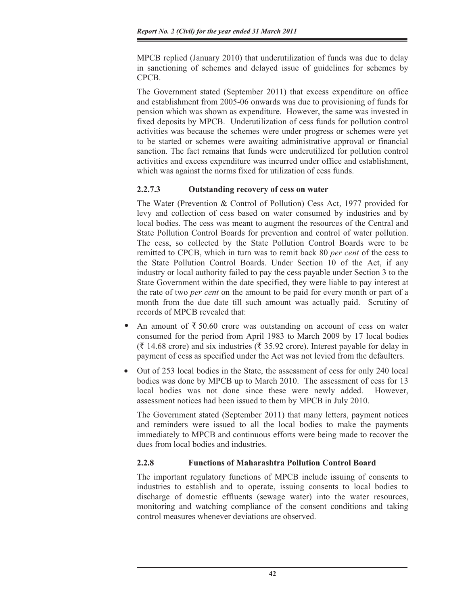MPCB replied (January 2010) that underutilization of funds was due to delay in sanctioning of schemes and delayed issue of guidelines for schemes by CPCB.

The Government stated (September 2011) that excess expenditure on office and establishment from 2005-06 onwards was due to provisioning of funds for pension which was shown as expenditure. However, the same was invested in fixed deposits by MPCB. Underutilization of cess funds for pollution control activities was because the schemes were under progress or schemes were yet to be started or schemes were awaiting administrative approval or financial sanction. The fact remains that funds were underutilized for pollution control activities and excess expenditure was incurred under office and establishment, which was against the norms fixed for utilization of cess funds.

# **2.2.7.3 Outstanding recovery of cess on water**

The Water (Prevention & Control of Pollution) Cess Act, 1977 provided for levy and collection of cess based on water consumed by industries and by local bodies. The cess was meant to augment the resources of the Central and State Pollution Control Boards for prevention and control of water pollution. The cess, so collected by the State Pollution Control Boards were to be remitted to CPCB, which in turn was to remit back 80 *per cent* of the cess to the State Pollution Control Boards. Under Section 10 of the Act, if any industry or local authority failed to pay the cess payable under Section 3 to the State Government within the date specified, they were liable to pay interest at the rate of two *per cent* on the amount to be paid for every month or part of a month from the due date till such amount was actually paid. Scrutiny of records of MPCB revealed that:

- An amount of  $\bar{\tau}$  50.60 crore was outstanding on account of cess on water consumed for the period from April 1983 to March 2009 by 17 local bodies  $(\bar{\mathfrak{F}})$  14.68 crore) and six industries ( $\bar{\mathfrak{F}}$  35.92 crore). Interest payable for delay in payment of cess as specified under the Act was not levied from the defaulters.  $\bullet$
- x Out of 253 local bodies in the State, the assessment of cess for only 240 local bodies was done by MPCB up to March 2010. The assessment of cess for 13 local bodies was not done since these were newly added. However, assessment notices had been issued to them by MPCB in July 2010.

The Government stated (September 2011) that many letters, payment notices and reminders were issued to all the local bodies to make the payments immediately to MPCB and continuous efforts were being made to recover the dues from local bodies and industries.

# **2.2.8 Functions of Maharashtra Pollution Control Board**

The important regulatory functions of MPCB include issuing of consents to industries to establish and to operate, issuing consents to local bodies to discharge of domestic effluents (sewage water) into the water resources, monitoring and watching compliance of the consent conditions and taking control measures whenever deviations are observed.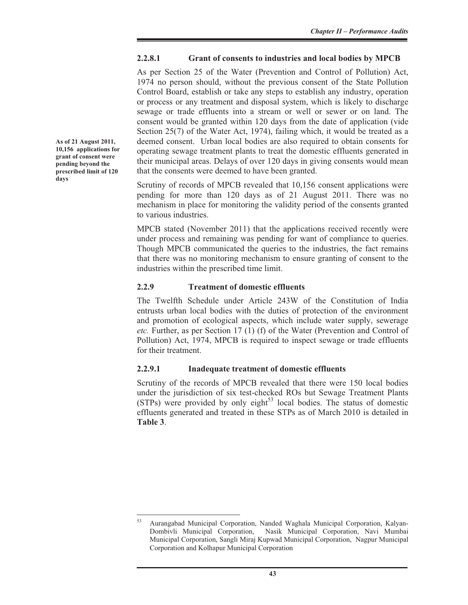# **2.2.8.1 Grant of consents to industries and local bodies by MPCB**

As per Section 25 of the Water (Prevention and Control of Pollution) Act, 1974 no person should, without the previous consent of the State Pollution Control Board, establish or take any steps to establish any industry, operation or process or any treatment and disposal system, which is likely to discharge sewage or trade effluents into a stream or well or sewer or on land. The consent would be granted within 120 days from the date of application (vide Section 25(7) of the Water Act, 1974), failing which, it would be treated as a deemed consent. Urban local bodies are also required to obtain consents for operating sewage treatment plants to treat the domestic effluents generated in their municipal areas. Delays of over 120 days in giving consents would mean that the consents were deemed to have been granted.

Scrutiny of records of MPCB revealed that 10,156 consent applications were pending for more than 120 days as of 21 August 2011. There was no mechanism in place for monitoring the validity period of the consents granted to various industries.

MPCB stated (November 2011) that the applications received recently were under process and remaining was pending for want of compliance to queries. Though MPCB communicated the queries to the industries, the fact remains that there was no monitoring mechanism to ensure granting of consent to the industries within the prescribed time limit.

#### **2.2.9 Treatment of domestic effluents**

The Twelfth Schedule under Article 243W of the Constitution of India entrusts urban local bodies with the duties of protection of the environment and promotion of ecological aspects, which include water supply, sewerage *etc.* Further, as per Section 17 (1) (f) of the Water (Prevention and Control of Pollution) Act, 1974, MPCB is required to inspect sewage or trade effluents for their treatment.

#### **2.2.9.1 Inadequate treatment of domestic effluents**

Scrutiny of the records of MPCB revealed that there were 150 local bodies under the jurisdiction of six test-checked ROs but Sewage Treatment Plants (STPs) were provided by only eight<sup>53</sup> local bodies. The status of domestic effluents generated and treated in these STPs as of March 2010 is detailed in **Table 3**.

**As of 21 August 2011, 10,156 applications for grant of consent were pending beyond the prescribed limit of 120 days** 

<sup>53</sup> Aurangabad Municipal Corporation, Nanded Waghala Municipal Corporation, Kalyan- Dombivli Municipal Corporation, Nasik Municipal Corporation, Navi Mumbai Municipal Corporation, Sangli Miraj Kupwad Municipal Corporation, Nagpur Municipal Corporation and Kolhapur Municipal Corporation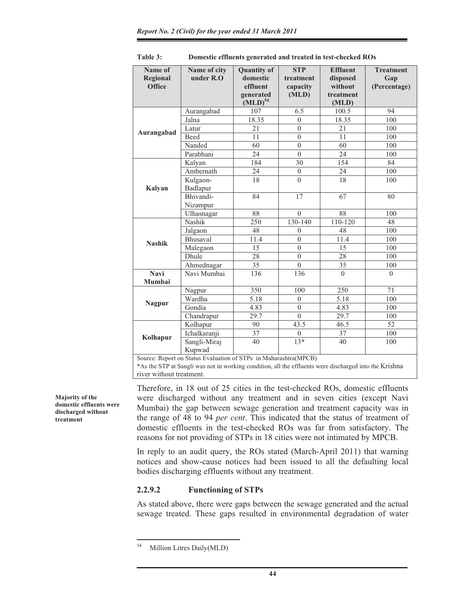| Name of<br><b>Regional</b><br><b>Office</b> | Name of city<br>under $R.O$ | <b>Quantity of</b><br>domestic<br>effluent<br>generated<br>(MLD) <sup>54</sup> | <b>STP</b><br>treatment<br>capacity<br>(MLD) | <b>Effluent</b><br>disposed<br>without<br>treatment<br>(MLD) | <b>Treatment</b><br>Gap<br>(Percentage) |
|---------------------------------------------|-----------------------------|--------------------------------------------------------------------------------|----------------------------------------------|--------------------------------------------------------------|-----------------------------------------|
|                                             | Aurangabad                  | 107                                                                            | 6.5                                          | 100.5                                                        | 94                                      |
|                                             | Jalna                       | 18.35                                                                          | $\theta$                                     | 18.35                                                        | 100                                     |
|                                             | Latur                       | 21                                                                             | $\boldsymbol{0}$                             | 21                                                           | 100                                     |
| Aurangabad                                  | Beed                        | 11                                                                             | $\theta$                                     | 11                                                           | 100                                     |
|                                             | Nanded                      | 60                                                                             | $\theta$                                     | 60                                                           | 100                                     |
|                                             | Parabhani                   | 24                                                                             | $\theta$                                     | 24                                                           | 100                                     |
|                                             | Kalyan                      | 184                                                                            | 30                                           | 154                                                          | 84                                      |
|                                             | Ambernath                   | 24                                                                             | $\mathbf{0}$                                 | 24                                                           | 100                                     |
|                                             | Kulgaon-                    | 18                                                                             | $\theta$                                     | 18                                                           | 100                                     |
| Kalyan                                      | Badlapur                    |                                                                                |                                              |                                                              |                                         |
|                                             | Bhivandi-                   | 84                                                                             | 17                                           | 67                                                           | 80                                      |
|                                             | Nizampur                    |                                                                                |                                              |                                                              |                                         |
|                                             | Ulhasnagar                  | 88                                                                             | $\overline{0}$                               | 88                                                           | 100                                     |
|                                             | Nashik                      | 250                                                                            | 130-140                                      | 110-120                                                      | 48                                      |
|                                             | Jalgaon                     | 48                                                                             | $\mathbf{0}$                                 | 48                                                           | 100                                     |
| <b>Nashik</b>                               | <b>Bhusaval</b>             | 11.4                                                                           | $\theta$                                     | 11.4                                                         | 100                                     |
|                                             | Malegaon                    | 15                                                                             | $\theta$                                     | 15                                                           | 100                                     |
|                                             | Dhule                       | 28                                                                             | $\theta$                                     | 28                                                           | 100                                     |
|                                             | Ahmednagar                  | 35                                                                             | $\theta$                                     | 35                                                           | 100                                     |
| <b>Navi</b>                                 | Navi Mumbai                 | 136                                                                            | 136                                          | $\theta$                                                     | $\theta$                                |
| Mumbai                                      |                             |                                                                                |                                              |                                                              |                                         |
|                                             | Nagpur                      | 350                                                                            | 100                                          | 250                                                          | 71                                      |
| <b>Nagpur</b>                               | Wardha                      | 5.18                                                                           | $\theta$                                     | 5.18                                                         | 100                                     |
|                                             | Gondia                      | 4.83                                                                           | $\theta$                                     | 4.83                                                         | 100                                     |
|                                             | Chandrapur                  | 29.7                                                                           | $\theta$                                     | 29.7                                                         | 100                                     |
|                                             | Kolhapur                    | 90                                                                             | 43.5                                         | 46.5                                                         | 52                                      |
| Kolhapur                                    | Ichalkaranji                | 37                                                                             | $\theta$                                     | 37                                                           | 100                                     |
|                                             | Sangli-Miraj<br>Kupwad      | 40                                                                             | $13*$                                        | 40                                                           | 100                                     |

**Table 3: Domestic effluents generated and treated in test-checked ROs** 

Source: Report on Status Evaluation of STPs in Maharashtra(MPCB)

\*As the STP at Sangli was not in working condition, all the effluents were discharged into the Krishna river without treatment.

Therefore, in 18 out of 25 cities in the test-checked ROs, domestic effluents were discharged without any treatment and in seven cities (except Navi Mumbai) the gap between sewage generation and treatment capacity was in the range of 48 to 94 *per cent*. This indicated that the status of treatment of domestic effluents in the test-checked ROs was far from satisfactory. The reasons for not providing of STPs in 18 cities were not intimated by MPCB.

In reply to an audit query, the ROs stated (March-April 2011) that warning notices and show-cause notices had been issued to all the defaulting local bodies discharging effluents without any treatment.

#### **2.2.9.2 Functioning of STPs**

As stated above, there were gaps between the sewage generated and the actual sewage treated. These gaps resulted in environmental degradation of water

**Majority of the domestic effluents were discharged without treatment**

<sup>54</sup> Million Litres Daily(MLD)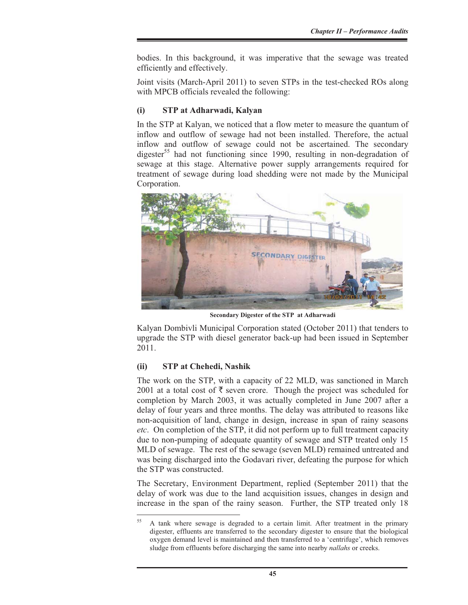bodies. In this background, it was imperative that the sewage was treated efficiently and effectively.

Joint visits (March-April 2011) to seven STPs in the test-checked ROs along with MPCB officials revealed the following:

#### **(i) STP at Adharwadi, Kalyan**

In the STP at Kalyan, we noticed that a flow meter to measure the quantum of inflow and outflow of sewage had not been installed. Therefore, the actual inflow and outflow of sewage could not be ascertained. The secondary digester<sup>55</sup> had not functioning since 1990, resulting in non-degradation of sewage at this stage. Alternative power supply arrangements required for treatment of sewage during load shedding were not made by the Municipal Corporation.



**Secondary Digester of the STP at Adharwadi**

Kalyan Dombivli Municipal Corporation stated (October 2011) that tenders to upgrade the STP with diesel generator back-up had been issued in September 2011.

#### **(ii) STP at Chehedi, Nashik**

The work on the STP, with a capacity of 22 MLD, was sanctioned in March 2001 at a total cost of  $\bar{\tau}$  seven crore. Though the project was scheduled for completion by March 2003, it was actually completed in June 2007 after a delay of four years and three months. The delay was attributed to reasons like non-acquisition of land, change in design, increase in span of rainy seasons *etc*. On completion of the STP, it did not perform up to full treatment capacity due to non-pumping of adequate quantity of sewage and STP treated only 15 MLD of sewage. The rest of the sewage (seven MLD) remained untreated and was being discharged into the Godavari river, defeating the purpose for which the STP was constructed.

The Secretary, Environment Department, replied (September 2011) that the delay of work was due to the land acquisition issues, changes in design and increase in the span of the rainy season. Further, the STP treated only 18

<sup>&</sup>lt;sup>55</sup> A tank where sewage is degraded to a certain limit. After treatment in the primary digester, effluents are transferred to the secondary digester to ensure that the biological oxygen demand level is maintained and then transferred to a 'centrifuge', which removes sludge from effluents before discharging the same into nearby *nallahs* or creeks.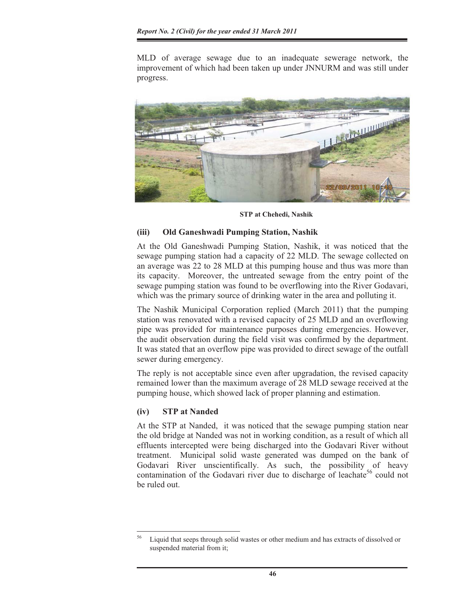MLD of average sewage due to an inadequate sewerage network, the improvement of which had been taken up under JNNURM and was still under progress.



**STP at Chehedi, Nashik**

#### **(iii) Old Ganeshwadi Pumping Station, Nashik**

At the Old Ganeshwadi Pumping Station, Nashik, it was noticed that the sewage pumping station had a capacity of 22 MLD. The sewage collected on an average was 22 to 28 MLD at this pumping house and thus was more than its capacity. Moreover, the untreated sewage from the entry point of the sewage pumping station was found to be overflowing into the River Godavari, which was the primary source of drinking water in the area and polluting it.

The Nashik Municipal Corporation replied (March 2011) that the pumping station was renovated with a revised capacity of 25 MLD and an overflowing pipe was provided for maintenance purposes during emergencies. However, the audit observation during the field visit was confirmed by the department. It was stated that an overflow pipe was provided to direct sewage of the outfall sewer during emergency.

The reply is not acceptable since even after upgradation, the revised capacity remained lower than the maximum average of 28 MLD sewage received at the pumping house, which showed lack of proper planning and estimation.

# **(iv) STP at Nanded**

At the STP at Nanded, it was noticed that the sewage pumping station near the old bridge at Nanded was not in working condition, as a result of which all effluents intercepted were being discharged into the Godavari River without treatment. Municipal solid waste generated was dumped on the bank of Godavari River unscientifically. As such, the possibility of heavy contamination of the Godavari river due to discharge of leachate<sup>56</sup> could not be ruled out.

<sup>56</sup> Liquid that seeps through solid wastes or other medium and has extracts of dissolved or suspended material from it;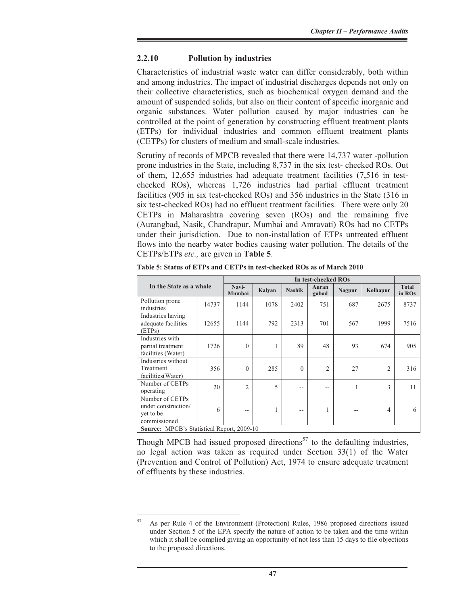### **2.2.10 Pollution by industries**

Characteristics of industrial waste water can differ considerably, both within and among industries. The impact of industrial discharges depends not only on their collective characteristics, such as biochemical oxygen demand and the amount of suspended solids, but also on their content of specific inorganic and organic substances. Water pollution caused by major industries can be controlled at the point of generation by constructing effluent treatment plants (ETPs) for individual industries and common effluent treatment plants (CETPs) for clusters of medium and small-scale industries.

Scrutiny of records of MPCB revealed that there were 14,737 water -pollution prone industries in the State, including 8,737 in the six test- checked ROs. Out of them, 12,655 industries had adequate treatment facilities (7,516 in testchecked ROs), whereas 1,726 industries had partial effluent treatment facilities (905 in six test-checked ROs) and 356 industries in the State (316 in six test-checked ROs) had no effluent treatment facilities. There were only 20 CETPs in Maharashtra covering seven (ROs) and the remaining five (Aurangbad, Nasik, Chandrapur, Mumbai and Amravati) ROs had no CETPs under their jurisdiction. Due to non-installation of ETPs untreated effluent flows into the nearby water bodies causing water pollution. The details of the CETPs/ETPs *etc.,* are given in **Table 5**.

|                                                                     |       |                 | In test-checked ROs |               |                |        |          |                        |  |  |
|---------------------------------------------------------------------|-------|-----------------|---------------------|---------------|----------------|--------|----------|------------------------|--|--|
| In the State as a whole                                             |       | Navi-<br>Mumbai | Kalvan              | <b>Nashik</b> | Auran<br>gabad | Nagpur | Kolhapur | <b>Total</b><br>in ROs |  |  |
| Pollution prone<br>industries                                       | 14737 | 1144            | 1078                | 2402          | 751            | 687    | 2675     | 8737                   |  |  |
| Industries having<br>adequate facilities<br>(ETPs)                  | 12655 | 1144            | 792                 | 2313          | 701            | 567    | 1999     | 7516                   |  |  |
| Industries with<br>partial treatment<br>facilities (Water)          | 1726  | $\Omega$        | 1                   | 89            | 48             | 93     | 674      | 905                    |  |  |
| Industries without<br>Treatment<br>facilities (Water)               | 356   | $\Omega$        | 285                 | $\Omega$      | 2              | 27     | 2        | 316                    |  |  |
| Number of CETPs<br>operating                                        | 20    | $\overline{2}$  | 5                   | $- -$         | --             | 1      | 3        | 11                     |  |  |
| Number of CETPs<br>under construction/<br>yet to be<br>commissioned | 6     | --              | 1                   | --            | 1              | $- -$  | 4        | 6                      |  |  |
| Source: MPCB's Statistical Report, 2009-10                          |       |                 |                     |               |                |        |          |                        |  |  |

**Table 5: Status of ETPs and CETPs in test-checked ROs as of March 2010** 

Though MPCB had issued proposed directions<sup>57</sup> to the defaulting industries, no legal action was taken as required under Section 33(1) of the Water (Prevention and Control of Pollution) Act, 1974 to ensure adequate treatment of effluents by these industries.

<sup>57</sup> As per Rule 4 of the Environment (Protection) Rules, 1986 proposed directions issued under Section 5 of the EPA specify the nature of action to be taken and the time within which it shall be complied giving an opportunity of not less than 15 days to file objections to the proposed directions.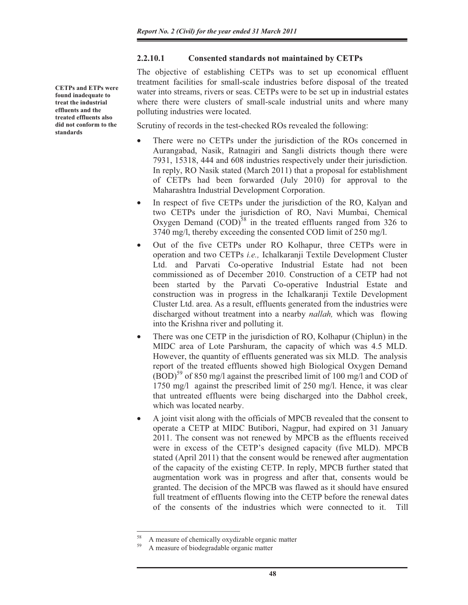#### **2.2.10.1 Consented standards not maintained by CETPs**

The objective of establishing CETPs was to set up economical effluent treatment facilities for small-scale industries before disposal of the treated water into streams, rivers or seas. CETPs were to be set up in industrial estates where there were clusters of small-scale industrial units and where many polluting industries were located.

Scrutiny of records in the test-checked ROs revealed the following:

- There were no CETPs under the jurisdiction of the ROs concerned in Aurangabad, Nasik, Ratnagiri and Sangli districts though there were 7931, 15318, 444 and 608 industries respectively under their jurisdiction. In reply, RO Nasik stated (March 2011) that a proposal for establishment of CETPs had been forwarded (July 2010) for approval to the Maharashtra Industrial Development Corporation.
- In respect of five CETPs under the jurisdiction of the RO, Kalyan and two CETPs under the jurisdiction of RO, Navi Mumbai, Chemical Oxygen Demand  $(COD)^{58}$  in the treated effluents ranged from 326 to 3740 mg/l, thereby exceeding the consented COD limit of 250 mg/l.
- Out of the five CETPs under RO Kolhapur, three CETPs were in operation and two CETPs *i.e.,* Ichalkaranji Textile Development Cluster Ltd. and Parvati Co-operative Industrial Estate had not been commissioned as of December 2010. Construction of a CETP had not been started by the Parvati Co-operative Industrial Estate and construction was in progress in the Ichalkaranji Textile Development Cluster Ltd. area. As a result, effluents generated from the industries were discharged without treatment into a nearby *nallah,* which was flowing into the Krishna river and polluting it.
- There was one CETP in the jurisdiction of RO, Kolhapur (Chiplun) in the MIDC area of Lote Parshuram, the capacity of which was 4.5 MLD. However, the quantity of effluents generated was six MLD. The analysis report of the treated effluents showed high Biological Oxygen Demand  $(BOD)^{59}$  of 850 mg/l against the prescribed limit of 100 mg/l and COD of 1750 mg/l against the prescribed limit of 250 mg/l. Hence, it was clear that untreated effluents were being discharged into the Dabhol creek, which was located nearby.
- A joint visit along with the officials of MPCB revealed that the consent to operate a CETP at MIDC Butibori, Nagpur, had expired on 31 January 2011. The consent was not renewed by MPCB as the effluents received were in excess of the CETP's designed capacity (five MLD). MPCB stated (April 2011) that the consent would be renewed after augmentation of the capacity of the existing CETP. In reply, MPCB further stated that augmentation work was in progress and after that, consents would be granted. The decision of the MPCB was flawed as it should have ensured full treatment of effluents flowing into the CETP before the renewal dates of the consents of the industries which were connected to it. Till

**CETPs and ETPs were found inadequate to treat the industrial effluents and the treated effluents also did not conform to the standards** 

<sup>58</sup> A measure of chemically oxydizable organic matter

<sup>59</sup> A measure of biodegradable organic matter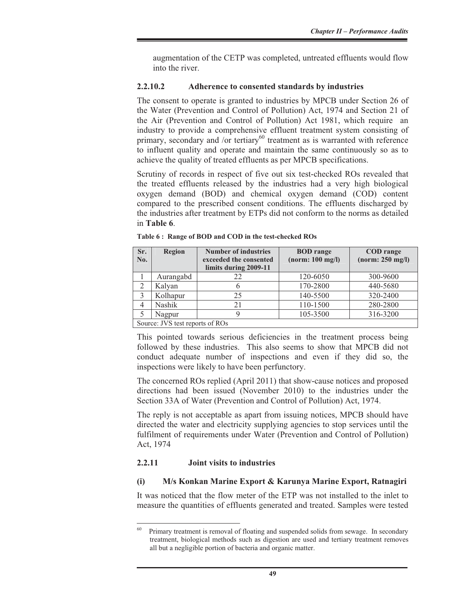augmentation of the CETP was completed, untreated effluents would flow into the river.

#### **2.2.10.2 Adherence to consented standards by industries**

The consent to operate is granted to industries by MPCB under Section 26 of the Water (Prevention and Control of Pollution) Act, 1974 and Section 21 of the Air (Prevention and Control of Pollution) Act 1981, which require an industry to provide a comprehensive effluent treatment system consisting of primary, secondary and /or tertiary $^{60}$  treatment as is warranted with reference to influent quality and operate and maintain the same continuously so as to achieve the quality of treated effluents as per MPCB specifications.

Scrutiny of records in respect of five out six test-checked ROs revealed that the treated effluents released by the industries had a very high biological oxygen demand (BOD) and chemical oxygen demand (COD) content compared to the prescribed consent conditions. The effluents discharged by the industries after treatment by ETPs did not conform to the norms as detailed in **Table 6**.

| Sr.<br>No.     | <b>Region</b>                   | <b>Number of industries</b><br>exceeded the consented<br>limits during 2009-11 | <b>BOD</b> range<br>(norm: 100 mg/l) | <b>COD</b> range<br>(norm: 250 mg/l) |
|----------------|---------------------------------|--------------------------------------------------------------------------------|--------------------------------------|--------------------------------------|
|                | Aurangabd                       | 22                                                                             | 120-6050                             | 300-9600                             |
| $\overline{2}$ | Kalyan                          | 6                                                                              | 170-2800                             | 440-5680                             |
| 3              | Kolhapur                        | 25                                                                             | 140-5500                             | 320-2400                             |
|                | Nashik                          | 21                                                                             | 110-1500                             | 280-2800                             |
| 5              | Nagpur                          |                                                                                | 105-3500                             | 316-3200                             |
|                | Source: JVS test reports of ROs |                                                                                |                                      |                                      |

**Table 6 : Range of BOD and COD in the test-checked ROs** 

This pointed towards serious deficiencies in the treatment process being followed by these industries. This also seems to show that MPCB did not conduct adequate number of inspections and even if they did so, the inspections were likely to have been perfunctory.

The concerned ROs replied (April 2011) that show-cause notices and proposed directions had been issued (November 2010) to the industries under the Section 33A of Water (Prevention and Control of Pollution) Act, 1974.

The reply is not acceptable as apart from issuing notices, MPCB should have directed the water and electricity supplying agencies to stop services until the fulfilment of requirements under Water (Prevention and Control of Pollution) Act, 1974

#### **2.2.11 Joint visits to industries**

#### **(i) M/s Konkan Marine Export & Karunya Marine Export, Ratnagiri**

It was noticed that the flow meter of the ETP was not installed to the inlet to measure the quantities of effluents generated and treated. Samples were tested

<sup>&</sup>lt;sup>60</sup> Primary treatment is removal of floating and suspended solids from sewage. In secondary treatment, biological methods such as digestion are used and tertiary treatment removes all but a negligible portion of bacteria and organic matter.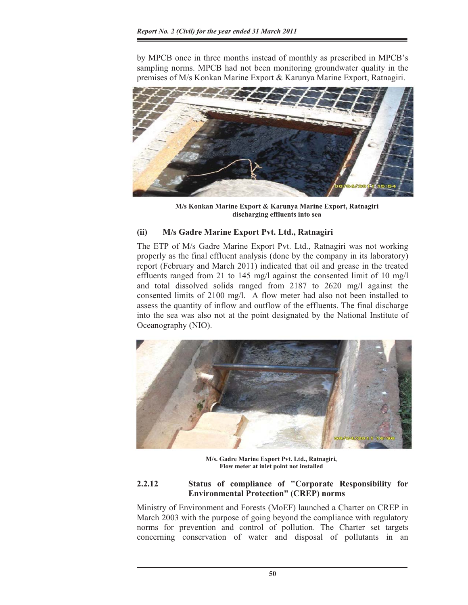by MPCB once in three months instead of monthly as prescribed in MPCB's sampling norms. MPCB had not been monitoring groundwater quality in the premises of M/s Konkan Marine Export & Karunya Marine Export, Ratnagiri.



**M/s Konkan Marine Export & Karunya Marine Export, Ratnagiri discharging effluents into sea** 

# **(ii) M/s Gadre Marine Export Pvt. Ltd., Ratnagiri**

The ETP of M/s Gadre Marine Export Pvt. Ltd., Ratnagiri was not working properly as the final effluent analysis (done by the company in its laboratory) report (February and March 2011) indicated that oil and grease in the treated effluents ranged from 21 to 145 mg/l against the consented limit of 10 mg/l and total dissolved solids ranged from 2187 to 2620 mg/l against the consented limits of 2100 mg/l. A flow meter had also not been installed to assess the quantity of inflow and outflow of the effluents. The final discharge into the sea was also not at the point designated by the National Institute of Oceanography (NIO).



**M/s. Gadre Marine Export Pvt. Ltd., Ratnagiri, Flow meter at inlet point not installed**

# **2.2.12 Status of compliance of "Corporate Responsibility for Environmental Protection" (CREP) norms**

Ministry of Environment and Forests (MoEF) launched a Charter on CREP in March 2003 with the purpose of going beyond the compliance with regulatory norms for prevention and control of pollution. The Charter set targets concerning conservation of water and disposal of pollutants in an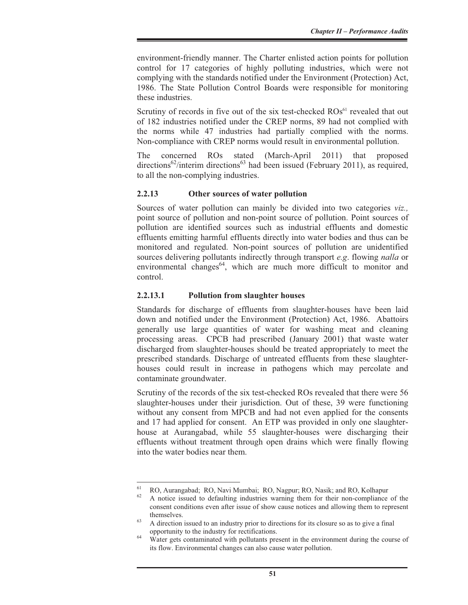environment-friendly manner. The Charter enlisted action points for pollution control for 17 categories of highly polluting industries, which were not complying with the standards notified under the Environment (Protection) Act, 1986. The State Pollution Control Boards were responsible for monitoring these industries.

Scrutiny of records in five out of the six test-checked  $ROS<sup>61</sup>$  revealed that out of 182 industries notified under the CREP norms, 89 had not complied with the norms while 47 industries had partially complied with the norms. Non-compliance with CREP norms would result in environmental pollution.

The concerned ROs stated (March-April 2011) that proposed  $directions^{62}/interim directions<sup>63</sup>$  had been issued (February 2011), as required, to all the non-complying industries.

### **2.2.13 Other sources of water pollution**

Sources of water pollution can mainly be divided into two categories *viz.,* point source of pollution and non-point source of pollution. Point sources of pollution are identified sources such as industrial effluents and domestic effluents emitting harmful effluents directly into water bodies and thus can be monitored and regulated. Non-point sources of pollution are unidentified sources delivering pollutants indirectly through transport *e.g*. flowing *nalla* or environmental changes<sup>64</sup>, which are much more difficult to monitor and control.

### **2.2.13.1 Pollution from slaughter houses**

Standards for discharge of effluents from slaughter-houses have been laid down and notified under the Environment (Protection) Act, 1986. Abattoirs generally use large quantities of water for washing meat and cleaning processing areas. CPCB had prescribed (January 2001) that waste water discharged from slaughter-houses should be treated appropriately to meet the prescribed standards. Discharge of untreated effluents from these slaughterhouses could result in increase in pathogens which may percolate and contaminate groundwater.

Scrutiny of the records of the six test-checked ROs revealed that there were 56 slaughter-houses under their jurisdiction. Out of these, 39 were functioning without any consent from MPCB and had not even applied for the consents and 17 had applied for consent. An ETP was provided in only one slaughterhouse at Aurangabad, while 55 slaughter-houses were discharging their effluents without treatment through open drains which were finally flowing into the water bodies near them.

<sup>&</sup>lt;sup>61</sup> RO, Aurangabad; RO, Navi Mumbai; RO, Nagpur; RO, Nasik; and RO, Kolhapur

<sup>62</sup> A notice issued to defaulting industries warning them for their non-compliance of the consent conditions even after issue of show cause notices and allowing them to represent themselves.<br><sup>63</sup> A direction issued to an industry prior to directions for its closure so as to give a final

opportunity to the industry for rectifications.<br><sup>64</sup> Water gets contaminated with pollutants present in the environment during the course of its flow. Environmental changes can also cause water pollution.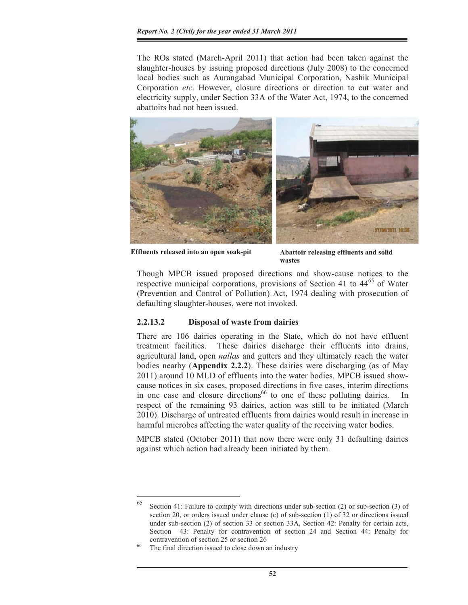The ROs stated (March-April 2011) that action had been taken against the slaughter-houses by issuing proposed directions (July 2008) to the concerned local bodies such as Aurangabad Municipal Corporation, Nashik Municipal Corporation *etc*. However, closure directions or direction to cut water and electricity supply, under Section 33A of the Water Act, 1974, to the concerned abattoirs had not been issued.



**Effluents released into an open soak-pit Abattoir releasing effluents and solid** 

**wastes**

Though MPCB issued proposed directions and show-cause notices to the respective municipal corporations, provisions of Section 41 to  $44<sup>65</sup>$  of Water (Prevention and Control of Pollution) Act, 1974 dealing with prosecution of defaulting slaughter-houses, were not invoked.

# **2.2.13.2 Disposal of waste from dairies**

There are 106 dairies operating in the State, which do not have effluent treatment facilities. These dairies discharge their effluents into drains, agricultural land, open *nallas* and gutters and they ultimately reach the water bodies nearby (**Appendix 2.2.2**). These dairies were discharging (as of May 2011) around 10 MLD of effluents into the water bodies. MPCB issued showcause notices in six cases, proposed directions in five cases, interim directions in one case and closure directions<sup>66</sup> to one of these polluting dairies. In respect of the remaining 93 dairies, action was still to be initiated (March 2010). Discharge of untreated effluents from dairies would result in increase in harmful microbes affecting the water quality of the receiving water bodies.

MPCB stated (October 2011) that now there were only 31 defaulting dairies against which action had already been initiated by them.

 $65$  Section 41: Failure to comply with directions under sub-section (2) or sub-section (3) of section 20, or orders issued under clause (c) of sub-section (1) of 32 or directions issued under sub-section (2) of section 33 or section 33A, Section 42: Penalty for certain acts, Section 43: Penalty for contravention of section 24 and Section 44: Penalty for contravention of section  $25$  or section  $26$ <br>The final direction issued to close down an industry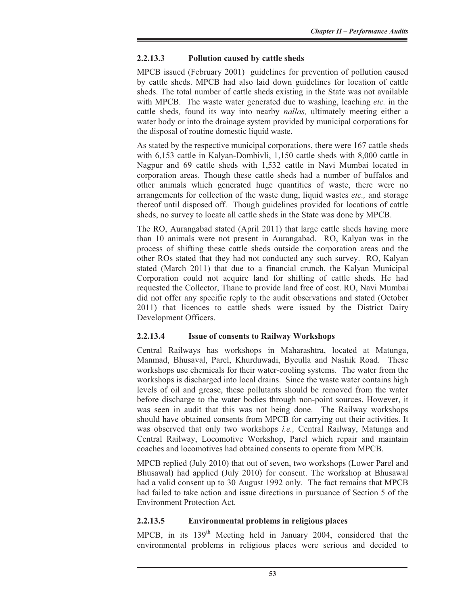# **2.2.13.3 Pollution caused by cattle sheds**

MPCB issued (February 2001) guidelines for prevention of pollution caused by cattle sheds. MPCB had also laid down guidelines for location of cattle sheds. The total number of cattle sheds existing in the State was not available with MPCB. The waste water generated due to washing, leaching *etc.* in the cattle sheds*,* found its way into nearby *nallas,* ultimately meeting either a water body or into the drainage system provided by municipal corporations for the disposal of routine domestic liquid waste.

As stated by the respective municipal corporations, there were 167 cattle sheds with 6,153 cattle in Kalyan-Dombivli, 1,150 cattle sheds with 8,000 cattle in Nagpur and 69 cattle sheds with 1,532 cattle in Navi Mumbai located in corporation areas. Though these cattle sheds had a number of buffalos and other animals which generated huge quantities of waste, there were no arrangements for collection of the waste dung, liquid wastes *etc.,* and storage thereof until disposed off. Though guidelines provided for locations of cattle sheds, no survey to locate all cattle sheds in the State was done by MPCB.

The RO, Aurangabad stated (April 2011) that large cattle sheds having more than 10 animals were not present in Aurangabad. RO, Kalyan was in the process of shifting these cattle sheds outside the corporation areas and the other ROs stated that they had not conducted any such survey. RO, Kalyan stated (March 2011) that due to a financial crunch, the Kalyan Municipal Corporation could not acquire land for shifting of cattle sheds*.* He had requested the Collector, Thane to provide land free of cost. RO, Navi Mumbai did not offer any specific reply to the audit observations and stated (October 2011) that licences to cattle sheds were issued by the District Dairy Development Officers.

# **2.2.13.4 Issue of consents to Railway Workshops**

Central Railways has workshops in Maharashtra, located at Matunga, Manmad, Bhusaval, Parel, Khurduwadi, Byculla and Nashik Road. These workshops use chemicals for their water-cooling systems. The water from the workshops is discharged into local drains. Since the waste water contains high levels of oil and grease, these pollutants should be removed from the water before discharge to the water bodies through non-point sources. However, it was seen in audit that this was not being done. The Railway workshops should have obtained consents from MPCB for carrying out their activities. It was observed that only two workshops *i.e.,* Central Railway, Matunga and Central Railway, Locomotive Workshop, Parel which repair and maintain coaches and locomotives had obtained consents to operate from MPCB.

MPCB replied (July 2010) that out of seven, two workshops (Lower Parel and Bhusawal) had applied (July 2010) for consent. The workshop at Bhusawal had a valid consent up to 30 August 1992 only. The fact remains that MPCB had failed to take action and issue directions in pursuance of Section 5 of the Environment Protection Act.

# **2.2.13.5 Environmental problems in religious places**

MPCB, in its 139<sup>th</sup> Meeting held in January 2004, considered that the environmental problems in religious places were serious and decided to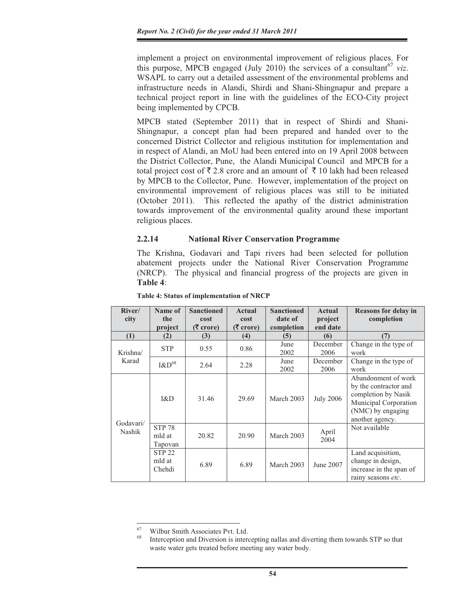implement a project on environmental improvement of religious places. For this purpose, MPCB engaged (July 2010) the services of a consultant  $67$  *viz*. WSAPL to carry out a detailed assessment of the environmental problems and infrastructure needs in Alandi, Shirdi and Shani-Shingnapur and prepare a technical project report in line with the guidelines of the ECO-City project being implemented by CPCB.

MPCB stated (September 2011) that in respect of Shirdi and Shani-Shingnapur, a concept plan had been prepared and handed over to the concerned District Collector and religious institution for implementation and in respect of Alandi, an MoU had been entered into on 19 April 2008 between the District Collector, Pune, the Alandi Municipal Council and MPCB for a total project cost of  $\bar{\tau}$  2.8 crore and an amount of  $\bar{\tau}$  10 lakh had been released by MPCB to the Collector, Pune. However, implementation of the project on environmental improvement of religious places was still to be initiated (October 2011). This reflected the apathy of the district administration towards improvement of the environmental quality around these important religious places.

# **2.2.14 National River Conservation Programme**

The Krishna, Godavari and Tapi rivers had been selected for pollution abatement projects under the National River Conservation Programme (NRCP). The physical and financial progress of the projects are given in **Table 4**:

| River/<br>city      | Name of<br>the<br>project          | <b>Sanctioned</b><br>cost<br>$(3 \text{ core})$ | <b>Actual</b><br>cost<br>$(5 \text{ core})$ | <b>Sanctioned</b><br>date of<br>completion | <b>Actual</b><br>project<br>end date | <b>Reasons for delay in</b><br>completion                                                                                            |
|---------------------|------------------------------------|-------------------------------------------------|---------------------------------------------|--------------------------------------------|--------------------------------------|--------------------------------------------------------------------------------------------------------------------------------------|
| (1)                 | (2)                                | (3)                                             | (4)                                         | (5)                                        | (6)                                  | (7)                                                                                                                                  |
| Krishna/<br>Karad   | <b>STP</b>                         | 0.55                                            | 0.86                                        | June<br>2002                               | December<br>2006                     | Change in the type of<br>work                                                                                                        |
|                     | $I&D^{68}$                         | 2.64                                            | 2.28                                        | June<br>2002                               | December<br>2006                     | Change in the type of<br>work                                                                                                        |
|                     | RCD                                | 31.46                                           | 29.69                                       | March 2003                                 | <b>July 2006</b>                     | Abandonment of work<br>by the contractor and<br>completion by Nasik<br>Municipal Corporation<br>(NMC) by engaging<br>another agency. |
| Godavari/<br>Nashik | <b>STP 78</b><br>mld at<br>Tapovan | 20.82                                           | 20.90                                       | March 2003                                 | April<br>2004                        | Not available                                                                                                                        |
|                     | <b>STP 22</b><br>mld at<br>Chehdi  | 6.89                                            | 6.89                                        | March 2003                                 | June 2007                            | Land acquisition,<br>change in design,<br>increase in the span of<br>rainy seasons etc.                                              |

#### **Table 4: Status of implementation of NRCP**

 $^{67}$  Wilbur Smith Associates Pvt. Ltd.

<sup>68</sup> Interception and Diversion is intercepting nallas and diverting them towards STP so that waste water gets treated before meeting any water body.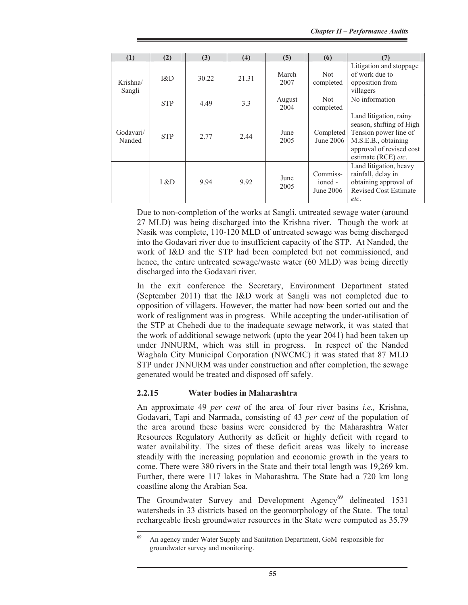| (1)                 | (2)        | (3)   | (4)   | (5)            | (6)                              | (7)                                                                                                                                                   |
|---------------------|------------|-------|-------|----------------|----------------------------------|-------------------------------------------------------------------------------------------------------------------------------------------------------|
| Krishna/<br>Sangli  | RCD        | 30.22 | 21.31 | March<br>2007  | Not<br>completed                 | Litigation and stoppage<br>of work due to<br>opposition from<br>villagers                                                                             |
|                     | <b>STP</b> | 4.49  | 3.3   | August<br>2004 | <b>Not</b><br>completed          | No information                                                                                                                                        |
| Godavari/<br>Nanded | <b>STP</b> | 2.77  | 2.44  | June<br>2005   | Completed<br>June 2006           | Land litigation, rainy<br>season, shifting of High<br>Tension power line of<br>M.S.E.B., obtaining<br>approval of revised cost<br>estimate (RCE) etc. |
|                     | 1 & D      | 9.94  | 9.92  | June<br>2005   | Commiss-<br>ioned -<br>June 2006 | Land litigation, heavy<br>rainfall, delay in<br>obtaining approval of<br><b>Revised Cost Estimate</b><br>etc.                                         |

Due to non-completion of the works at Sangli, untreated sewage water (around 27 MLD) was being discharged into the Krishna river. Though the work at Nasik was complete, 110-120 MLD of untreated sewage was being discharged into the Godavari river due to insufficient capacity of the STP. At Nanded, the work of I&D and the STP had been completed but not commissioned, and hence, the entire untreated sewage/waste water (60 MLD) was being directly discharged into the Godavari river.

In the exit conference the Secretary, Environment Department stated (September 2011) that the I&D work at Sangli was not completed due to opposition of villagers. However, the matter had now been sorted out and the work of realignment was in progress. While accepting the under-utilisation of the STP at Chehedi due to the inadequate sewage network, it was stated that the work of additional sewage network (upto the year 2041) had been taken up under JNNURM, which was still in progress. In respect of the Nanded Waghala City Municipal Corporation (NWCMC) it was stated that 87 MLD STP under JNNURM was under construction and after completion, the sewage generated would be treated and disposed off safely.

# **2.2.15 Water bodies in Maharashtra**

An approximate 49 *per cent* of the area of four river basins *i.e.,* Krishna, Godavari, Tapi and Narmada, consisting of 43 *per cent* of the population of the area around these basins were considered by the Maharashtra Water Resources Regulatory Authority as deficit or highly deficit with regard to water availability. The sizes of these deficit areas was likely to increase steadily with the increasing population and economic growth in the years to come. There were 380 rivers in the State and their total length was 19,269 km. Further, there were 117 lakes in Maharashtra. The State had a 720 km long coastline along the Arabian Sea.

The Groundwater Survey and Development Agency<sup>69</sup> delineated 1531 watersheds in 33 districts based on the geomorphology of the State. The total rechargeable fresh groundwater resources in the State were computed as 35.79

<sup>69</sup> An agency under Water Supply and Sanitation Department, GoM responsible for groundwater survey and monitoring.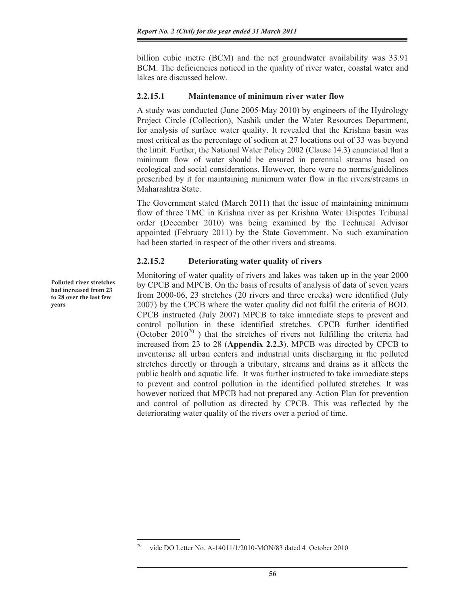billion cubic metre (BCM) and the net groundwater availability was 33.91 BCM. The deficiencies noticed in the quality of river water, coastal water and lakes are discussed below.

#### **2.2.15.1 Maintenance of minimum river water flow**

A study was conducted (June 2005-May 2010) by engineers of the Hydrology Project Circle (Collection), Nashik under the Water Resources Department, for analysis of surface water quality. It revealed that the Krishna basin was most critical as the percentage of sodium at 27 locations out of 33 was beyond the limit. Further, the National Water Policy 2002 (Clause 14.3) enunciated that a minimum flow of water should be ensured in perennial streams based on ecological and social considerations. However, there were no norms/guidelines prescribed by it for maintaining minimum water flow in the rivers/streams in Maharashtra State.

The Government stated (March 2011) that the issue of maintaining minimum flow of three TMC in Krishna river as per Krishna Water Disputes Tribunal order (December 2010) was being examined by the Technical Advisor appointed (February 2011) by the State Government. No such examination had been started in respect of the other rivers and streams.

### **2.2.15.2 Deteriorating water quality of rivers**

Monitoring of water quality of rivers and lakes was taken up in the year 2000 by CPCB and MPCB. On the basis of results of analysis of data of seven years from 2000-06, 23 stretches (20 rivers and three creeks) were identified (July 2007) by the CPCB where the water quality did not fulfil the criteria of BOD. CPCB instructed (July 2007) MPCB to take immediate steps to prevent and control pollution in these identified stretches. CPCB further identified (October  $2010^{70}$ ) that the stretches of rivers not fulfilling the criteria had increased from 23 to 28 (**Appendix 2.2.3**). MPCB was directed by CPCB to inventorise all urban centers and industrial units discharging in the polluted stretches directly or through a tributary, streams and drains as it affects the public health and aquatic life. It was further instructed to take immediate steps to prevent and control pollution in the identified polluted stretches. It was however noticed that MPCB had not prepared any Action Plan for prevention and control of pollution as directed by CPCB. This was reflected by the deteriorating water quality of the rivers over a period of time.

**Polluted river stretches had increased from 23 to 28 over the last few years** 

<sup>&</sup>lt;sup>70</sup> vide DO Letter No. A-14011/1/2010-MON/83 dated 4 October 2010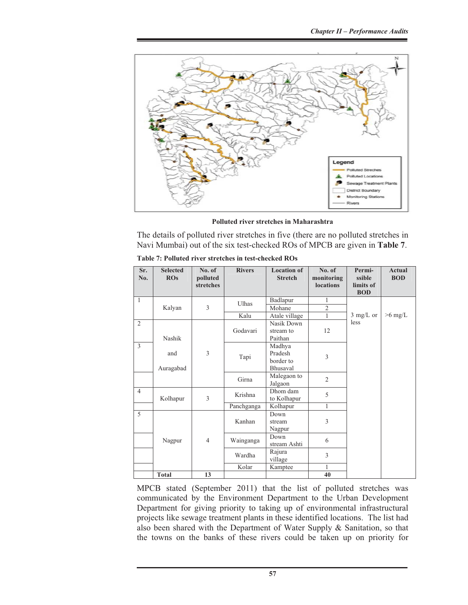

**Polluted river stretches in Maharashtra** 

The details of polluted river stretches in five (there are no polluted stretches in Navi Mumbai) out of the six test-checked ROs of MPCB are given in **Table 7**.

| Sr.<br>No.     | <b>Selected</b><br>$\overline{ROS}$ | No. of<br>polluted<br>stretches | <b>Rivers</b> | <b>Location of</b><br><b>Stretch</b> | No. of<br>monitoring<br><b>locations</b> | Permi-<br>ssible<br>limits of<br><b>BOD</b> | <b>Actual</b><br><b>BOD</b> |
|----------------|-------------------------------------|---------------------------------|---------------|--------------------------------------|------------------------------------------|---------------------------------------------|-----------------------------|
| $\mathbf{1}$   |                                     |                                 | Ulhas         | Badlapur                             | $\mathbf{1}$                             |                                             |                             |
|                | Kalyan                              | 3                               |               | Mohane                               | $\overline{\mathcal{L}}$                 |                                             |                             |
|                |                                     |                                 | Kalu          | Atale village                        | $\mathbf{1}$                             | $3 \text{ mg/L}$ or                         | $>6$ mg/L                   |
| $\overline{2}$ |                                     |                                 |               | Nasik Down                           |                                          | less                                        |                             |
|                |                                     |                                 | Godavari      | stream to                            | 12                                       |                                             |                             |
|                | Nashik                              |                                 |               | Paithan                              |                                          |                                             |                             |
| 3              |                                     |                                 |               | Madhya                               |                                          |                                             |                             |
|                | and                                 | 3                               | Tapi          | Pradesh                              | 3                                        |                                             |                             |
|                |                                     |                                 |               | border to                            |                                          |                                             |                             |
|                | Auragabad                           |                                 |               | Bhusaval                             |                                          |                                             |                             |
|                |                                     |                                 | Girna         | Malegaon to<br>Jalgaon               | 2                                        |                                             |                             |
| $\overline{4}$ | Kolhapur                            | 3                               | Krishna       | Dhom dam<br>to Kolhapur              | 5                                        |                                             |                             |
|                |                                     |                                 | Panchganga    | Kolhapur                             | $\mathbf{1}$                             |                                             |                             |
| 5              |                                     |                                 |               | Down                                 |                                          |                                             |                             |
|                |                                     |                                 | Kanhan        | stream                               | 3                                        |                                             |                             |
|                |                                     |                                 |               | Nagpur                               |                                          |                                             |                             |
|                | Nagpur                              | $\overline{4}$                  | Wainganga     | Down                                 | 6                                        |                                             |                             |
|                |                                     |                                 |               | stream Ashti                         |                                          |                                             |                             |
|                |                                     |                                 | Wardha        | Rajura<br>village                    | 3                                        |                                             |                             |
|                |                                     |                                 | Kolar         | Kamptee                              | 1                                        |                                             |                             |
|                | Total                               | 13                              |               |                                      | 40                                       |                                             |                             |

**Table 7: Polluted river stretches in test-checked ROs** 

MPCB stated (September 2011) that the list of polluted stretches was communicated by the Environment Department to the Urban Development Department for giving priority to taking up of environmental infrastructural projects like sewage treatment plants in these identified locations. The list had also been shared with the Department of Water Supply & Sanitation, so that the towns on the banks of these rivers could be taken up on priority for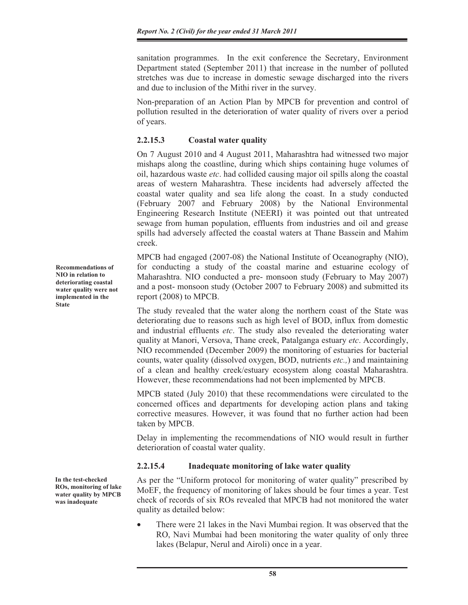sanitation programmes. In the exit conference the Secretary, Environment Department stated (September 2011) that increase in the number of polluted stretches was due to increase in domestic sewage discharged into the rivers and due to inclusion of the Mithi river in the survey.

Non-preparation of an Action Plan by MPCB for prevention and control of pollution resulted in the deterioration of water quality of rivers over a period of years.

# **2.2.15.3 Coastal water quality**

On 7 August 2010 and 4 August 2011, Maharashtra had witnessed two major mishaps along the coastline, during which ships containing huge volumes of oil, hazardous waste *etc*. had collided causing major oil spills along the coastal areas of western Maharashtra. These incidents had adversely affected the coastal water quality and sea life along the coast. In a study conducted (February 2007 and February 2008) by the National Environmental Engineering Research Institute (NEERI) it was pointed out that untreated sewage from human population, effluents from industries and oil and grease spills had adversely affected the coastal waters at Thane Bassein and Mahim creek.

MPCB had engaged (2007-08) the National Institute of Oceanography (NIO), for conducting a study of the coastal marine and estuarine ecology of Maharashtra. NIO conducted a pre- monsoon study (February to May 2007) and a post- monsoon study (October 2007 to February 2008) and submitted its report (2008) to MPCB.

The study revealed that the water along the northern coast of the State was deteriorating due to reasons such as high level of BOD, influx from domestic and industrial effluents *etc*. The study also revealed the deteriorating water quality at Manori, Versova, Thane creek, Patalganga estuary *etc*. Accordingly, NIO recommended (December 2009) the monitoring of estuaries for bacterial counts, water quality (dissolved oxygen, BOD, nutrients *etc.,*) and maintaining of a clean and healthy creek/estuary ecosystem along coastal Maharashtra. However, these recommendations had not been implemented by MPCB.

MPCB stated (July 2010) that these recommendations were circulated to the concerned offices and departments for developing action plans and taking corrective measures. However, it was found that no further action had been taken by MPCB.

Delay in implementing the recommendations of NIO would result in further deterioration of coastal water quality.

# **2.2.15.4 Inadequate monitoring of lake water quality**

As per the "Uniform protocol for monitoring of water quality" prescribed by MoEF, the frequency of monitoring of lakes should be four times a year. Test check of records of six ROs revealed that MPCB had not monitored the water quality as detailed below:

There were 21 lakes in the Navi Mumbai region. It was observed that the RO, Navi Mumbai had been monitoring the water quality of only three lakes (Belapur, Nerul and Airoli) once in a year.

**Recommendations of NIO in relation to deteriorating coastal water quality were not implemented in the State**

**In the test-checked ROs, monitoring of lake water quality by MPCB was inadequate**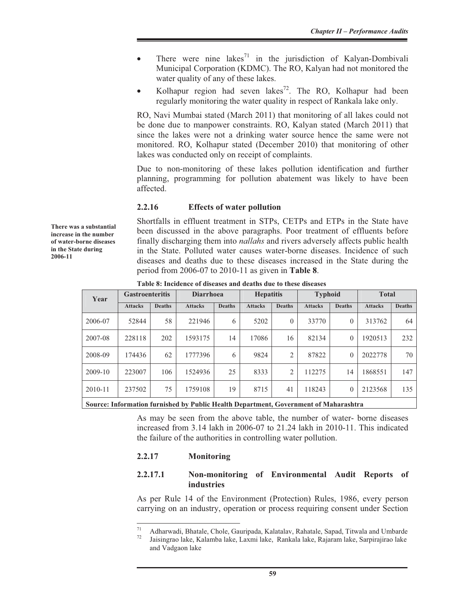- There were nine lakes<sup>71</sup> in the jurisdiction of Kalyan-Dombivali Municipal Corporation (KDMC). The RO, Kalyan had not monitored the water quality of any of these lakes.
- Kolhapur region had seven lakes<sup>72</sup>. The RO, Kolhapur had been regularly monitoring the water quality in respect of Rankala lake only.

RO, Navi Mumbai stated (March 2011) that monitoring of all lakes could not be done due to manpower constraints. RO, Kalyan stated (March 2011) that since the lakes were not a drinking water source hence the same were not monitored. RO, Kolhapur stated (December 2010) that monitoring of other lakes was conducted only on receipt of complaints.

Due to non-monitoring of these lakes pollution identification and further planning, programming for pollution abatement was likely to have been affected.

#### **2.2.16 Effects of water pollution**

Shortfalls in effluent treatment in STPs, CETPs and ETPs in the State have been discussed in the above paragraphs. Poor treatment of effluents before finally discharging them into *nallahs* and rivers adversely affects public health in the State. Polluted water causes water-borne diseases. Incidence of such diseases and deaths due to these diseases increased in the State during the period from 2006-07 to 2010-11 as given in **Table 8**.

| Year        | <b>Gastroenteritis</b> |               | <b>Diarrhoea</b>                                                                    |               | <b>Hepatitis</b> |                | <b>Typhoid</b> |               | <b>Total</b>   |               |
|-------------|------------------------|---------------|-------------------------------------------------------------------------------------|---------------|------------------|----------------|----------------|---------------|----------------|---------------|
|             | <b>Attacks</b>         | <b>Deaths</b> | <b>Attacks</b>                                                                      | <b>Deaths</b> | <b>Attacks</b>   | <b>Deaths</b>  | <b>Attacks</b> | <b>Deaths</b> | <b>Attacks</b> | <b>Deaths</b> |
| 2006-07     | 52844                  | 58            | 221946                                                                              | 6             | 5202             | $\theta$       | 33770          | $\mathbf{0}$  | 313762         | 64            |
| 2007-08     | 228118                 | 202           | 1593175                                                                             | 14            | 17086            | 16             | 82134          | $\theta$      | 1920513        | 232           |
| 2008-09     | 174436                 | 62            | 1777396                                                                             | 6             | 9824             | $\overline{2}$ | 87822          | $\theta$      | 2022778        | 70            |
| $2009-10$   | 223007                 | 106           | 1524936                                                                             | 25            | 8333             | 2              | 112275         | 14            | 1868551        | 147           |
| $2010 - 11$ | 237502                 | 75            | 1759108                                                                             | 19            | 8715             | 41             | 118243         | $\theta$      | 2123568        | 135           |
|             |                        |               | Source: Information furnished by Public Health Department Covernment of Maharashtra |               |                  |                |                |               |                |               |

**Table 8: Incidence of diseases and deaths due to these diseases** 

**Source: Information furnished by Public Health Department, Government of Maharashtra** 

As may be seen from the above table, the number of water- borne diseases increased from 3.14 lakh in 2006-07 to 21.24 lakh in 2010-11. This indicated the failure of the authorities in controlling water pollution.

#### **2.2.17 Monitoring**

### **2.2.17.1 Non-monitoring of Environmental Audit Reports of industries**

As per Rule 14 of the Environment (Protection) Rules, 1986, every person carrying on an industry, operation or process requiring consent under Section

**There was a substantial increase in the number of water-borne diseases in the State during 2006-11**

<sup>&</sup>lt;sup>71</sup> Adharwadi, Bhatale, Chole, Gauripada, Kalatalav, Rahatale, Sapad, Titwala and Umbarde

<sup>72</sup> Jaisingrao lake, Kalamba lake, Laxmi lake, Rankala lake, Rajaram lake, Sarpirajirao lake and Vadgaon lake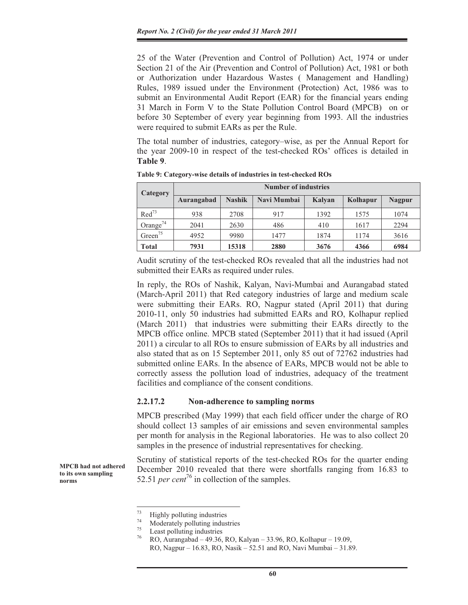25 of the Water (Prevention and Control of Pollution) Act, 1974 or under Section 21 of the Air (Prevention and Control of Pollution) Act, 1981 or both or Authorization under Hazardous Wastes ( Management and Handling) Rules, 1989 issued under the Environment (Protection) Act, 1986 was to submit an Environmental Audit Report (EAR) for the financial years ending 31 March in Form V to the State Pollution Control Board (MPCB) on or before 30 September of every year beginning from 1993. All the industries were required to submit EARs as per the Rule.

The total number of industries, category–wise, as per the Annual Report for the year 2009-10 in respect of the test-checked ROs' offices is detailed in **Table 9**.

| Category             | <b>Number of industries</b> |               |             |        |          |               |  |  |  |  |
|----------------------|-----------------------------|---------------|-------------|--------|----------|---------------|--|--|--|--|
|                      | Aurangabad                  | <b>Nashik</b> | Navi Mumbai | Kalyan | Kolhapur | <b>Nagpur</b> |  |  |  |  |
| $\text{Red}^{73}$    | 938                         | 2708          | 917         | 1392   | 1575     | 1074          |  |  |  |  |
| Orange <sup>74</sup> | 2041                        | 2630          | 486         | 410    | 1617     | 2294          |  |  |  |  |
| Green $^{75}$        | 4952                        | 9980          | 1477        | 1874   | 1174     | 3616          |  |  |  |  |
| <b>Total</b>         | 7931                        | 15318         | 2880        | 3676   | 4366     | 6984          |  |  |  |  |

**Table 9: Category-wise details of industries in test-checked ROs** 

Audit scrutiny of the test-checked ROs revealed that all the industries had not submitted their EARs as required under rules.

In reply, the ROs of Nashik, Kalyan, Navi-Mumbai and Aurangabad stated (March-April 2011) that Red category industries of large and medium scale were submitting their EARs. RO, Nagpur stated (April 2011) that during 2010-11, only 50 industries had submitted EARs and RO, Kolhapur replied (March 2011) that industries were submitting their EARs directly to the MPCB office online. MPCB stated (September 2011) that it had issued (April 2011) a circular to all ROs to ensure submission of EARs by all industries and also stated that as on 15 September 2011, only 85 out of 72762 industries had submitted online EARs. In the absence of EARs, MPCB would not be able to correctly assess the pollution load of industries, adequacy of the treatment facilities and compliance of the consent conditions.

#### **2.2.17.2 Non-adherence to sampling norms**

MPCB prescribed (May 1999) that each field officer under the charge of RO should collect 13 samples of air emissions and seven environmental samples per month for analysis in the Regional laboratories. He was to also collect 20 samples in the presence of industrial representatives for checking.

Scrutiny of statistical reports of the test-checked ROs for the quarter ending December 2010 revealed that there were shortfalls ranging from 16.83 to 52.51 *per cent*<sup>76</sup> in collection of the samples.

**MPCB had not adhered to its own sampling norms**

 $^{73}$  Highly polluting industries

<sup>&</sup>lt;sup>74</sup> Moderately polluting industries<br>
Least polluting industries<br>  $\frac{76}{6}$ 

<sup>76</sup> RO, Aurangabad – 49.36, RO, Kalyan – 33.96, RO, Kolhapur – 19.09, RO, Nagpur – 16.83, RO, Nasik – 52.51 and RO, Navi Mumbai – 31.89.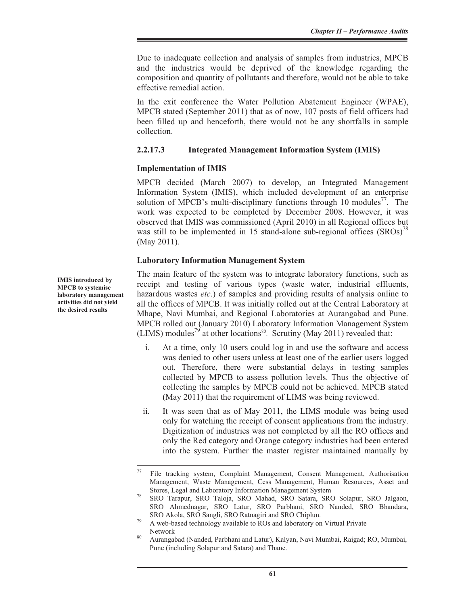Due to inadequate collection and analysis of samples from industries, MPCB and the industries would be deprived of the knowledge regarding the composition and quantity of pollutants and therefore, would not be able to take effective remedial action.

In the exit conference the Water Pollution Abatement Engineer (WPAE), MPCB stated (September 2011) that as of now, 107 posts of field officers had been filled up and henceforth, there would not be any shortfalls in sample collection.

#### **2.2.17.3 Integrated Management Information System (IMIS)**

#### **Implementation of IMIS**

MPCB decided (March 2007) to develop, an Integrated Management Information System (IMIS), which included development of an enterprise solution of MPCB's multi-disciplinary functions through 10 modules<sup>77</sup>. The work was expected to be completed by December 2008. However, it was observed that IMIS was commissioned (April 2010) in all Regional offices but was still to be implemented in 15 stand-alone sub-regional offices  $(SROS)^{78}$ (May 2011).

### **Laboratory Information Management System**

The main feature of the system was to integrate laboratory functions, such as receipt and testing of various types (waste water, industrial effluents, hazardous wastes *etc*.) of samples and providing results of analysis online to all the offices of MPCB. It was initially rolled out at the Central Laboratory at Mhape, Navi Mumbai, and Regional Laboratories at Aurangabad and Pune. MPCB rolled out (January 2010) Laboratory Information Management System (LIMS) modules<sup>79</sup> at other locations<sup>80</sup>. Scrutiny (May 2011) revealed that:

- i. At a time, only 10 users could log in and use the software and access was denied to other users unless at least one of the earlier users logged out. Therefore, there were substantial delays in testing samples collected by MPCB to assess pollution levels. Thus the objective of collecting the samples by MPCB could not be achieved. MPCB stated (May 2011) that the requirement of LIMS was being reviewed.
- ii. It was seen that as of May 2011, the LIMS module was being used only for watching the receipt of consent applications from the industry. Digitization of industries was not completed by all the RO offices and only the Red category and Orange category industries had been entered into the system. Further the master register maintained manually by

**IMIS introduced by MPCB to systemise laboratory management activities did not yield the desired results** 

 $77$  File tracking system, Complaint Management, Consent Management, Authorisation Management, Waste Management, Cess Management, Human Resources, Asset and Stores, Legal and Laboratory Information Management System 78 SRO Tarapur, SRO Taloja, SRO Mahad, SRO Satara, SRO Solapur, SRO Jalgaon,

SRO Ahmednagar, SRO Latur, SRO Parbhani, SRO Nanded, SRO Bhandara,

SRO Akola, SRO Sangli, SRO Ratnagiri and SRO Chiplun.<br><sup>79</sup> A web-based technology available to ROs and laboratory on Virtual Private

Network<br>Aurangabad (Nanded, Parbhani and Latur), Kalyan, Navi Mumbai, Raigad; RO, Mumbai, Pune (including Solapur and Satara) and Thane.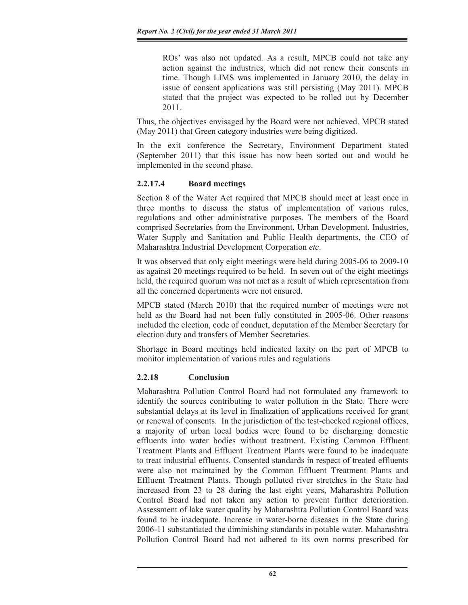ROs' was also not updated. As a result, MPCB could not take any action against the industries, which did not renew their consents in time. Though LIMS was implemented in January 2010, the delay in issue of consent applications was still persisting (May 2011). MPCB stated that the project was expected to be rolled out by December 2011.

Thus, the objectives envisaged by the Board were not achieved. MPCB stated (May 2011) that Green category industries were being digitized.

In the exit conference the Secretary, Environment Department stated (September 2011) that this issue has now been sorted out and would be implemented in the second phase.

# **2.2.17.4 Board meetings**

Section 8 of the Water Act required that MPCB should meet at least once in three months to discuss the status of implementation of various rules, regulations and other administrative purposes. The members of the Board comprised Secretaries from the Environment, Urban Development, Industries, Water Supply and Sanitation and Public Health departments, the CEO of Maharashtra Industrial Development Corporation *etc*.

It was observed that only eight meetings were held during 2005-06 to 2009-10 as against 20 meetings required to be held. In seven out of the eight meetings held, the required quorum was not met as a result of which representation from all the concerned departments were not ensured.

MPCB stated (March 2010) that the required number of meetings were not held as the Board had not been fully constituted in 2005-06. Other reasons included the election, code of conduct, deputation of the Member Secretary for election duty and transfers of Member Secretaries.

Shortage in Board meetings held indicated laxity on the part of MPCB to monitor implementation of various rules and regulations

# **2.2.18 Conclusion**

Maharashtra Pollution Control Board had not formulated any framework to identify the sources contributing to water pollution in the State. There were substantial delays at its level in finalization of applications received for grant or renewal of consents. In the jurisdiction of the test-checked regional offices, a majority of urban local bodies were found to be discharging domestic effluents into water bodies without treatment. Existing Common Effluent Treatment Plants and Effluent Treatment Plants were found to be inadequate to treat industrial effluents. Consented standards in respect of treated effluents were also not maintained by the Common Effluent Treatment Plants and Effluent Treatment Plants. Though polluted river stretches in the State had increased from 23 to 28 during the last eight years, Maharashtra Pollution Control Board had not taken any action to prevent further deterioration. Assessment of lake water quality by Maharashtra Pollution Control Board was found to be inadequate. Increase in water-borne diseases in the State during 2006-11 substantiated the diminishing standards in potable water. Maharashtra Pollution Control Board had not adhered to its own norms prescribed for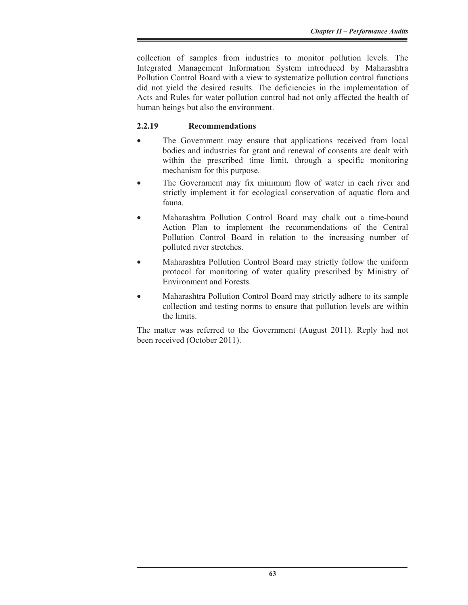collection of samples from industries to monitor pollution levels. The Integrated Management Information System introduced by Maharashtra Pollution Control Board with a view to systematize pollution control functions did not yield the desired results. The deficiencies in the implementation of Acts and Rules for water pollution control had not only affected the health of human beings but also the environment.

# **2.2.19 Recommendations**

- The Government may ensure that applications received from local bodies and industries for grant and renewal of consents are dealt with within the prescribed time limit, through a specific monitoring mechanism for this purpose.
- The Government may fix minimum flow of water in each river and strictly implement it for ecological conservation of aquatic flora and fauna.
- Maharashtra Pollution Control Board may chalk out a time-bound Action Plan to implement the recommendations of the Central Pollution Control Board in relation to the increasing number of polluted river stretches.
- Maharashtra Pollution Control Board may strictly follow the uniform protocol for monitoring of water quality prescribed by Ministry of Environment and Forests.
- Maharashtra Pollution Control Board may strictly adhere to its sample collection and testing norms to ensure that pollution levels are within the limits.

The matter was referred to the Government (August 2011). Reply had not been received (October 2011).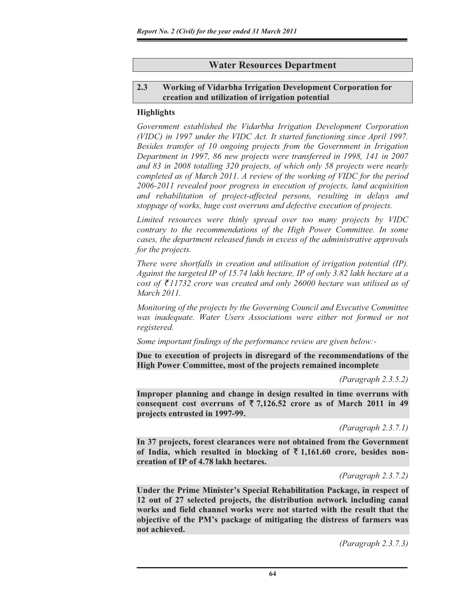# **Water Resources Department**

### **2.3 Working of Vidarbha Irrigation Development Corporation for creation and utilization of irrigation potential**

### **Highlights**

*Government established the Vidarbha Irrigation Development Corporation (VIDC) in 1997 under the VIDC Act. It started functioning since April 1997. Besides transfer of 10 ongoing projects from the Government in Irrigation Department in 1997, 86 new projects were transferred in 1998, 141 in 2007 and 83 in 2008 totalling 320 projects, of which only 58 projects were nearly completed as of March 2011. A review of the working of VIDC for the period 2006-2011 revealed poor progress in execution of projects, land acquisition and rehabilitation of project-affected persons, resulting in delays and stoppage of works, huge cost overruns and defective execution of projects.* 

*Limited resources were thinly spread over too many projects by VIDC contrary to the recommendations of the High Power Committee. In some cases, the department released funds in excess of the administrative approvals for the projects.* 

*There were shortfalls in creation and utilisation of irrigation potential (IP). Against the targeted IP of 15.74 lakh hectare, IP of only 3.82 lakh hectare at a cost of*  $\bar{\tau}$ 11732 *crore was created and only 26000 hectare was utilised as of March 2011.* 

*Monitoring of the projects by the Governing Council and Executive Committee was inadequate. Water Users Associations were either not formed or not registered.*

*Some important findings of the performance review are given below:-* 

**Due to execution of projects in disregard of the recommendations of the High Power Committee, most of the projects remained incomplete** 

*(Paragraph 2.3.5.2)* 

**Improper planning and change in design resulted in time overruns with**  consequent cost overruns of  $\overline{5}$  7,126.52 crore as of March 2011 in 49 **projects entrusted in 1997-99.** 

*(Paragraph 2.3.7.1)* 

**In 37 projects, forest clearances were not obtained from the Government**  of India, which resulted in blocking of  $\bar{\tau}$  1,161.60 crore, besides non**creation of IP of 4.78 lakh hectares.** 

*(Paragraph 2.3.7.2)* 

**Under the Prime Minister's Special Rehabilitation Package, in respect of 12 out of 27 selected projects, the distribution network including canal works and field channel works were not started with the result that the objective of the PM's package of mitigating the distress of farmers was not achieved.** 

*(Paragraph 2.3.7.3)*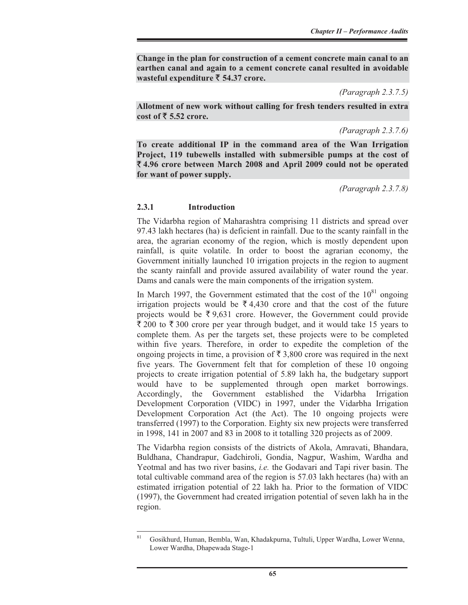**Change in the plan for construction of a cement concrete main canal to an earthen canal and again to a cement concrete canal resulted in avoidable wasteful expenditure** ` **54.37 crore.** 

*(Paragraph 2.3.7.5)* 

**Allotment of new work without calling for fresh tenders resulted in extra cost of** ` **5.52 crore.** 

*(Paragraph 2.3.7.6)* 

**To create additional IP in the command area of the Wan Irrigation Project, 119 tubewells installed with submersible pumps at the cost of**  ` **4.96 crore between March 2008 and April 2009 could not be operated for want of power supply.** 

*(Paragraph 2.3.7.8)* 

#### **2.3.1 Introduction**

The Vidarbha region of Maharashtra comprising 11 districts and spread over 97.43 lakh hectares (ha) is deficient in rainfall. Due to the scanty rainfall in the area, the agrarian economy of the region, which is mostly dependent upon rainfall, is quite volatile. In order to boost the agrarian economy, the Government initially launched 10 irrigation projects in the region to augment the scanty rainfall and provide assured availability of water round the year. Dams and canals were the main components of the irrigation system.

In March 1997, the Government estimated that the cost of the  $10^{81}$  ongoing irrigation projects would be  $\bar{\tau}$  4,430 crore and that the cost of the future projects would be  $\bar{\xi}$  9,631 crore. However, the Government could provide  $\bar{\xi}$  200 to  $\bar{\xi}$  300 crore per year through budget, and it would take 15 years to complete them. As per the targets set, these projects were to be completed within five years. Therefore, in order to expedite the completion of the ongoing projects in time, a provision of  $\bar{\tau}$  3,800 crore was required in the next five years. The Government felt that for completion of these 10 ongoing projects to create irrigation potential of 5.89 lakh ha, the budgetary support would have to be supplemented through open market borrowings. Accordingly, the Government established the Vidarbha Irrigation Development Corporation (VIDC) in 1997, under the Vidarbha Irrigation Development Corporation Act (the Act). The 10 ongoing projects were transferred (1997) to the Corporation. Eighty six new projects were transferred in 1998, 141 in 2007 and 83 in 2008 to it totalling 320 projects as of 2009.

The Vidarbha region consists of the districts of Akola, Amravati, Bhandara, Buldhana, Chandrapur, Gadchiroli, Gondia, Nagpur, Washim, Wardha and Yeotmal and has two river basins, *i.e.* the Godavari and Tapi river basin. The total cultivable command area of the region is 57.03 lakh hectares (ha) with an estimated irrigation potential of 22 lakh ha. Prior to the formation of VIDC (1997), the Government had created irrigation potential of seven lakh ha in the region.

<sup>81</sup> Gosikhurd, Human, Bembla, Wan, Khadakpurna, Tultuli, Upper Wardha, Lower Wenna, Lower Wardha, Dhapewada Stage-1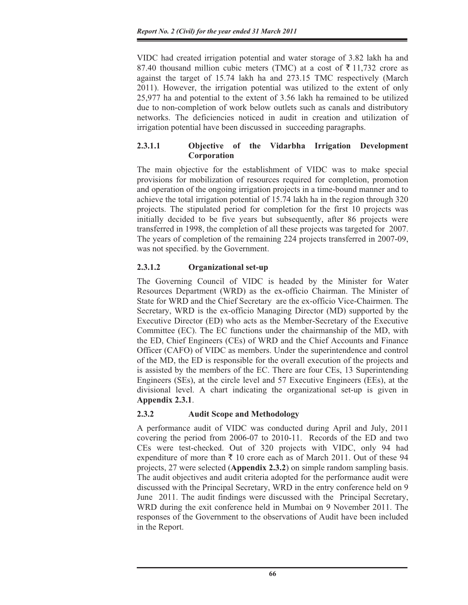VIDC had created irrigation potential and water storage of 3.82 lakh ha and 87.40 thousand million cubic meters (TMC) at a cost of  $\overline{5}$  11,732 crore as against the target of 15.74 lakh ha and 273.15 TMC respectively (March 2011). However, the irrigation potential was utilized to the extent of only 25,977 ha and potential to the extent of 3.56 lakh ha remained to be utilized due to non-completion of work below outlets such as canals and distributory networks. The deficiencies noticed in audit in creation and utilization of irrigation potential have been discussed in succeeding paragraphs.

# **2.3.1.1 Objective of the Vidarbha Irrigation Development Corporation**

The main objective for the establishment of VIDC was to make special provisions for mobilization of resources required for completion, promotion and operation of the ongoing irrigation projects in a time-bound manner and to achieve the total irrigation potential of 15.74 lakh ha in the region through 320 projects. The stipulated period for completion for the first 10 projects was initially decided to be five years but subsequently, after 86 projects were transferred in 1998, the completion of all these projects was targeted for 2007. The years of completion of the remaining 224 projects transferred in 2007-09, was not specified. by the Government.

# **2.3.1.2 Organizational set-up**

The Governing Council of VIDC is headed by the Minister for Water Resources Department (WRD) as the ex-officio Chairman. The Minister of State for WRD and the Chief Secretary are the ex-officio Vice-Chairmen. The Secretary, WRD is the ex-officio Managing Director (MD) supported by the Executive Director (ED) who acts as the Member-Secretary of the Executive Committee (EC). The EC functions under the chairmanship of the MD, with the ED, Chief Engineers (CEs) of WRD and the Chief Accounts and Finance Officer (CAFO) of VIDC as members. Under the superintendence and control of the MD, the ED is responsible for the overall execution of the projects and is assisted by the members of the EC. There are four CEs, 13 Superintending Engineers (SEs), at the circle level and 57 Executive Engineers (EEs), at the divisional level. A chart indicating the organizational set-up is given in **Appendix 2.3.1**.

# **2.3.2 Audit Scope and Methodology**

A performance audit of VIDC was conducted during April and July, 2011 covering the period from 2006-07 to 2010-11. Records of the ED and two CEs were test-checked. Out of 320 projects with VIDC, only 94 had expenditure of more than  $\bar{\tau}$  10 crore each as of March 2011. Out of these 94 projects, 27 were selected (**Appendix 2.3.2**) on simple random sampling basis. The audit objectives and audit criteria adopted for the performance audit were discussed with the Principal Secretary, WRD in the entry conference held on 9 June 2011. The audit findings were discussed with the Principal Secretary, WRD during the exit conference held in Mumbai on 9 November 2011. The responses of the Government to the observations of Audit have been included in the Report.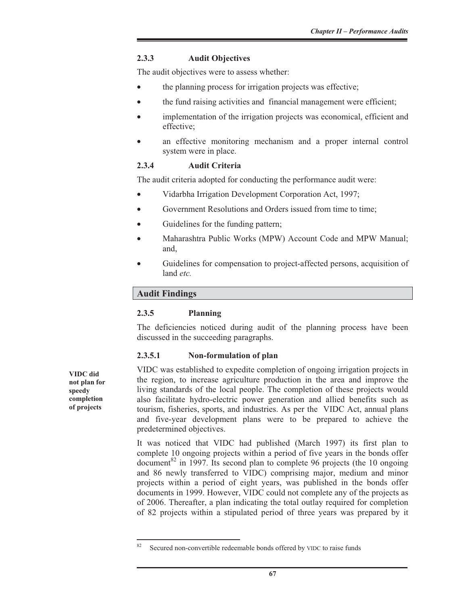### **2.3.3 Audit Objectives**

The audit objectives were to assess whether:

- the planning process for irrigation projects was effective;
- the fund raising activities and financial management were efficient;
- implementation of the irrigation projects was economical, efficient and effective;
- an effective monitoring mechanism and a proper internal control system were in place.

### **2.3.4 Audit Criteria**

The audit criteria adopted for conducting the performance audit were:

- Vidarbha Irrigation Development Corporation Act, 1997;
- Government Resolutions and Orders issued from time to time;
- Guidelines for the funding pattern;
- Maharashtra Public Works (MPW) Account Code and MPW Manual; and,
- x Guidelines for compensation to project-affected persons, acquisition of land *etc.*

# **Audit Findings**

#### **2.3.5 Planning**

The deficiencies noticed during audit of the planning process have been discussed in the succeeding paragraphs.

# **2.3.5.1 Non-formulation of plan**

VIDC was established to expedite completion of ongoing irrigation projects in the region, to increase agriculture production in the area and improve the living standards of the local people. The completion of these projects would also facilitate hydro-electric power generation and allied benefits such as tourism, fisheries, sports, and industries. As per the VIDC Act, annual plans and five-year development plans were to be prepared to achieve the predetermined objectives.

It was noticed that VIDC had published (March 1997) its first plan to complete 10 ongoing projects within a period of five years in the bonds offer document<sup>82</sup> in 1997. Its second plan to complete 96 projects (the 10 ongoing and 86 newly transferred to VIDC) comprising major, medium and minor projects within a period of eight years, was published in the bonds offer documents in 1999. However, VIDC could not complete any of the projects as of 2006. Thereafter, a plan indicating the total outlay required for completion of 82 projects within a stipulated period of three years was prepared by it

**VIDC did not plan for speedy completion of projects** 

 $82$  Secured non-convertible redeemable bonds offered by VIDC to raise funds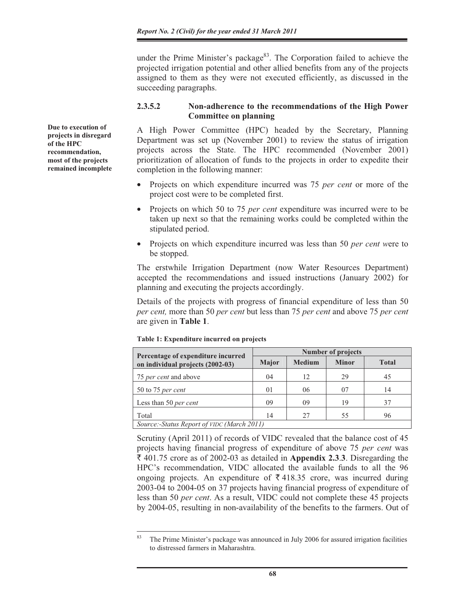under the Prime Minister's package<sup>83</sup>. The Corporation failed to achieve the projected irrigation potential and other allied benefits from any of the projects assigned to them as they were not executed efficiently, as discussed in the succeeding paragraphs.

# **2.3.5.2 Non-adherence to the recommendations of the High Power Committee on planning**

A High Power Committee (HPC) headed by the Secretary, Planning Department was set up (November 2001) to review the status of irrigation projects across the State. The HPC recommended (November 2001) prioritization of allocation of funds to the projects in order to expedite their completion in the following manner:

- x Projects on which expenditure incurred was 75 *per cent* or more of the project cost were to be completed first.
- x Projects on which 50 to 75 *per cent* expenditure was incurred were to be taken up next so that the remaining works could be completed within the stipulated period.
- Projects on which expenditure incurred was less than 50 *per cent w*ere to be stopped.

The erstwhile Irrigation Department (now Water Resources Department) accepted the recommendations and issued instructions (January 2002) for planning and executing the projects accordingly.

Details of the projects with progress of financial expenditure of less than 50 *per cent,* more than 50 *per cent* but less than 75 *per cent* and above 75 *per cent* are given in **Table 1**.

| Percentage of expenditure incurred         |              | <b>Number of projects</b> |              |              |  |  |  |  |
|--------------------------------------------|--------------|---------------------------|--------------|--------------|--|--|--|--|
| on individual projects (2002-03)           | <b>Major</b> | <b>Medium</b>             | <b>Minor</b> | <b>Total</b> |  |  |  |  |
| 75 <i>per cent</i> and above               | 04           | 12                        | 29           | 45           |  |  |  |  |
| 50 to 75 per cent                          | 01           | 06                        | 07           | 14           |  |  |  |  |
| Less than 50 per cent                      | 09           | 09                        | 19           | 37           |  |  |  |  |
| Total                                      | 14           | 27                        | 55           | 96           |  |  |  |  |
| Source:-Status Report of VIDC (March 2011) |              |                           |              |              |  |  |  |  |

**Table 1: Expenditure incurred on projects** 

Scrutiny (April 2011) of records of VIDC revealed that the balance cost of 45 projects having financial progress of expenditure of above 75 *per cent* was ` 401.75 crore as of 2002-03 as detailed in **Appendix 2.3**.**3**. Disregarding the HPC's recommendation, VIDC allocated the available funds to all the 96 ongoing projects. An expenditure of  $\bar{\tau}$  418.35 crore, was incurred during 2003-04 to 2004-05 on 37 projects having financial progress of expenditure of less than 50 *per cent*. As a result, VIDC could not complete these 45 projects by 2004-05, resulting in non-availability of the benefits to the farmers. Out of

**Due to execution of projects in disregard of the HPC recommendation, most of the projects remained incomplete** 

 $83$  The Prime Minister's package was announced in July 2006 for assured irrigation facilities to distressed farmers in Maharashtra.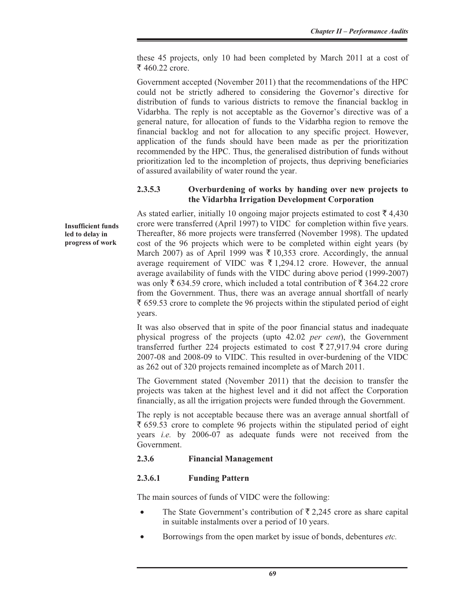these 45 projects, only 10 had been completed by March 2011 at a cost of ₹ 460.22 crore.

Government accepted (November 2011) that the recommendations of the HPC could not be strictly adhered to considering the Governor's directive for distribution of funds to various districts to remove the financial backlog in Vidarbha. The reply is not acceptable as the Governor's directive was of a general nature, for allocation of funds to the Vidarbha region to remove the financial backlog and not for allocation to any specific project. However, application of the funds should have been made as per the prioritization recommended by the HPC. Thus, the generalised distribution of funds without prioritization led to the incompletion of projects, thus depriving beneficiaries of assured availability of water round the year.

#### **2.3.5.3 Overburdening of works by handing over new projects to the Vidarbha Irrigation Development Corporation**

As stated earlier, initially 10 ongoing major projects estimated to cost  $\bar{\tau}$  4,430 crore were transferred (April 1997) to VIDC for completion within five years. Thereafter, 86 more projects were transferred (November 1998). The updated cost of the 96 projects which were to be completed within eight years (by March 2007) as of April 1999 was  $\bar{\tau}$  10,353 crore. Accordingly, the annual average requirement of VIDC was  $\bar{\tau}$  1,294.12 crore. However, the annual average availability of funds with the VIDC during above period (1999-2007) was only  $\bar{\xi}$  634.59 crore, which included a total contribution of  $\bar{\xi}$  364.22 crore from the Government. Thus, there was an average annual shortfall of nearly  $\bar{\xi}$  659.53 crore to complete the 96 projects within the stipulated period of eight years.

It was also observed that in spite of the poor financial status and inadequate physical progress of the projects (upto 42.02 *per cent*), the Government transferred further 224 projects estimated to cost  $\bar{\tau}$  27,917.94 crore during 2007-08 and 2008-09 to VIDC. This resulted in over-burdening of the VIDC as 262 out of 320 projects remained incomplete as of March 2011.

The Government stated (November 2011) that the decision to transfer the projects was taken at the highest level and it did not affect the Corporation financially, as all the irrigation projects were funded through the Government.

The reply is not acceptable because there was an average annual shortfall of  $\bar{\xi}$  659.53 crore to complete 96 projects within the stipulated period of eight years *i.e.* by 2006-07 as adequate funds were not received from the Government.

#### **2.3.6 Financial Management**

#### **2.3.6.1 Funding Pattern**

The main sources of funds of VIDC were the following:

- The State Government's contribution of  $\bar{\tau}$  2,245 crore as share capital in suitable instalments over a period of 10 years.
- x Borrowings from the open market by issue of bonds, debentures *etc.*

**Insufficient funds led to delay in progress of work**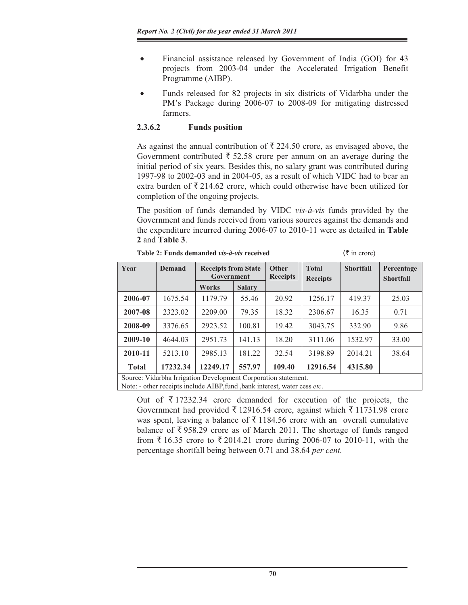- Financial assistance released by Government of India (GOI) for 43 projects from 2003-04 under the Accelerated Irrigation Benefit Programme (AIBP).
- Funds released for 82 projects in six districts of Vidarbha under the PM's Package during 2006-07 to 2008-09 for mitigating distressed farmers.

# **2.3.6.2 Funds position**

As against the annual contribution of  $\bar{\tau}$  224.50 crore, as envisaged above, the Government contributed  $\bar{\tau}$  52.58 crore per annum on an average during the initial period of six years. Besides this, no salary grant was contributed during 1997-98 to 2002-03 and in 2004-05, as a result of which VIDC had to bear an extra burden of  $\bar{\tau}$  214.62 crore, which could otherwise have been utilized for completion of the ongoing projects.

The position of funds demanded by VIDC *vis-à-vis* funds provided by the Government and funds received from various sources against the demands and the expenditure incurred during 2006-07 to 2010-11 were as detailed in **Table 2** and **Table 3**.

|  |  | Table 2: Funds demanded <i>vis-à-vis</i> received |  |  |
|--|--|---------------------------------------------------|--|--|
|--|--|---------------------------------------------------|--|--|

 $(\bar{\tau}$  in crore)

| Year         | <b>Demand</b> | <b>Receipts from State</b><br>Government |               | Other<br><b>Receipts</b> | <b>Total</b><br><b>Receipts</b> | <b>Shortfall</b> | Percentage<br><b>Shortfall</b> |
|--------------|---------------|------------------------------------------|---------------|--------------------------|---------------------------------|------------------|--------------------------------|
|              |               | <b>Works</b>                             | <b>Salary</b> |                          |                                 |                  |                                |
| 2006-07      | 1675.54       | 1179.79                                  | 55.46         | 20.92                    | 1256.17                         | 419.37           | 25.03                          |
| 2007-08      | 2323.02       | 2209.00                                  | 79.35         | 18.32                    | 2306.67                         | 16.35            | 0.71                           |
| 2008-09      | 3376.65       | 2923.52                                  | 100.81        | 19.42                    | 3043.75                         | 332.90           | 9.86                           |
| 2009-10      | 4644.03       | 2951.73                                  | 141.13        | 18.20                    | 3111.06                         | 1532.97          | 33.00                          |
| 2010-11      | 5213.10       | 2985.13                                  | 181.22        | 32.54                    | 3198.89                         | 2014.21          | 38.64                          |
| <b>Total</b> | 17232.34      | 12249.17                                 | 557.97        | 109.40                   | 12916.54                        | 4315.80          |                                |

Source: Vidarbha Irrigation Development Corporation statement.

Note: - other receipts include AIBP,fund ,bank interest, water cess *etc*.

Out of  $\bar{\tau}$  17232.34 crore demanded for execution of the projects, the Government had provided  $\bar{\tau}$  12916.54 crore, against which  $\bar{\tau}$  11731.98 crore was spent, leaving a balance of  $\bar{\tau}$  1184.56 crore with an overall cumulative balance of  $\overline{\xi}$  958.29 crore as of March 2011. The shortage of funds ranged from  $\bar{\xi}$  16.35 crore to  $\bar{\xi}$  2014.21 crore during 2006-07 to 2010-11, with the percentage shortfall being between 0.71 and 38.64 *per cent.*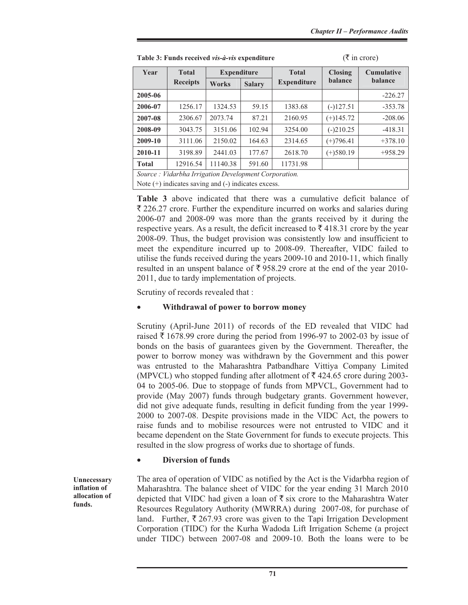| Year         | <b>Total</b>                                            | <b>Expenditure</b> |               | <b>Total</b>       | <b>Closing</b> | <b>Cumulative</b> |  |  |  |  |
|--------------|---------------------------------------------------------|--------------------|---------------|--------------------|----------------|-------------------|--|--|--|--|
|              | <b>Receipts</b>                                         | <b>Works</b>       | <b>Salary</b> | <b>Expenditure</b> | <b>balance</b> | <b>balance</b>    |  |  |  |  |
| 2005-06      |                                                         |                    |               |                    |                | $-226.27$         |  |  |  |  |
| 2006-07      | 1256.17                                                 | 1324.53            | 59.15         | 1383.68            | $(-)127.51$    | $-353.78$         |  |  |  |  |
| 2007-08      | 2306.67                                                 | 2073.74            | 87.21         | 2160.95            | $(+)145.72$    | $-208.06$         |  |  |  |  |
| 2008-09      | 3043.75                                                 | 3151.06            | 102.94        | 3254.00            | $(-)210.25$    | $-418.31$         |  |  |  |  |
| 2009-10      | 3111.06                                                 | 2150.02            | 164.63        | 2314.65            | $(+)796.41$    | $+378.10$         |  |  |  |  |
| 2010-11      | 3198.89                                                 | 2441.03            | 177.67        | 2618.70            | $(+)$ 580.19   | $+958.29$         |  |  |  |  |
| <b>Total</b> | 12916.54                                                | 11140.38           | 591.60        | 11731.98           |                |                   |  |  |  |  |
|              | Source : Vidarbha Irrigation Development Corporation.   |                    |               |                    |                |                   |  |  |  |  |
|              | Note $(+)$ indicates saving and $(-)$ indicates excess. |                    |               |                    |                |                   |  |  |  |  |

**Table 3: Funds received** *vis-à-vis* **expenditure**  $(\bar{\tau}$  **in crore)** 

**Table 3** above indicated that there was a cumulative deficit balance of  $\bar{\xi}$  226.27 crore. Further the expenditure incurred on works and salaries during 2006-07 and 2008-09 was more than the grants received by it during the respective years. As a result, the deficit increased to  $\bar{\xi}$  418.31 crore by the year 2008-09. Thus, the budget provision was consistently low and insufficient to meet the expenditure incurred up to 2008-09. Thereafter, VIDC failed to utilise the funds received during the years 2009-10 and 2010-11, which finally resulted in an unspent balance of  $\bar{\tau}$  958.29 crore at the end of the year 2010-2011, due to tardy implementation of projects.

Scrutiny of records revealed that :

#### x **Withdrawal of power to borrow money**

Scrutiny (April-June 2011) of records of the ED revealed that VIDC had raised  $\bar{\tau}$  1678.99 crore during the period from 1996-97 to 2002-03 by issue of bonds on the basis of guarantees given by the Government. Thereafter, the power to borrow money was withdrawn by the Government and this power was entrusted to the Maharashtra Patbandhare Vittiya Company Limited (MPVCL) who stopped funding after allotment of  $\bar{\tau}$  424.65 crore during 2003-04 to 2005-06. Due to stoppage of funds from MPVCL, Government had to provide (May 2007) funds through budgetary grants. Government however, did not give adequate funds, resulting in deficit funding from the year 1999- 2000 to 2007-08. Despite provisions made in the VIDC Act, the powers to raise funds and to mobilise resources were not entrusted to VIDC and it became dependent on the State Government for funds to execute projects. This resulted in the slow progress of works due to shortage of funds.

# x **Diversion of funds**

**Unnecessary inflation of allocation of funds.** 

The area of operation of VIDC as notified by the Act is the Vidarbha region of Maharashtra. The balance sheet of VIDC for the year ending 31 March 2010 depicted that VIDC had given a loan of  $\bar{\xi}$  six crore to the Maharashtra Water Resources Regulatory Authority (MWRRA) during 2007-08, for purchase of land. Further,  $\bar{\tau}$  267.93 crore was given to the Tapi Irrigation Development Corporation (TIDC) for the Kurha Wadoda Lift Irrigation Scheme (a project under TIDC) between 2007-08 and 2009-10. Both the loans were to be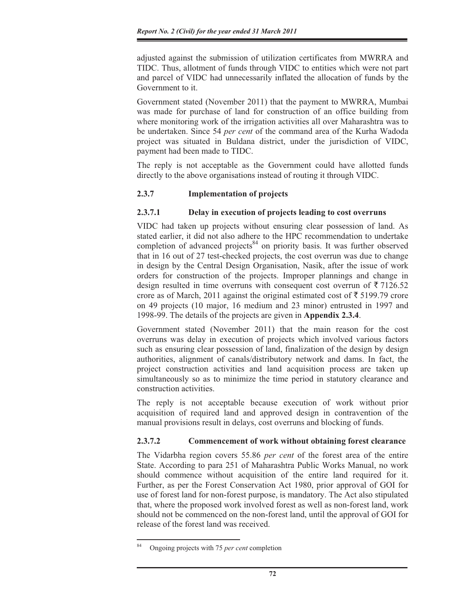adjusted against the submission of utilization certificates from MWRRA and TIDC. Thus, allotment of funds through VIDC to entities which were not part and parcel of VIDC had unnecessarily inflated the allocation of funds by the Government to it.

Government stated (November 2011) that the payment to MWRRA, Mumbai was made for purchase of land for construction of an office building from where monitoring work of the irrigation activities all over Maharashtra was to be undertaken. Since 54 *per cent* of the command area of the Kurha Wadoda project was situated in Buldana district, under the jurisdiction of VIDC, payment had been made to TIDC.

The reply is not acceptable as the Government could have allotted funds directly to the above organisations instead of routing it through VIDC.

# **2.3.7 Implementation of projects**

# **2.3.7.1 Delay in execution of projects leading to cost overruns**

VIDC had taken up projects without ensuring clear possession of land. As stated earlier, it did not also adhere to the HPC recommendation to undertake completion of advanced projects $84$  on priority basis. It was further observed that in 16 out of 27 test-checked projects, the cost overrun was due to change in design by the Central Design Organisation, Nasik, after the issue of work orders for construction of the projects. Improper plannings and change in design resulted in time overruns with consequent cost overrun of  $\bar{\tau}$  7126.52 crore as of March, 2011 against the original estimated cost of  $\bar{\tau}$  5199.79 crore on 49 projects (10 major, 16 medium and 23 minor) entrusted in 1997 and 1998-99. The details of the projects are given in **Appendix 2.3.4**.

Government stated (November 2011) that the main reason for the cost overruns was delay in execution of projects which involved various factors such as ensuring clear possession of land, finalization of the design by design authorities, alignment of canals/distributory network and dams. In fact, the project construction activities and land acquisition process are taken up simultaneously so as to minimize the time period in statutory clearance and construction activities.

The reply is not acceptable because execution of work without prior acquisition of required land and approved design in contravention of the manual provisions result in delays, cost overruns and blocking of funds.

# **2.3.7.2 Commencement of work without obtaining forest clearance**

The Vidarbha region covers 55.86 *per cent* of the forest area of the entire State. According to para 251 of Maharashtra Public Works Manual, no work should commence without acquisition of the entire land required for it. Further, as per the Forest Conservation Act 1980, prior approval of GOI for use of forest land for non-forest purpose, is mandatory. The Act also stipulated that, where the proposed work involved forest as well as non-forest land, work should not be commenced on the non-forest land, until the approval of GOI for release of the forest land was received.

<sup>84</sup> Ongoing projects with 75 *per cent* completion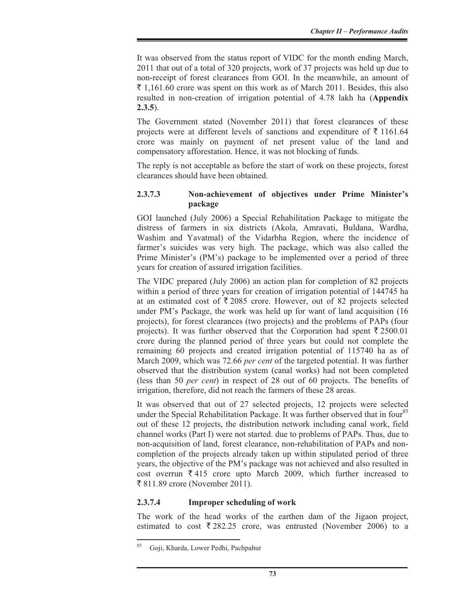It was observed from the status report of VIDC for the month ending March, 2011 that out of a total of 320 projects, work of 37 projects was held up due to non-receipt of forest clearances from GOI. In the meanwhile, an amount of  $\bar{\xi}$  1,161.60 crore was spent on this work as of March 2011. Besides, this also resulted in non-creation of irrigation potential of 4.78 lakh ha (**Appendix 2.3.5**).

The Government stated (November 2011) that forest clearances of these projects were at different levels of sanctions and expenditure of  $\bar{\tau}$  1161.64 crore was mainly on payment of net present value of the land and compensatory afforestation. Hence, it was not blocking of funds.

The reply is not acceptable as before the start of work on these projects, forest clearances should have been obtained.

### **2.3.7.3 Non-achievement of objectives under Prime Minister's package**

GOI launched (July 2006) a Special Rehabilitation Package to mitigate the distress of farmers in six districts (Akola, Amravati, Buldana, Wardha, Washim and Yavatmal) of the Vidarbha Region, where the incidence of farmer's suicides was very high. The package, which was also called the Prime Minister's (PM's) package to be implemented over a period of three years for creation of assured irrigation facilities.

The VIDC prepared (July 2006) an action plan for completion of 82 projects within a period of three years for creation of irrigation potential of 144745 ha at an estimated cost of  $\overline{\xi}$  2085 crore. However, out of 82 projects selected under PM's Package, the work was held up for want of land acquisition (16 projects), for forest clearances (two projects) and the problems of PAPs (four projects). It was further observed that the Corporation had spent  $\bar{\tau}$  2500.01 crore during the planned period of three years but could not complete the remaining 60 projects and created irrigation potential of 115740 ha as of March 2009, which was 72.66 *per cent* of the targeted potential. It was further observed that the distribution system (canal works) had not been completed (less than 50 *per cent*) in respect of 28 out of 60 projects. The benefits of irrigation, therefore, did not reach the farmers of these 28 areas.

It was observed that out of 27 selected projects, 12 projects were selected under the Special Rehabilitation Package. It was further observed that in four<sup>85</sup> out of these 12 projects, the distribution network including canal work, field channel works (Part I) were not started. due to problems of PAPs. Thus, due to non-acquisition of land, forest clearance, non-rehabilitation of PAPs and noncompletion of the projects already taken up within stipulated period of three years, the objective of the PM's package was not achieved and also resulted in cost overrun  $\bar{\tau}$  415 crore upto March 2009, which further increased to ` 811.89 crore (November 2011).

#### **2.3.7.4 Improper scheduling of work**

The work of the head works of the earthen dam of the Jigaon project, estimated to cost  $\overline{\xi}$  282.25 crore, was entrusted (November 2006) to a

<sup>85</sup> Goji, Kharda, Lower Pedhi, Pachpahur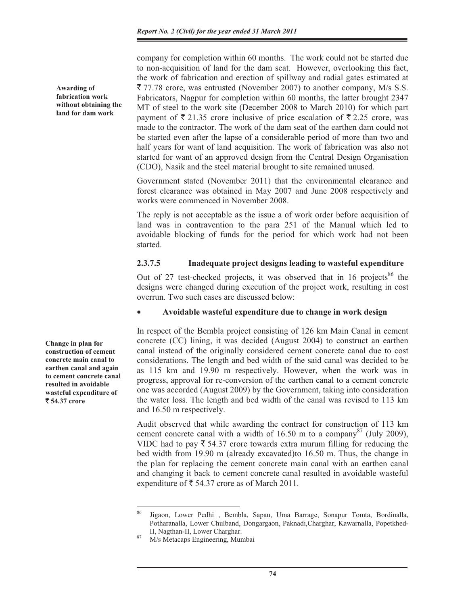company for completion within 60 months. The work could not be started due to non-acquisition of land for the dam seat. However, overlooking this fact, the work of fabrication and erection of spillway and radial gates estimated at  $\bar{\xi}$  77.78 crore, was entrusted (November 2007) to another company, M/s S.S. Fabricators, Nagpur for completion within 60 months, the latter brought 2347 MT of steel to the work site (December 2008 to March 2010) for which part payment of  $\bar{\tau}$  21.35 crore inclusive of price escalation of  $\bar{\tau}$  2.25 crore, was made to the contractor. The work of the dam seat of the earthen dam could not be started even after the lapse of a considerable period of more than two and half years for want of land acquisition. The work of fabrication was also not started for want of an approved design from the Central Design Organisation (CDO), Nasik and the steel material brought to site remained unused.

Government stated (November 2011) that the environmental clearance and forest clearance was obtained in May 2007 and June 2008 respectively and works were commenced in November 2008.

The reply is not acceptable as the issue a of work order before acquisition of land was in contravention to the para 251 of the Manual which led to avoidable blocking of funds for the period for which work had not been started.

#### **2.3.7.5 Inadequate project designs leading to wasteful expenditure**

Out of 27 test-checked projects, it was observed that in 16 projects<sup>86</sup> the designs were changed during execution of the project work, resulting in cost overrun. Two such cases are discussed below:

#### x **Avoidable wasteful expenditure due to change in work design**

In respect of the Bembla project consisting of 126 km Main Canal in cement concrete (CC) lining, it was decided (August 2004) to construct an earthen canal instead of the originally considered cement concrete canal due to cost considerations. The length and bed width of the said canal was decided to be as 115 km and 19.90 m respectively. However, when the work was in progress, approval for re-conversion of the earthen canal to a cement concrete one was accorded (August 2009) by the Government, taking into consideration the water loss. The length and bed width of the canal was revised to 113 km and 16.50 m respectively.

Audit observed that while awarding the contract for construction of 113 km cement concrete canal with a width of 16.50 m to a company<sup>87</sup> (July 2009), VIDC had to pay  $\bar{\tau}$  54.37 crore towards extra murum filling for reducing the bed width from 19.90 m (already excavated)to 16.50 m. Thus, the change in the plan for replacing the cement concrete main canal with an earthen canal and changing it back to cement concrete canal resulted in avoidable wasteful expenditure of  $\bar{\tau}$  54.37 crore as of March 2011.

**Change in plan for construction of cement concrete main canal to earthen canal and again to cement concrete canal resulted in avoidable wasteful expenditure of**  ` **54.37 crore** 

**Awarding of fabrication work without obtaining the land for dam work** 

Jigaon, Lower Pedhi , Bembla, Sapan, Uma Barrage, Sonapur Tomta, Bordinalla, Potharanalla, Lower Chulband, Dongargaon, Paknadi,Charghar, Kawarnalla, Popetkhed-

II, Nagthan-II, Lower Charghar. 87 M/s Metacaps Engineering, Mumbai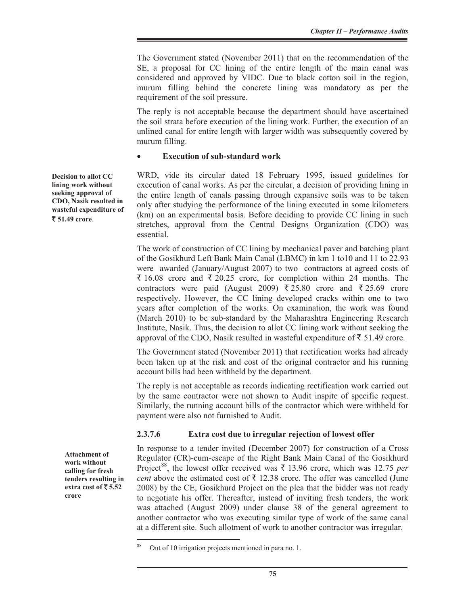The Government stated (November 2011) that on the recommendation of the SE, a proposal for CC lining of the entire length of the main canal was considered and approved by VIDC. Due to black cotton soil in the region, murum filling behind the concrete lining was mandatory as per the requirement of the soil pressure.

The reply is not acceptable because the department should have ascertained the soil strata before execution of the lining work. Further, the execution of an unlined canal for entire length with larger width was subsequently covered by murum filling.

#### x **Execution of sub-standard work**

WRD, vide its circular dated 18 February 1995, issued guidelines for execution of canal works. As per the circular, a decision of providing lining in the entire length of canals passing through expansive soils was to be taken only after studying the performance of the lining executed in some kilometers (km) on an experimental basis. Before deciding to provide CC lining in such stretches, approval from the Central Designs Organization (CDO) was essential.

The work of construction of CC lining by mechanical paver and batching plant of the Gosikhurd Left Bank Main Canal (LBMC) in km 1 to10 and 11 to 22.93 were awarded (January/August 2007) to two contractors at agreed costs of  $\bar{\xi}$  16.08 crore and  $\bar{\xi}$  20.25 crore, for completion within 24 months. The contractors were paid (August 2009)  $\overline{\xi}$  25.80 crore and  $\overline{\xi}$  25.69 crore respectively. However, the CC lining developed cracks within one to two years after completion of the works. On examination, the work was found (March 2010) to be sub-standard by the Maharashtra Engineering Research Institute, Nasik. Thus, the decision to allot CC lining work without seeking the approval of the CDO, Nasik resulted in wasteful expenditure of  $\bar{\tau}$  51.49 crore.

The Government stated (November 2011) that rectification works had already been taken up at the risk and cost of the original contractor and his running account bills had been withheld by the department.

The reply is not acceptable as records indicating rectification work carried out by the same contractor were not shown to Audit inspite of specific request. Similarly, the running account bills of the contractor which were withheld for payment were also not furnished to Audit.

#### **2.3.7.6 Extra cost due to irregular rejection of lowest offer**

In response to a tender invited (December 2007) for construction of a Cross Regulator (CR)-cum-escape of the Right Bank Main Canal of the Gosikhurd Project<sup>88</sup>, the lowest offer received was  $\bar{\tau}$  13.96 crore, which was 12.75 *per cent* above the estimated cost of  $\bar{\tau}$  12.38 crore. The offer was cancelled (June 2008) by the CE, Gosikhurd Project on the plea that the bidder was not ready to negotiate his offer. Thereafter, instead of inviting fresh tenders, the work was attached (August 2009) under clause 38 of the general agreement to another contractor who was executing similar type of work of the same canal at a different site. Such allotment of work to another contractor was irregular.

**Decision to allot CC lining work without seeking approval of CDO, Nasik resulted in wasteful expenditure of**  ` **51.49 crore**.

> **Attachment of work without calling for fresh tenders resulting in extra cost of** ` **5.52 crore**

Out of 10 irrigation projects mentioned in para no. 1.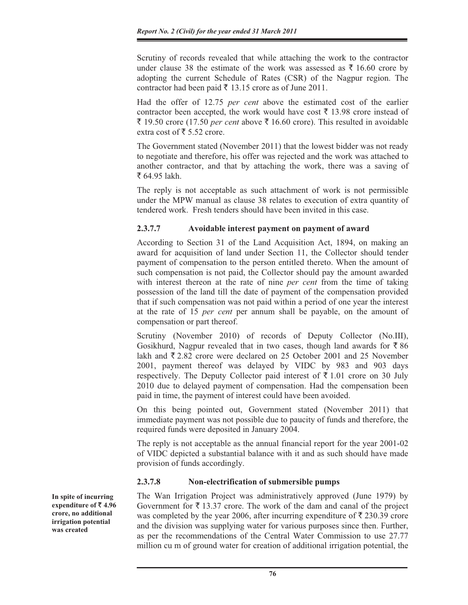Scrutiny of records revealed that while attaching the work to the contractor under clause 38 the estimate of the work was assessed as  $\bar{\tau}$  16.60 crore by adopting the current Schedule of Rates (CSR) of the Nagpur region. The contractor had been paid  $\bar{\tau}$  13.15 crore as of June 2011.

Had the offer of 12.75 *per cent* above the estimated cost of the earlier contractor been accepted, the work would have cost  $\bar{\tau}$  13.98 crore instead of ₹ 19.50 crore (17.50 *per cent* above ₹ 16.60 crore). This resulted in avoidable extra cost of  $\bar{\tau}$  5.52 crore.

The Government stated (November 2011) that the lowest bidder was not ready to negotiate and therefore, his offer was rejected and the work was attached to another contractor, and that by attaching the work, there was a saving of ₹ 64.95 lakh.

The reply is not acceptable as such attachment of work is not permissible under the MPW manual as clause 38 relates to execution of extra quantity of tendered work. Fresh tenders should have been invited in this case.

# **2.3.7.7 Avoidable interest payment on payment of award**

According to Section 31 of the Land Acquisition Act, 1894, on making an award for acquisition of land under Section 11, the Collector should tender payment of compensation to the person entitled thereto. When the amount of such compensation is not paid, the Collector should pay the amount awarded with interest thereon at the rate of nine *per cent* from the time of taking possession of the land till the date of payment of the compensation provided that if such compensation was not paid within a period of one year the interest at the rate of 15 *per cent* per annum shall be payable, on the amount of compensation or part thereof.

Scrutiny (November 2010) of records of Deputy Collector (No.III), Gosikhurd, Nagpur revealed that in two cases, though land awards for  $\bar{\tau}$  86 lakh and  $\bar{\xi}$  2.82 crore were declared on 25 October 2001 and 25 November 2001, payment thereof was delayed by VIDC by 983 and 903 days respectively. The Deputy Collector paid interest of  $\bar{\tau}$  1.01 crore on 30 July 2010 due to delayed payment of compensation. Had the compensation been paid in time, the payment of interest could have been avoided.

On this being pointed out, Government stated (November 2011) that immediate payment was not possible due to paucity of funds and therefore, the required funds were deposited in January 2004.

The reply is not acceptable as the annual financial report for the year 2001-02 of VIDC depicted a substantial balance with it and as such should have made provision of funds accordingly.

# **2.3.7.8 Non-electrification of submersible pumps**

The Wan Irrigation Project was administratively approved (June 1979) by Government for  $\bar{\xi}$  13.37 crore. The work of the dam and canal of the project was completed by the year 2006, after incurring expenditure of  $\bar{\tau}$  230.39 crore and the division was supplying water for various purposes since then. Further, as per the recommendations of the Central Water Commission to use 27.77 million cu m of ground water for creation of additional irrigation potential, the

**In spite of incurring expenditure of ₹4.96 crore, no additional irrigation potential was created**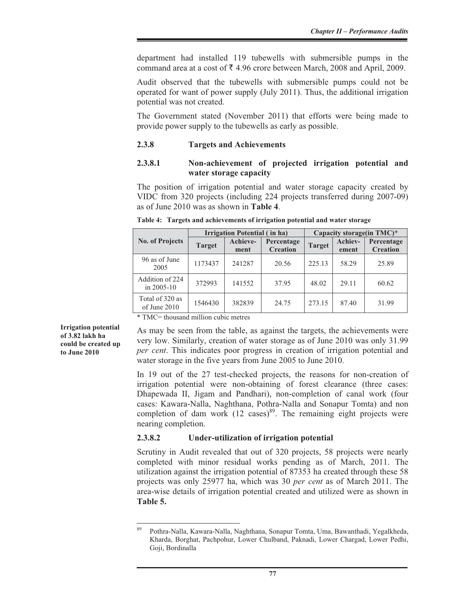department had installed 119 tubewells with submersible pumps in the command area at a cost of  $\bar{\tau}$  4.96 crore between March, 2008 and April, 2009.

Audit observed that the tubewells with submersible pumps could not be operated for want of power supply (July 2011). Thus, the additional irrigation potential was not created.

The Government stated (November 2011) that efforts were being made to provide power supply to the tubewells as early as possible.

#### **2.3.8 Targets and Achievements**

### **2.3.8.1 Non-achievement of projected irrigation potential and water storage capacity**

The position of irrigation potential and water storage capacity created by VIDC from 320 projects (including 224 projects transferred during 2007-09) as of June 2010 was as shown in **Table 4**.

|                                   |               | Irrigation Potential (in ha) |                               | Capacity storage(in TMC)* |                  |                               |  |
|-----------------------------------|---------------|------------------------------|-------------------------------|---------------------------|------------------|-------------------------------|--|
| <b>No. of Projects</b>            | <b>Target</b> | Achieve-<br>ment             | Percentage<br><b>Creation</b> | <b>Target</b>             | Achiev-<br>ement | Percentage<br><b>Creation</b> |  |
| 96 as of June<br>2005             | 1173437       | 241287                       | 20.56                         | 225.13                    | 58.29            | 25.89                         |  |
| Addition of 224<br>in $2005 - 10$ | 372993        | 141552                       | 37.95                         | 48.02                     | 29.11            | 60.62                         |  |
| Total of 320 as<br>of June 2010   | 1546430       | 382839                       | 24.75                         | 273.15                    | 87.40            | 31.99                         |  |

**Table 4: Targets and achievements of irrigation potential and water storage** 

\* TMC= thousand million cubic metres

**Irrigation potential of 3.82 lakh ha could be created up to June 2010** 

As may be seen from the table, as against the targets, the achievements were very low. Similarly, creation of water storage as of June 2010 was only 31.99 *per cent*. This indicates poor progress in creation of irrigation potential and water storage in the five years from June 2005 to June 2010.

In 19 out of the 27 test-checked projects, the reasons for non-creation of irrigation potential were non-obtaining of forest clearance (three cases: Dhapewada II, Jigam and Pandhari), non-completion of canal work (four cases: Kawara-Nalla, Naghthana, Pothra-Nalla and Sonapur Tomta) and non completion of dam work  $(12 \text{ cases})^{89}$ . The remaining eight projects were nearing completion.

#### **2.3.8.2 Under-utilization of irrigation potential**

Scrutiny in Audit revealed that out of 320 projects, 58 projects were nearly completed with minor residual works pending as of March, 2011. The utilization against the irrigation potential of 87353 ha created through these 58 projects was only 25977 ha, which was 30 *per cent* as of March 2011. The area-wise details of irrigation potential created and utilized were as shown in **Table 5.**

<sup>89</sup> Pothra-Nalla, Kawara-Nalla, Naghthana, Sonapur Tomta, Uma, Bawanthadi, Yegalkheda, Kharda, Borghat, Pachpohur, Lower Chulband, Paknadi, Lower Chargad, Lower Pedhi, Goji, Bordinalla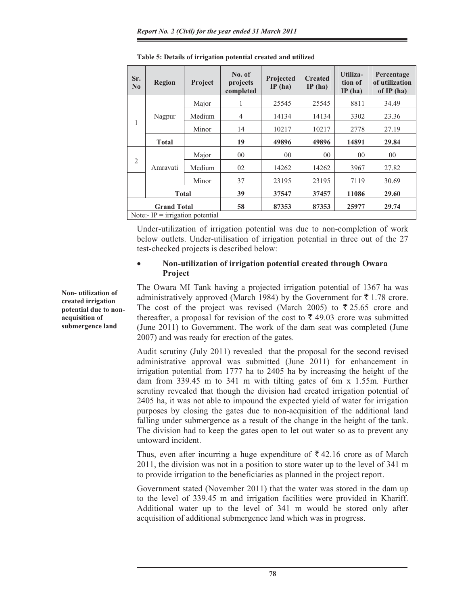| Sr.<br>$\bf No$                  | <b>Region</b> | Project | No. of<br>projects<br>completed | Projected<br>IP(ha) | <b>Created</b><br>IP(ha) | Utiliza-<br>tion of<br>IP(ha) | Percentage<br>of utilization<br>of $IP(ha)$ |
|----------------------------------|---------------|---------|---------------------------------|---------------------|--------------------------|-------------------------------|---------------------------------------------|
| 1                                | Nagpur        | Major   | 1                               | 25545               | 25545                    | 8811                          | 34.49                                       |
|                                  |               | Medium  | $\overline{4}$                  | 14134               | 14134                    | 3302                          | 23.36                                       |
|                                  |               | Minor   | 14                              | 10217               | 10217                    | 2778                          | 27.19                                       |
|                                  | <b>Total</b>  |         | 19                              | 49896               | 49896                    | 14891                         | 29.84                                       |
| 2                                | Amravati      | Major   | 0 <sup>0</sup>                  | 0 <sub>0</sub>      | 0 <sub>0</sub>           | 0 <sup>0</sup>                | 0 <sup>0</sup>                              |
|                                  |               | Medium  | 02                              | 14262               | 14262                    | 3967                          | 27.82                                       |
|                                  |               | Minor   | 37                              | 23195               | 23195                    | 7119                          | 30.69                                       |
|                                  | <b>Total</b>  |         | 39                              | 37547               | 37457                    | 11086                         | 29.60                                       |
| <b>Grand Total</b>               |               |         | 58                              | 87353               | 87353                    | 25977                         | 29.74                                       |
| Note:- IP = irrigation potential |               |         |                                 |                     |                          |                               |                                             |

**Table 5: Details of irrigation potential created and utilized** 

Under-utilization of irrigation potential was due to non-completion of work below outlets. Under-utilisation of irrigation potential in three out of the 27 test-checked projects is described below:

#### x **Non-utilization of irrigation potential created through Owara Project**

The Owara MI Tank having a projected irrigation potential of 1367 ha was administratively approved (March 1984) by the Government for  $\bar{\tau}$  1.78 crore. The cost of the project was revised (March 2005) to  $\overline{\xi}$  25.65 crore and thereafter, a proposal for revision of the cost to  $\bar{\tau}$  49.03 crore was submitted (June 2011) to Government. The work of the dam seat was completed (June 2007) and was ready for erection of the gates.

Audit scrutiny (July 2011) revealed that the proposal for the second revised administrative approval was submitted (June 2011) for enhancement in irrigation potential from 1777 ha to 2405 ha by increasing the height of the dam from 339.45 m to 341 m with tilting gates of 6m x 1.55m. Further scrutiny revealed that though the division had created irrigation potential of 2405 ha, it was not able to impound the expected yield of water for irrigation purposes by closing the gates due to non-acquisition of the additional land falling under submergence as a result of the change in the height of the tank. The division had to keep the gates open to let out water so as to prevent any untoward incident.

Thus, even after incurring a huge expenditure of  $\bar{\tau}$  42.16 crore as of March 2011, the division was not in a position to store water up to the level of 341 m to provide irrigation to the beneficiaries as planned in the project report.

Government stated (November 2011) that the water was stored in the dam up to the level of 339.45 m and irrigation facilities were provided in Khariff. Additional water up to the level of 341 m would be stored only after acquisition of additional submergence land which was in progress.

**Non- utilization of created irrigation potential due to nonacquisition of submergence land**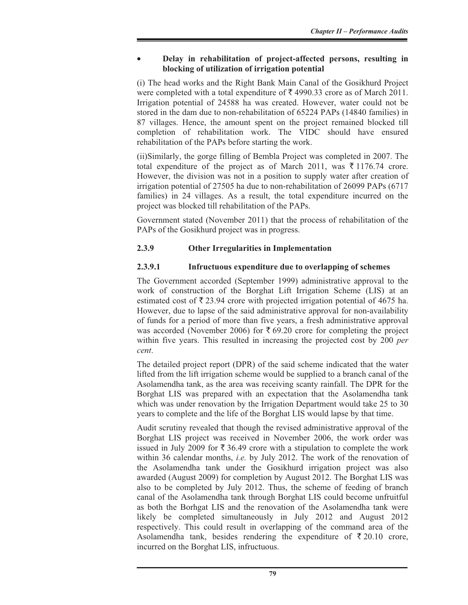### x **Delay in rehabilitation of project-affected persons, resulting in blocking of utilization of irrigation potential**

(i) The head works and the Right Bank Main Canal of the Gosikhurd Project were completed with a total expenditure of  $\bar{\tau}$  4990.33 crore as of March 2011. Irrigation potential of 24588 ha was created. However, water could not be stored in the dam due to non-rehabilitation of 65224 PAPs (14840 families) in 87 villages. Hence, the amount spent on the project remained blocked till completion of rehabilitation work. The VIDC should have ensured rehabilitation of the PAPs before starting the work.

(ii)Similarly, the gorge filling of Bembla Project was completed in 2007. The total expenditure of the project as of March 2011, was  $\bar{\tau}$  1176.74 crore. However, the division was not in a position to supply water after creation of irrigation potential of 27505 ha due to non-rehabilitation of 26099 PAPs (6717 families) in 24 villages. As a result, the total expenditure incurred on the project was blocked till rehabilitation of the PAPs.

Government stated (November 2011) that the process of rehabilitation of the PAPs of the Gosikhurd project was in progress.

# **2.3.9 Other Irregularities in Implementation**

# **2.3.9.1 Infructuous expenditure due to overlapping of schemes**

The Government accorded (September 1999) administrative approval to the work of construction of the Borghat Lift Irrigation Scheme (LIS) at an estimated cost of  $\bar{\tau}$  23.94 crore with projected irrigation potential of 4675 ha. However, due to lapse of the said administrative approval for non-availability of funds for a period of more than five years, a fresh administrative approval was accorded (November 2006) for  $\bar{\xi}$  69.20 crore for completing the project within five years. This resulted in increasing the projected cost by 200 *per cent*.

The detailed project report (DPR) of the said scheme indicated that the water lifted from the lift irrigation scheme would be supplied to a branch canal of the Asolamendha tank, as the area was receiving scanty rainfall. The DPR for the Borghat LIS was prepared with an expectation that the Asolamendha tank which was under renovation by the Irrigation Department would take 25 to 30 years to complete and the life of the Borghat LIS would lapse by that time.

Audit scrutiny revealed that though the revised administrative approval of the Borghat LIS project was received in November 2006, the work order was issued in July 2009 for  $\bar{\xi}$  36.49 crore with a stipulation to complete the work within 36 calendar months, *i.e.* by July 2012. The work of the renovation of the Asolamendha tank under the Gosikhurd irrigation project was also awarded (August 2009) for completion by August 2012. The Borghat LIS was also to be completed by July 2012. Thus, the scheme of feeding of branch canal of the Asolamendha tank through Borghat LIS could become unfruitful as both the Borhgat LIS and the renovation of the Asolamendha tank were likely be completed simultaneously in July 2012 and August 2012 respectively. This could result in overlapping of the command area of the Asolamendha tank, besides rendering the expenditure of  $\bar{\xi}$  20.10 crore, incurred on the Borghat LIS, infructuous.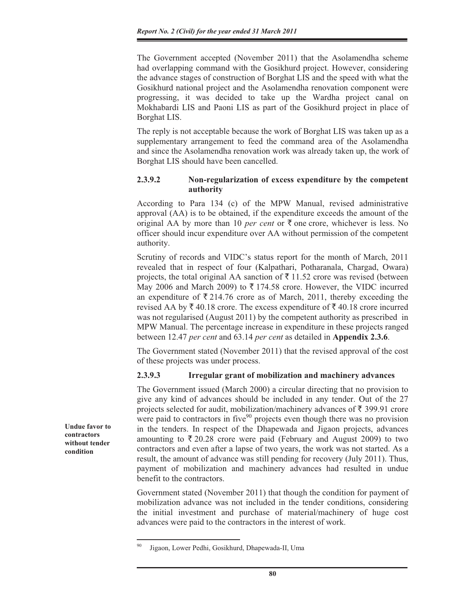The Government accepted (November 2011) that the Asolamendha scheme had overlapping command with the Gosikhurd project. However, considering the advance stages of construction of Borghat LIS and the speed with what the Gosikhurd national project and the Asolamendha renovation component were progressing, it was decided to take up the Wardha project canal on Mokhabardi LIS and Paoni LIS as part of the Gosikhurd project in place of Borghat LIS.

The reply is not acceptable because the work of Borghat LIS was taken up as a supplementary arrangement to feed the command area of the Asolamendha and since the Asolamendha renovation work was already taken up, the work of Borghat LIS should have been cancelled.

### **2.3.9.2 Non-regularization of excess expenditure by the competent authority**

According to Para 134 (c) of the MPW Manual, revised administrative approval (AA) is to be obtained, if the expenditure exceeds the amount of the original AA by more than 10 *per cent* or  $\bar{\tau}$  one crore, whichever is less. No officer should incur expenditure over AA without permission of the competent authority.

Scrutiny of records and VIDC's status report for the month of March, 2011 revealed that in respect of four (Kalpathari, Potharanala, Chargad, Owara) projects, the total original AA sanction of  $\bar{\tau}$  11.52 crore was revised (between May 2006 and March 2009) to  $\overline{\xi}$  174.58 crore. However, the VIDC incurred an expenditure of  $\bar{\xi}$  214.76 crore as of March, 2011, thereby exceeding the revised AA by  $\bar{\xi}$  40.18 crore. The excess expenditure of  $\bar{\xi}$  40.18 crore incurred was not regularised (August 2011) by the competent authority as prescribed in MPW Manual. The percentage increase in expenditure in these projects ranged between 12.47 *per cent* and 63.14 *per cent* as detailed in **Appendix 2.3.6**.

The Government stated (November 2011) that the revised approval of the cost of these projects was under process.

#### **2.3.9.3 Irregular grant of mobilization and machinery advances**

The Government issued (March 2000) a circular directing that no provision to give any kind of advances should be included in any tender. Out of the 27 projects selected for audit, mobilization/machinery advances of  $\bar{\tau}$  399.91 crore were paid to contractors in five<sup>90</sup> projects even though there was no provision in the tenders. In respect of the Dhapewada and Jigaon projects, advances amounting to  $\overline{\xi}$  20.28 crore were paid (February and August 2009) to two contractors and even after a lapse of two years, the work was not started. As a result, the amount of advance was still pending for recovery (July 2011). Thus, payment of mobilization and machinery advances had resulted in undue benefit to the contractors.

Government stated (November 2011) that though the condition for payment of mobilization advance was not included in the tender conditions, considering the initial investment and purchase of material/machinery of huge cost advances were paid to the contractors in the interest of work.

**Undue favor to contractors without tender condition**

Jigaon, Lower Pedhi, Gosikhurd, Dhapewada-II, Uma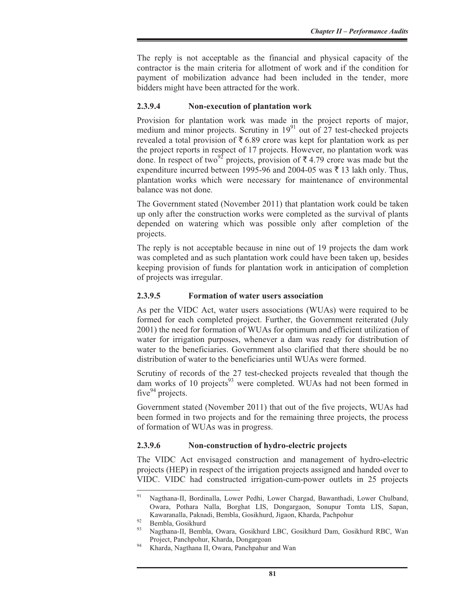The reply is not acceptable as the financial and physical capacity of the contractor is the main criteria for allotment of work and if the condition for payment of mobilization advance had been included in the tender, more bidders might have been attracted for the work.

#### **2.3.9.4 Non-execution of plantation work**

Provision for plantation work was made in the project reports of major, medium and minor projects. Scrutiny in  $19<sup>91</sup>$  out of 27 test-checked projects revealed a total provision of  $\bar{\tau}$  6.89 crore was kept for plantation work as per the project reports in respect of 17 projects. However, no plantation work was done. In respect of two<sup>92</sup> projects, provision of  $\bar{\tau}$  4.79 crore was made but the expenditure incurred between 1995-96 and 2004-05 was  $\bar{\tau}$  13 lakh only. Thus, plantation works which were necessary for maintenance of environmental balance was not done.

The Government stated (November 2011) that plantation work could be taken up only after the construction works were completed as the survival of plants depended on watering which was possible only after completion of the projects.

The reply is not acceptable because in nine out of 19 projects the dam work was completed and as such plantation work could have been taken up, besides keeping provision of funds for plantation work in anticipation of completion of projects was irregular.

### **2.3.9.5 Formation of water users association**

As per the VIDC Act, water users associations (WUAs) were required to be formed for each completed project. Further, the Government reiterated (July 2001) the need for formation of WUAs for optimum and efficient utilization of water for irrigation purposes, whenever a dam was ready for distribution of water to the beneficiaries. Government also clarified that there should be no distribution of water to the beneficiaries until WUAs were formed.

Scrutiny of records of the 27 test-checked projects revealed that though the dam works of 10 projects $93$  were completed. WUAs had not been formed in five $94$  projects.

Government stated (November 2011) that out of the five projects, WUAs had been formed in two projects and for the remaining three projects, the process of formation of WUAs was in progress.

# **2.3.9.6 Non-construction of hydro-electric projects**

The VIDC Act envisaged construction and management of hydro-electric projects (HEP) in respect of the irrigation projects assigned and handed over to VIDC. VIDC had constructed irrigation-cum-power outlets in 25 projects

<sup>91</sup> Nagthana-II, Bordinalla, Lower Pedhi, Lower Chargad, Bawanthadi, Lower Chulband, Owara, Pothara Nalla, Borghat LIS, Dongargaon, Sonupur Tomta LIS, Sapan, Kawaranalla, Paknadi, Bembla, Gosikhurd, Jigaon, Kharda, Pachpohur<br>
Bembla, Gosikhurd<br>
<sup>93</sup> Besthave H. Bewkla, Oraya, Gosikhurd, D.G. Gosikhurd, Dew, Gos

<sup>93</sup> Nagthana-II, Bembla, Owara, Gosikhurd LBC, Gosikhurd Dam, Gosikhurd RBC, Wan

Project, Panchpohur, Kharda, Dongargoan<br>Kharda, Nagthana II, Owara, Panchpahur and Wan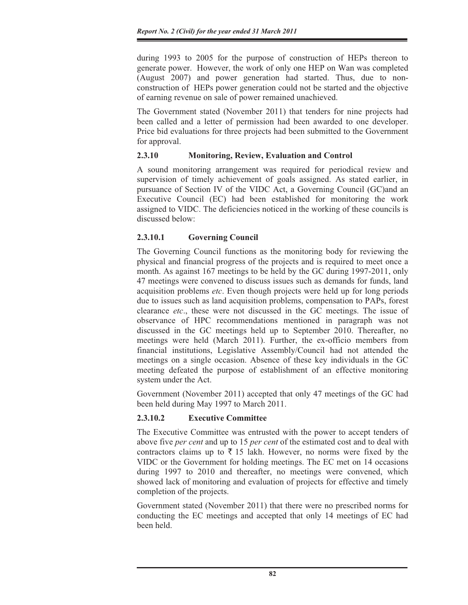during 1993 to 2005 for the purpose of construction of HEPs thereon to generate power. However, the work of only one HEP on Wan was completed (August 2007) and power generation had started. Thus, due to nonconstruction of HEPs power generation could not be started and the objective of earning revenue on sale of power remained unachieved.

The Government stated (November 2011) that tenders for nine projects had been called and a letter of permission had been awarded to one developer. Price bid evaluations for three projects had been submitted to the Government for approval.

# **2.3.10 Monitoring, Review, Evaluation and Control**

A sound monitoring arrangement was required for periodical review and supervision of timely achievement of goals assigned. As stated earlier, in pursuance of Section IV of the VIDC Act, a Governing Council (GC)and an Executive Council (EC) had been established for monitoring the work assigned to VIDC. The deficiencies noticed in the working of these councils is discussed below:

# **2.3.10.1 Governing Council**

The Governing Council functions as the monitoring body for reviewing the physical and financial progress of the projects and is required to meet once a month. As against 167 meetings to be held by the GC during 1997-2011, only 47 meetings were convened to discuss issues such as demands for funds, land acquisition problems *etc*. Even though projects were held up for long periods due to issues such as land acquisition problems, compensation to PAPs, forest clearance *etc*., these were not discussed in the GC meetings. The issue of observance of HPC recommendations mentioned in paragraph was not discussed in the GC meetings held up to September 2010. Thereafter, no meetings were held (March 2011). Further, the ex-officio members from financial institutions, Legislative Assembly/Council had not attended the meetings on a single occasion. Absence of these key individuals in the GC meeting defeated the purpose of establishment of an effective monitoring system under the Act.

Government (November 2011) accepted that only 47 meetings of the GC had been held during May 1997 to March 2011.

# **2.3.10.2 Executive Committee**

The Executive Committee was entrusted with the power to accept tenders of above five *per cent* and up to 15 *per cent* of the estimated cost and to deal with contractors claims up to  $\bar{\tau}$  15 lakh. However, no norms were fixed by the VIDC or the Government for holding meetings. The EC met on 14 occasions during 1997 to 2010 and thereafter, no meetings were convened, which showed lack of monitoring and evaluation of projects for effective and timely completion of the projects.

Government stated (November 2011) that there were no prescribed norms for conducting the EC meetings and accepted that only 14 meetings of EC had been held.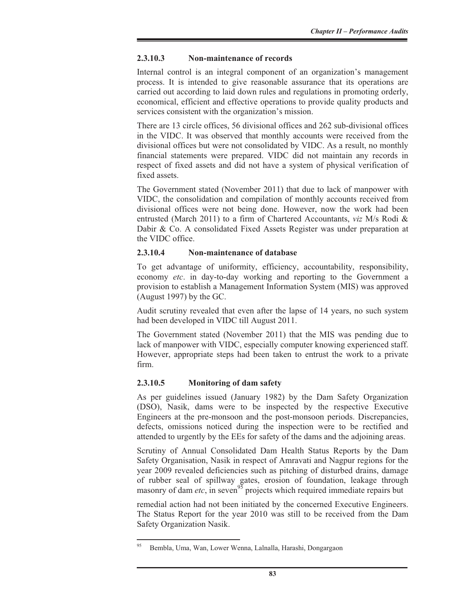# **2.3.10.3 Non-maintenance of records**

Internal control is an integral component of an organization's management process. It is intended to give reasonable assurance that its operations are carried out according to laid down rules and regulations in promoting orderly, economical, efficient and effective operations to provide quality products and services consistent with the organization's mission.

There are 13 circle offices, 56 divisional offices and 262 sub-divisional offices in the VIDC. It was observed that monthly accounts were received from the divisional offices but were not consolidated by VIDC. As a result, no monthly financial statements were prepared. VIDC did not maintain any records in respect of fixed assets and did not have a system of physical verification of fixed assets.

The Government stated (November 2011) that due to lack of manpower with VIDC, the consolidation and compilation of monthly accounts received from divisional offices were not being done. However, now the work had been entrusted (March 2011) to a firm of Chartered Accountants, *viz* M/s Rodi & Dabir & Co. A consolidated Fixed Assets Register was under preparation at the VIDC office.

## **2.3.10.4 Non-maintenance of database**

To get advantage of uniformity, efficiency, accountability, responsibility, economy *etc*. in day-to-day working and reporting to the Government a provision to establish a Management Information System (MIS) was approved (August 1997) by the GC.

Audit scrutiny revealed that even after the lapse of 14 years, no such system had been developed in VIDC till August 2011.

The Government stated (November 2011) that the MIS was pending due to lack of manpower with VIDC, especially computer knowing experienced staff. However, appropriate steps had been taken to entrust the work to a private firm.

# **2.3.10.5 Monitoring of dam safety**

As per guidelines issued (January 1982) by the Dam Safety Organization (DSO), Nasik, dams were to be inspected by the respective Executive Engineers at the pre-monsoon and the post-monsoon periods. Discrepancies, defects, omissions noticed during the inspection were to be rectified and attended to urgently by the EEs for safety of the dams and the adjoining areas.

Scrutiny of Annual Consolidated Dam Health Status Reports by the Dam Safety Organisation, Nasik in respect of Amravati and Nagpur regions for the year 2009 revealed deficiencies such as pitching of disturbed drains, damage of rubber seal of spillway gates, erosion of foundation, leakage through masonry of dam *etc*, in seven<sup>95</sup> projects which required immediate repairs but

remedial action had not been initiated by the concerned Executive Engineers. The Status Report for the year 2010 was still to be received from the Dam Safety Organization Nasik.

<sup>95</sup> Bembla, Uma, Wan, Lower Wenna, Lalnalla, Harashi, Dongargaon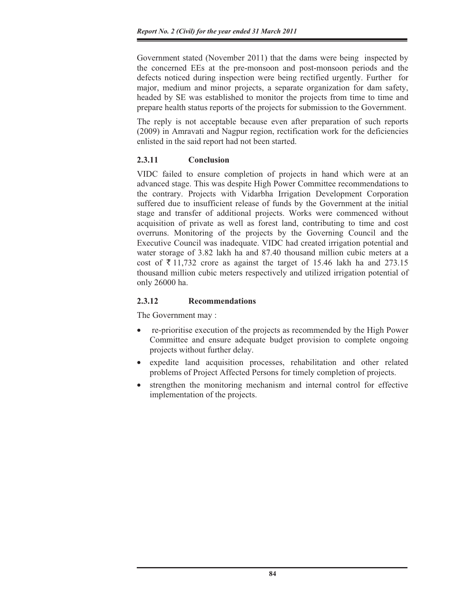Government stated (November 2011) that the dams were being inspected by the concerned EEs at the pre-monsoon and post-monsoon periods and the defects noticed during inspection were being rectified urgently. Further for major, medium and minor projects, a separate organization for dam safety, headed by SE was established to monitor the projects from time to time and prepare health status reports of the projects for submission to the Government.

The reply is not acceptable because even after preparation of such reports (2009) in Amravati and Nagpur region, rectification work for the deficiencies enlisted in the said report had not been started.

# **2.3.11 Conclusion**

VIDC failed to ensure completion of projects in hand which were at an advanced stage. This was despite High Power Committee recommendations to the contrary. Projects with Vidarbha Irrigation Development Corporation suffered due to insufficient release of funds by the Government at the initial stage and transfer of additional projects. Works were commenced without acquisition of private as well as forest land, contributing to time and cost overruns. Monitoring of the projects by the Governing Council and the Executive Council was inadequate. VIDC had created irrigation potential and water storage of 3.82 lakh ha and 87.40 thousand million cubic meters at a cost of  $\bar{\tau}$  11,732 crore as against the target of 15.46 lakh ha and 273.15 thousand million cubic meters respectively and utilized irrigation potential of only 26000 ha.

# **2.3.12 Recommendations**

The Government may :

- x re-prioritise execution of the projects as recommended by the High Power Committee and ensure adequate budget provision to complete ongoing projects without further delay.
- x expedite land acquisition processes, rehabilitation and other related problems of Project Affected Persons for timely completion of projects.
- x strengthen the monitoring mechanism and internal control for effective implementation of the projects.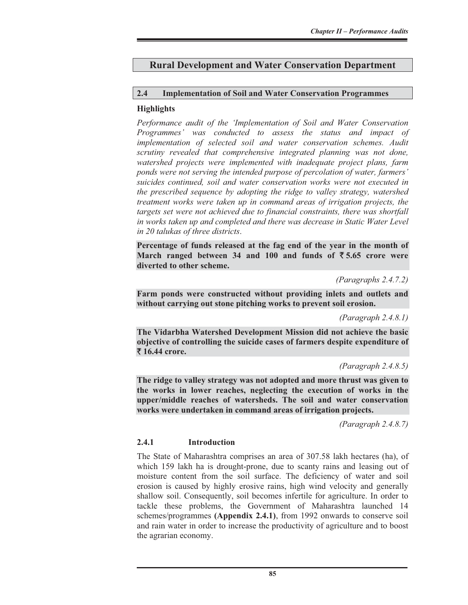# **Rural Development and Water Conservation Department**

## **2.4 Implementation of Soil and Water Conservation Programmes**

## **Highlights**

*Performance audit of the 'Implementation of Soil and Water Conservation Programmes' was conducted to assess the status and impact of implementation of selected soil and water conservation schemes. Audit scrutiny revealed that comprehensive integrated planning was not done, watershed projects were implemented with inadequate project plans, farm ponds were not serving the intended purpose of percolation of water, farmers' suicides continued, soil and water conservation works were not executed in the prescribed sequence by adopting the ridge to valley strategy, watershed treatment works were taken up in command areas of irrigation projects, the targets set were not achieved due to financial constraints, there was shortfall*  in works taken up and completed and there was decrease in Static Water Level *in 20 talukas of three districts*.

**Percentage of funds released at the fag end of the year in the month of March ranged between 34 and 100 and funds of** ` **5.65 crore were diverted to other scheme.** 

*(Paragraphs 2.4.7.2)* 

**Farm ponds were constructed without providing inlets and outlets and without carrying out stone pitching works to prevent soil erosion.** 

*(Paragraph 2.4.8.1)* 

**The Vidarbha Watershed Development Mission did not achieve the basic objective of controlling the suicide cases of farmers despite expenditure of**  ` **16.44 crore.** 

*(Paragraph 2.4.8.5)* 

**The ridge to valley strategy was not adopted and more thrust was given to the works in lower reaches, neglecting the execution of works in the upper/middle reaches of watersheds. The soil and water conservation works were undertaken in command areas of irrigation projects.** 

*(Paragraph 2.4.8.7)* 

# **2.4.1 Introduction**

The State of Maharashtra comprises an area of 307.58 lakh hectares (ha), of which 159 lakh ha is drought-prone, due to scanty rains and leasing out of moisture content from the soil surface. The deficiency of water and soil erosion is caused by highly erosive rains, high wind velocity and generally shallow soil. Consequently, soil becomes infertile for agriculture. In order to tackle these problems, the Government of Maharashtra launched 14 schemes/programmes **(Appendix 2.4.1)**, from 1992 onwards to conserve soil and rain water in order to increase the productivity of agriculture and to boost the agrarian economy.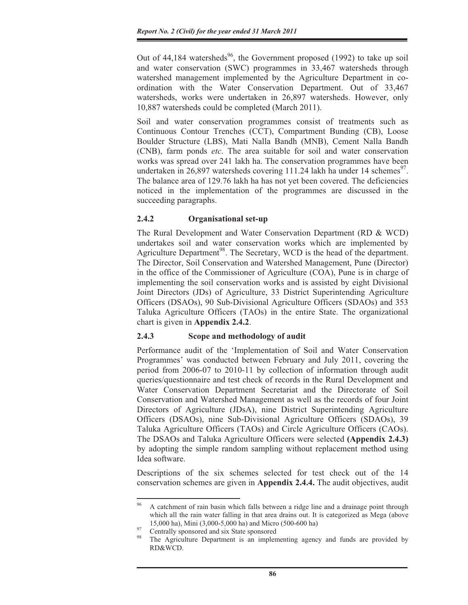Out of  $44,184$  watersheds<sup>96</sup>, the Government proposed (1992) to take up soil and water conservation (SWC) programmes in 33,467 watersheds through watershed management implemented by the Agriculture Department in coordination with the Water Conservation Department. Out of 33,467 watersheds, works were undertaken in 26,897 watersheds. However, only 10,887 watersheds could be completed (March 2011).

Soil and water conservation programmes consist of treatments such as Continuous Contour Trenches (CCT), Compartment Bunding (CB), Loose Boulder Structure (LBS), Mati Nalla Bandh (MNB), Cement Nalla Bandh (CNB), farm ponds *etc*. The area suitable for soil and water conservation works was spread over 241 lakh ha. The conservation programmes have been undertaken in 26,897 watersheds covering 111.24 lakh ha under 14 schemes<sup>97</sup>. The balance area of 129.76 lakh ha has not yet been covered. The deficiencies noticed in the implementation of the programmes are discussed in the succeeding paragraphs.

# **2.4.2 Organisational set-up**

The Rural Development and Water Conservation Department (RD & WCD) undertakes soil and water conservation works which are implemented by Agriculture Department<sup>98</sup>. The Secretary, WCD is the head of the department. The Director, Soil Conservation and Watershed Management, Pune (Director) in the office of the Commissioner of Agriculture (COA), Pune is in charge of implementing the soil conservation works and is assisted by eight Divisional Joint Directors (JDs) of Agriculture, 33 District Superintending Agriculture Officers (DSAOs), 90 Sub-Divisional Agriculture Officers (SDAOs) and 353 Taluka Agriculture Officers (TAOs) in the entire State. The organizational chart is given in **Appendix 2.4.2**.

# **2.4.3 Scope and methodology of audit**

Performance audit of the 'Implementation of Soil and Water Conservation Programmes' was conducted between February and July 2011, covering the period from 2006-07 to 2010-11 by collection of information through audit queries/questionnaire and test check of records in the Rural Development and Water Conservation Department Secretariat and the Directorate of Soil Conservation and Watershed Management as well as the records of four Joint Directors of Agriculture (JDsA), nine District Superintending Agriculture Officers (DSAOs), nine Sub-Divisional Agriculture Officers (SDAOs), 39 Taluka Agriculture Officers (TAOs) and Circle Agriculture Officers (CAOs). The DSAOs and Taluka Agriculture Officers were selected **(Appendix 2.4.3)** by adopting the simple random sampling without replacement method using Idea software.

Descriptions of the six schemes selected for test check out of the 14 conservation schemes are given in **Appendix 2.4.4.** The audit objectives, audit

<sup>96</sup> A catchment of rain basin which falls between a ridge line and a drainage point through which all the rain water falling in that area drains out. It is categorized as Mega (above 15,000 ha), Mini (3,000-5,000 ha) and Micro (500-600 ha) 97 Centrally sponsored and six State sponsored

The Agriculture Department is an implementing agency and funds are provided by RD&WCD.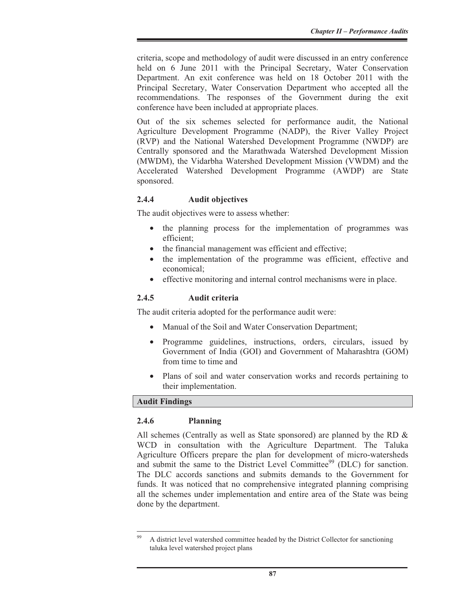criteria, scope and methodology of audit were discussed in an entry conference held on 6 June 2011 with the Principal Secretary, Water Conservation Department. An exit conference was held on 18 October 2011 with the Principal Secretary, Water Conservation Department who accepted all the recommendations. The responses of the Government during the exit conference have been included at appropriate places.

Out of the six schemes selected for performance audit, the National Agriculture Development Programme (NADP), the River Valley Project (RVP) and the National Watershed Development Programme (NWDP) are Centrally sponsored and the Marathwada Watershed Development Mission (MWDM), the Vidarbha Watershed Development Mission (VWDM) and the Accelerated Watershed Development Programme (AWDP) are State sponsored.

# **2.4.4 Audit objectives**

The audit objectives were to assess whether:

- the planning process for the implementation of programmes was efficient;
- the financial management was efficient and effective;
- the implementation of the programme was efficient, effective and economical;
- effective monitoring and internal control mechanisms were in place.

## **2.4.5 Audit criteria**

The audit criteria adopted for the performance audit were:

- Manual of the Soil and Water Conservation Department;
- Programme guidelines, instructions, orders, circulars, issued by Government of India (GOI) and Government of Maharashtra (GOM) from time to time and
- Plans of soil and water conservation works and records pertaining to their implementation.

# **Audit Findings**

#### **2.4.6 Planning**

All schemes (Centrally as well as State sponsored) are planned by the RD  $\&$ WCD in consultation with the Agriculture Department. The Taluka Agriculture Officers prepare the plan for development of micro-watersheds and submit the same to the District Level Committee<sup>99</sup> (DLC) for sanction. The DLC accords sanctions and submits demands to the Government for funds. It was noticed that no comprehensive integrated planning comprising all the schemes under implementation and entire area of the State was being done by the department.

<sup>99</sup> A district level watershed committee headed by the District Collector for sanctioning taluka level watershed project plans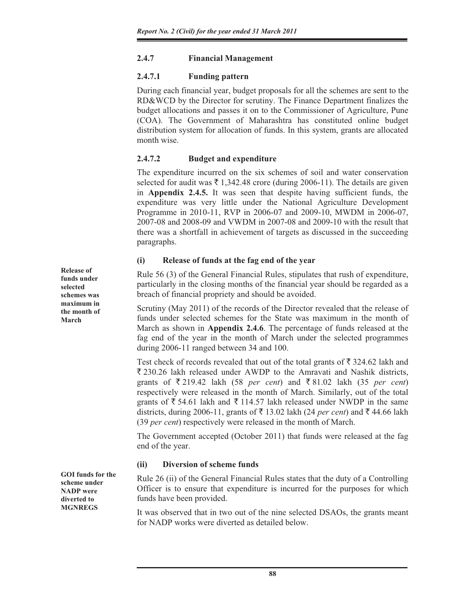# **2.4.7 Financial Management**

# **2.4.7.1 Funding pattern**

During each financial year, budget proposals for all the schemes are sent to the RD&WCD by the Director for scrutiny. The Finance Department finalizes the budget allocations and passes it on to the Commissioner of Agriculture, Pune (COA). The Government of Maharashtra has constituted online budget distribution system for allocation of funds. In this system, grants are allocated month wise.

# **2.4.7.2 Budget and expenditure**

The expenditure incurred on the six schemes of soil and water conservation selected for audit was  $\bar{\tau}$  1,342.48 crore (during 2006-11). The details are given in **Appendix 2.4.5.** It was seen that despite having sufficient funds, the expenditure was very little under the National Agriculture Development Programme in 2010-11, RVP in 2006-07 and 2009-10, MWDM in 2006-07, 2007-08 and 2008-09 and VWDM in 2007-08 and 2009-10 with the result that there was a shortfall in achievement of targets as discussed in the succeeding paragraphs.

# **(i) Release of funds at the fag end of the year**

Rule 56 (3) of the General Financial Rules, stipulates that rush of expenditure, particularly in the closing months of the financial year should be regarded as a breach of financial propriety and should be avoided.

Scrutiny (May 2011) of the records of the Director revealed that the release of funds under selected schemes for the State was maximum in the month of March as shown in **Appendix 2.4.6**. The percentage of funds released at the fag end of the year in the month of March under the selected programmes during 2006-11 ranged between 34 and 100.

Test check of records revealed that out of the total grants of  $\bar{\tau}$  324.62 lakh and  $\overline{\xi}$  230.26 lakh released under AWDP to the Amravati and Nashik districts, grants of  $\overline{\xi}$  219.42 lakh (58 *per cent*) and  $\overline{\xi}$  81.02 lakh (35 *per cent*) respectively were released in the month of March. Similarly, out of the total grants of  $\overline{\xi}$  54.61 lakh and  $\overline{\xi}$  114.57 lakh released under NWDP in the same districts, during 2006-11, grants of  $\bar{\tau}$  13.02 lakh (24 *per cent*) and  $\bar{\tau}$  44.66 lakh (39 *per cent*) respectively were released in the month of March.

The Government accepted (October 2011) that funds were released at the fag end of the year.

# **(ii) Diversion of scheme funds**

Rule 26 (ii) of the General Financial Rules states that the duty of a Controlling Officer is to ensure that expenditure is incurred for the purposes for which funds have been provided.

It was observed that in two out of the nine selected DSAOs, the grants meant for NADP works were diverted as detailed below.

**Release of funds under selected schemes was maximum in the month of March** 

**GOI funds for the scheme under NADP were diverted to MGNREGS**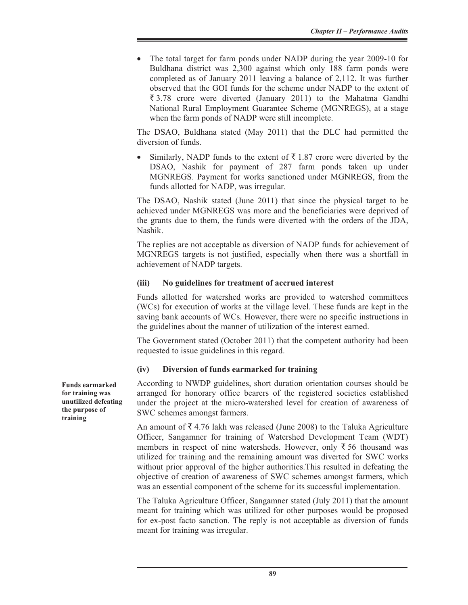• The total target for farm ponds under NADP during the year 2009-10 for Buldhana district was 2,300 against which only 188 farm ponds were completed as of January 2011 leaving a balance of 2,112. It was further observed that the GOI funds for the scheme under NADP to the extent of  $\overline{\xi}$  3.78 crore were diverted (January 2011) to the Mahatma Gandhi National Rural Employment Guarantee Scheme (MGNREGS), at a stage when the farm ponds of NADP were still incomplete.

The DSAO, Buldhana stated (May 2011) that the DLC had permitted the diversion of funds.

Similarly, NADP funds to the extent of  $\bar{\tau}$  1.87 crore were diverted by the DSAO, Nashik for payment of 287 farm ponds taken up under MGNREGS. Payment for works sanctioned under MGNREGS, from the funds allotted for NADP, was irregular.

The DSAO, Nashik stated (June 2011) that since the physical target to be achieved under MGNREGS was more and the beneficiaries were deprived of the grants due to them, the funds were diverted with the orders of the JDA, Nashik.

The replies are not acceptable as diversion of NADP funds for achievement of MGNREGS targets is not justified, especially when there was a shortfall in achievement of NADP targets.

## **(iii) No guidelines for treatment of accrued interest**

Funds allotted for watershed works are provided to watershed committees (WCs) for execution of works at the village level. These funds are kept in the saving bank accounts of WCs. However, there were no specific instructions in the guidelines about the manner of utilization of the interest earned.

The Government stated (October 2011) that the competent authority had been requested to issue guidelines in this regard.

#### **(iv) Diversion of funds earmarked for training**

According to NWDP guidelines, short duration orientation courses should be arranged for honorary office bearers of the registered societies established under the project at the micro-watershed level for creation of awareness of SWC schemes amongst farmers.

An amount of  $\bar{\xi}$  4.76 lakh was released (June 2008) to the Taluka Agriculture Officer, Sangamner for training of Watershed Development Team (WDT) members in respect of nine watersheds. However, only  $\bar{\xi}$  56 thousand was utilized for training and the remaining amount was diverted for SWC works without prior approval of the higher authorities.This resulted in defeating the objective of creation of awareness of SWC schemes amongst farmers, which was an essential component of the scheme for its successful implementation.

The Taluka Agriculture Officer, Sangamner stated (July 2011) that the amount meant for training which was utilized for other purposes would be proposed for ex-post facto sanction. The reply is not acceptable as diversion of funds meant for training was irregular.

**Funds earmarked for training was unutilized defeating the purpose of training**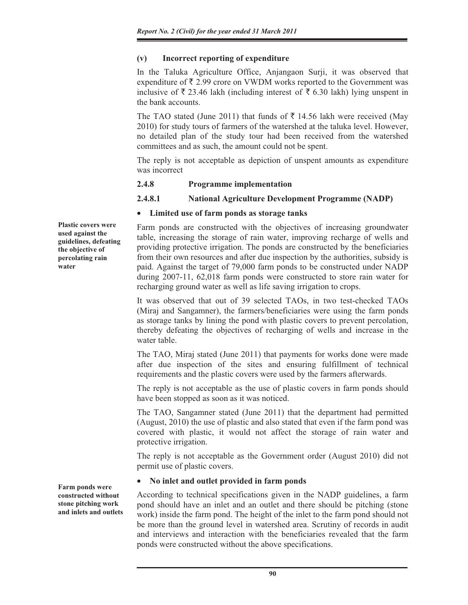# **(v) Incorrect reporting of expenditure**

In the Taluka Agriculture Office, Anjangaon Surji, it was observed that expenditure of  $\bar{\xi}$  2.99 crore on VWDM works reported to the Government was inclusive of  $\bar{\tau}$  23.46 lakh (including interest of  $\bar{\tau}$  6.30 lakh) lying unspent in the bank accounts.

The TAO stated (June 2011) that funds of  $\bar{\tau}$  14.56 lakh were received (May 2010) for study tours of farmers of the watershed at the taluka level. However, no detailed plan of the study tour had been received from the watershed committees and as such, the amount could not be spent.

The reply is not acceptable as depiction of unspent amounts as expenditure was incorrect

#### **2.4.8 Programme implementation**

## **2.4.8.1 National Agriculture Development Programme (NADP)**

## x **Limited use of farm ponds as storage tanks**

Farm ponds are constructed with the objectives of increasing groundwater table, increasing the storage of rain water, improving recharge of wells and providing protective irrigation. The ponds are constructed by the beneficiaries from their own resources and after due inspection by the authorities, subsidy is paid. Against the target of 79,000 farm ponds to be constructed under NADP during 2007-11, 62,018 farm ponds were constructed to store rain water for recharging ground water as well as life saving irrigation to crops.

It was observed that out of 39 selected TAOs, in two test-checked TAOs (Miraj and Sangamner), the farmers/beneficiaries were using the farm ponds as storage tanks by lining the pond with plastic covers to prevent percolation, thereby defeating the objectives of recharging of wells and increase in the water table.

The TAO, Miraj stated (June 2011) that payments for works done were made after due inspection of the sites and ensuring fulfillment of technical requirements and the plastic covers were used by the farmers afterwards.

The reply is not acceptable as the use of plastic covers in farm ponds should have been stopped as soon as it was noticed.

The TAO, Sangamner stated (June 2011) that the department had permitted (August, 2010) the use of plastic and also stated that even if the farm pond was covered with plastic, it would not affect the storage of rain water and protective irrigation.

The reply is not acceptable as the Government order (August 2010) did not permit use of plastic covers.

# x **No inlet and outlet provided in farm ponds**

According to technical specifications given in the NADP guidelines, a farm pond should have an inlet and an outlet and there should be pitching (stone work) inside the farm pond. The height of the inlet to the farm pond should not be more than the ground level in watershed area. Scrutiny of records in audit and interviews and interaction with the beneficiaries revealed that the farm ponds were constructed without the above specifications.

**Plastic covers were used against the guidelines, defeating the objective of percolating rain water**

**Farm ponds were constructed without stone pitching work and inlets and outlets**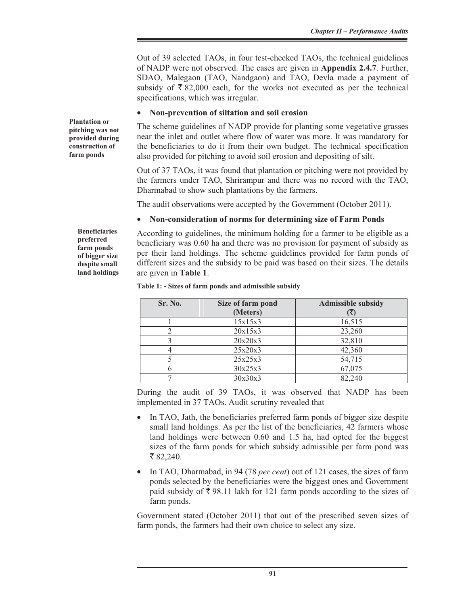Out of 39 selected TAOs, in four test-checked TAOs, the technical guidelines of NADP were not observed. The cases are given in **Appendix 2.4.7**. Further, SDAO, Malegaon (TAO, Nandgaon) and TAO, Devla made a payment of subsidy of  $\bar{\tau}$  82,000 each, for the works not executed as per the technical specifications, which was irregular.

## x **Non-prevention of siltation and soil erosion**

The scheme guidelines of NADP provide for planting some vegetative grasses near the inlet and outlet where flow of water was more. It was mandatory for the beneficiaries to do it from their own budget. The technical specification also provided for pitching to avoid soil erosion and depositing of silt.

Out of 37 TAOs, it was found that plantation or pitching were not provided by the farmers under TAO, Shrirampur and there was no record with the TAO, Dharmabad to show such plantations by the farmers.

The audit observations were accepted by the Government (October 2011).

# x **Non-consideration of norms for determining size of Farm Ponds**

According to guidelines, the minimum holding for a farmer to be eligible as a beneficiary was 0.60 ha and there was no provision for payment of subsidy as per their land holdings. The scheme guidelines provided for farm ponds of different sizes and the subsidy to be paid was based on their sizes. The details are given in **Table 1**.

|  |  |  |  |  | Table 1: - Sizes of farm ponds and admissible subsidy |  |
|--|--|--|--|--|-------------------------------------------------------|--|
|--|--|--|--|--|-------------------------------------------------------|--|

| Sr. No. | Size of farm pond<br>(Meters) | <b>Admissible subsidy</b> |
|---------|-------------------------------|---------------------------|
|         | 15x15x3                       | 16,515                    |
| 2       | 20x15x3                       | 23,260                    |
|         | 20x20x3                       | 32,810                    |
| 4       | 25x20x3                       | 42,360                    |
|         | 25x25x3                       | 54,715                    |
| 6       | 30x25x3                       | 67,075                    |
|         | 30x30x3                       | 82,240                    |

During the audit of 39 TAOs, it was observed that NADP has been implemented in 37 TAOs. Audit scrutiny revealed that

- In TAO, Jath, the beneficiaries preferred farm ponds of bigger size despite small land holdings. As per the list of the beneficiaries, 42 farmers whose land holdings were between 0.60 and 1.5 ha, had opted for the biggest sizes of the farm ponds for which subsidy admissible per farm pond was ₹ 82,240.
- In TAO, Dharmabad, in 94 (78 *per cent*) out of 121 cases, the sizes of farm ponds selected by the beneficiaries were the biggest ones and Government paid subsidy of  $\bar{\tau}$  98.11 lakh for 121 farm ponds according to the sizes of farm ponds.

Government stated (October 2011) that out of the prescribed seven sizes of farm ponds, the farmers had their own choice to select any size.

**Plantation or pitching was not provided during construction of farm ponds** 

> **Beneficiaries preferred farm ponds of bigger size despite small land holdings**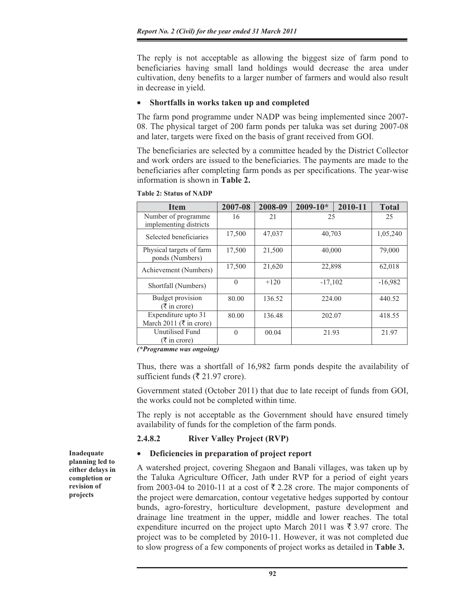The reply is not acceptable as allowing the biggest size of farm pond to beneficiaries having small land holdings would decrease the area under cultivation, deny benefits to a larger number of farmers and would also result in decrease in yield.

## x **Shortfalls in works taken up and completed**

The farm pond programme under NADP was being implemented since 2007- 08. The physical target of 200 farm ponds per taluka was set during 2007-08 and later, targets were fixed on the basis of grant received from GOI.

The beneficiaries are selected by a committee headed by the District Collector and work orders are issued to the beneficiaries. The payments are made to the beneficiaries after completing farm ponds as per specifications. The year-wise information is shown in **Table 2.** 

| <b>Item</b>                                 | 2007-08  | 2008-09 | $2009 - 10*$ | 2010-11 | <b>Total</b> |
|---------------------------------------------|----------|---------|--------------|---------|--------------|
| Number of programme                         | 16       | 21      | 25           |         | 25           |
| implementing districts                      |          |         |              |         |              |
| Selected beneficiaries                      | 17,500   | 47,037  | 40,703       |         | 1,05,240     |
| Physical targets of farm<br>ponds (Numbers) | 17,500   | 21,500  |              | 40,000  |              |
| Achievement (Numbers)                       | 17,500   | 21,620  | 22,898       |         | 62,018       |
| Shortfall (Numbers)                         | $\theta$ | $+120$  | $-17,102$    |         | $-16,982$    |
| Budget provision<br>$(\bar{\tau}$ in crore) | 80.00    | 136.52  | 224.00       |         | 440.52       |
| Expenditure upto 31                         | 80.00    | 136.48  | 202.07       |         | 418.55       |
| March 2011 ( $\overline{\tau}$ in crore)    |          |         |              |         |              |
| Unutilised Fund                             | $\Omega$ | 00.04   | 21.93        |         | 21.97        |
| $(\bar{\tau}$ in crore)                     |          |         |              |         |              |

**Table 2: Status of NADP**

*(\*Programme was ongoing)* 

Thus, there was a shortfall of 16,982 farm ponds despite the availability of sufficient funds ( $\overline{\xi}$  21.97 crore).

Government stated (October 2011) that due to late receipt of funds from GOI, the works could not be completed within time.

The reply is not acceptable as the Government should have ensured timely availability of funds for the completion of the farm ponds.

# **2.4.8.2 River Valley Project (RVP)**

#### Deficiencies in preparation of project report

A watershed project, covering Shegaon and Banali villages, was taken up by the Taluka Agriculture Officer, Jath under RVP for a period of eight years from 2003-04 to 2010-11 at a cost of  $\overline{\xi}$  2.28 crore. The major components of the project were demarcation, contour vegetative hedges supported by contour bunds, agro-forestry, horticulture development, pasture development and drainage line treatment in the upper, middle and lower reaches. The total expenditure incurred on the project upto March 2011 was  $\bar{\tau}$  3.97 crore. The project was to be completed by 2010-11. However, it was not completed due to slow progress of a few components of project works as detailed in **Table 3.** 

**Inadequate planning led to either delays in completion or revision of projects**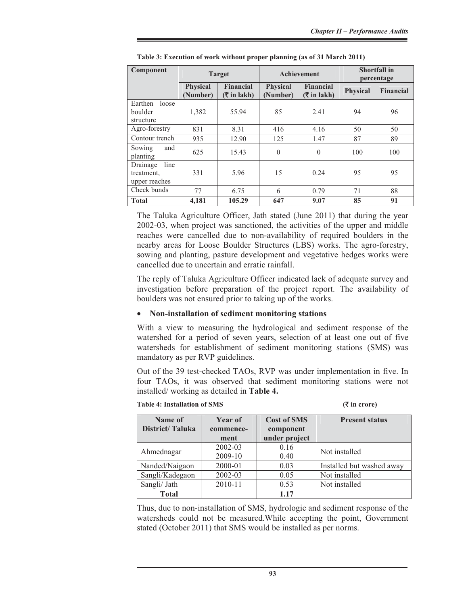| Component                                       | <b>Target</b>               |                                                                  | Achievement                 |                                                        | <b>Shortfall in</b><br>percentage |                  |
|-------------------------------------------------|-----------------------------|------------------------------------------------------------------|-----------------------------|--------------------------------------------------------|-----------------------------------|------------------|
|                                                 | <b>Physical</b><br>(Number) | <b>Financial</b><br>$(\overline{\mathbf{\overline{z}}}$ in lakh) | <b>Physical</b><br>(Number) | <b>Financial</b><br>$(\bar{\bar{\mathbf{x}}}$ in lakh) | <b>Physical</b>                   | <b>Financial</b> |
| Earthen<br>loose<br>boulder<br>structure        | 1,382                       | 55.94                                                            | 85                          | 2.41                                                   | 94                                | 96               |
| Agro-forestry                                   | 831                         | 8.31                                                             | 416                         | 4.16                                                   | 50                                | 50               |
| Contour trench                                  | 935                         | 12.90                                                            | 125                         | 1.47                                                   | 87                                | 89               |
| and<br>Sowing<br>planting                       | 625                         | 15.43                                                            | $\theta$                    | $\theta$                                               | 100                               | 100              |
| line<br>Drainage<br>treatment,<br>upper reaches | 331                         | 5.96                                                             | 15                          | 0.24                                                   | 95                                | 95               |
| Check bunds                                     | 77                          | 6.75                                                             | 6                           | 0.79                                                   | 71                                | 88               |
| <b>Total</b>                                    | 4,181                       | 105.29                                                           | 647                         | 9.07                                                   | 85                                | 91               |

The Taluka Agriculture Officer, Jath stated (June 2011) that during the year 2002-03, when project was sanctioned, the activities of the upper and middle reaches were cancelled due to non-availability of required boulders in the nearby areas for Loose Boulder Structures (LBS) works. The agro-forestry, sowing and planting, pasture development and vegetative hedges works were cancelled due to uncertain and erratic rainfall.

The reply of Taluka Agriculture Officer indicated lack of adequate survey and investigation before preparation of the project report. The availability of boulders was not ensured prior to taking up of the works.

#### x **Non-installation of sediment monitoring stations**

With a view to measuring the hydrological and sediment response of the watershed for a period of seven years, selection of at least one out of five watersheds for establishment of sediment monitoring stations (SMS) was mandatory as per RVP guidelines.

Out of the 39 test-checked TAOs, RVP was under implementation in five. In four TAOs, it was observed that sediment monitoring stations were not installed/ working as detailed in **Table 4.** 

| Name of<br>District/Taluka | Year of<br>commence-<br>ment | <b>Cost of SMS</b><br>component<br>under project | <b>Present status</b>     |
|----------------------------|------------------------------|--------------------------------------------------|---------------------------|
| Ahmednagar                 | 2002-03<br>2009-10           | 0.16<br>0.40                                     | Not installed             |
| Nanded/Naigaon             | 2000-01                      | 0.03                                             | Installed but washed away |
| Sangli/Kadegaon            | 2002-03                      | 0.05                                             | Not installed             |
| Sangli/ Jath               | 2010-11                      | 0.53                                             | Not installed             |
| <b>Total</b>               |                              | 1.17                                             |                           |

**Table 4: Installation of SMS (**` **in crore)** 

Thus, due to non-installation of SMS, hydrologic and sediment response of the watersheds could not be measured.While accepting the point, Government stated (October 2011) that SMS would be installed as per norms.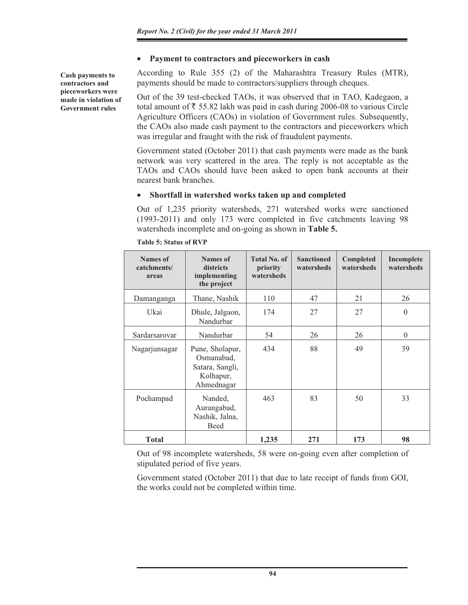## **•** Payment to contractors and pieceworkers in cash

According to Rule 355 (2) of the Maharashtra Treasury Rules (MTR), payments should be made to contractors/suppliers through cheques.

Out of the 39 test-checked TAOs, it was observed that in TAO, Kadegaon, a total amount of  $\bar{\tau}$  55.82 lakh was paid in cash during 2006-08 to various Circle Agriculture Officers (CAOs) in violation of Government rules. Subsequently, the CAOs also made cash payment to the contractors and pieceworkers which was irregular and fraught with the risk of fraudulent payments.

Government stated (October 2011) that cash payments were made as the bank network was very scattered in the area. The reply is not acceptable as the TAOs and CAOs should have been asked to open bank accounts at their nearest bank branches.

## x **Shortfall in watershed works taken up and completed**

Out of 1,235 priority watersheds, 271 watershed works were sanctioned (1993-2011) and only 173 were completed in five catchments leaving 98 watersheds incomplete and on-going as shown in **Table 5.** 

| <b>Names of</b><br>catchments/<br>areas | <b>Names of</b><br>districts<br>implementing<br>the project                 | <b>Total No. of</b><br>priority<br>watersheds | <b>Sanctioned</b><br>watersheds | Completed<br>watersheds | Incomplete<br>watersheds |
|-----------------------------------------|-----------------------------------------------------------------------------|-----------------------------------------------|---------------------------------|-------------------------|--------------------------|
| Damanganga                              | Thane, Nashik                                                               | 110                                           | 47                              | 21                      | 26                       |
| Ukai                                    | Dhule, Jalgaon,<br>Nandurbar                                                | 174                                           | 27                              | 27                      | $\theta$                 |
| Sardarsarovar                           | Nandurbar                                                                   | 54                                            | 26                              | 26                      | $\theta$                 |
| Nagarjunsagar                           | Pune, Sholapur,<br>Osmanabad,<br>Satara, Sangli,<br>Kolhapur,<br>Ahmednagar | 434                                           | 88                              | 49                      | 39                       |
| Pochampad                               | Nanded,<br>Aurangabad,<br>Nashik, Jalna,<br><b>Beed</b>                     | 463                                           | 83                              | 50                      | 33                       |
| <b>Total</b>                            |                                                                             | 1,235                                         | 271                             | 173                     | 98                       |

**Table 5: Status of RVP** 

Out of 98 incomplete watersheds, 58 were on-going even after completion of stipulated period of five years.

Government stated (October 2011) that due to late receipt of funds from GOI, the works could not be completed within time.

**Cash payments to contractors and pieceworkers were made in violation of Government rules**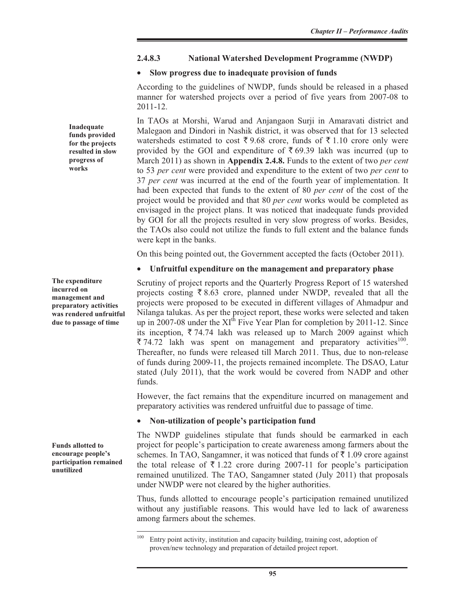## **2.4.8.3 National Watershed Development Programme (NWDP)**

## x **Slow progress due to inadequate provision of funds**

According to the guidelines of NWDP, funds should be released in a phased manner for watershed projects over a period of five years from 2007-08 to 2011-12.

In TAOs at Morshi, Warud and Anjangaon Surji in Amaravati district and Malegaon and Dindori in Nashik district, it was observed that for 13 selected watersheds estimated to cost  $\bar{\xi}$  9.68 crore, funds of  $\bar{\xi}$  1.10 crore only were provided by the GOI and expenditure of  $\bar{\tau}$  69.39 lakh was incurred (up to March 2011) as shown in **Appendix 2.4.8.** Funds to the extent of two *per cent* to 53 *per cent* were provided and expenditure to the extent of two *per cent* to 37 *per cent* was incurred at the end of the fourth year of implementation. It had been expected that funds to the extent of 80 *per cent* of the cost of the project would be provided and that 80 *per cent* works would be completed as envisaged in the project plans. It was noticed that inadequate funds provided by GOI for all the projects resulted in very slow progress of works. Besides, the TAOs also could not utilize the funds to full extent and the balance funds were kept in the banks.

On this being pointed out, the Government accepted the facts (October 2011).

# x **Unfruitful expenditure on the management and preparatory phase**

Scrutiny of project reports and the Quarterly Progress Report of 15 watershed projects costing  $\bar{\xi}$  8.63 crore, planned under NWDP, revealed that all the projects were proposed to be executed in different villages of Ahmadpur and Nilanga talukas. As per the project report, these works were selected and taken up in 2007-08 under the XI<sup>th</sup> Five Year Plan for completion by 2011-12. Since its inception,  $\overline{\xi}$  74.74 lakh was released up to March 2009 against which  $\bar{\xi}$  74.72 lakh was spent on management and preparatory activities<sup>100</sup>. Thereafter, no funds were released till March 2011. Thus, due to non-release of funds during 2009-11, the projects remained incomplete. The DSAO, Latur stated (July 2011), that the work would be covered from NADP and other funds.

However, the fact remains that the expenditure incurred on management and preparatory activities was rendered unfruitful due to passage of time.

# x **Non-utilization of people's participation fund**

The NWDP guidelines stipulate that funds should be earmarked in each project for people's participation to create awareness among farmers about the schemes. In TAO, Sangamner, it was noticed that funds of  $\bar{\tau}$  1.09 crore against the total release of  $\overline{\xi}$  1.22 crore during 2007-11 for people's participation remained unutilized. The TAO, Sangamner stated (July 2011) that proposals under NWDP were not cleared by the higher authorities.

Thus, funds allotted to encourage people's participation remained unutilized without any justifiable reasons. This would have led to lack of awareness among farmers about the schemes.

**Inadequate funds provided for the projects resulted in slow progress of works**

**The expenditure incurred on management and preparatory activities was rendered unfruitful due to passage of time** 

**Funds allotted to encourage people's participation remained unutilized** 

<sup>&</sup>lt;sup>100</sup> Entry point activity, institution and capacity building, training cost, adoption of proven/new technology and preparation of detailed project report.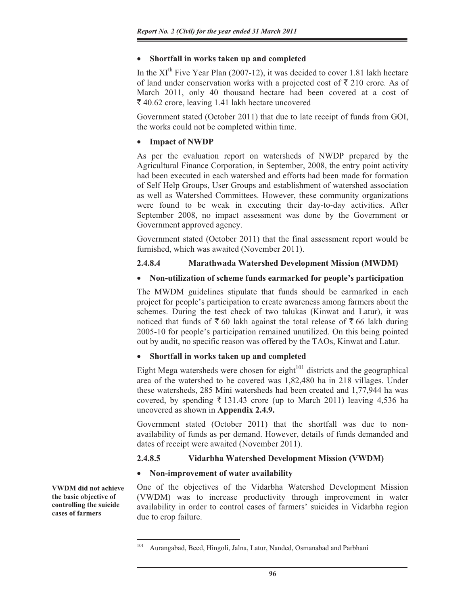# x **Shortfall in works taken up and completed**

In the  $XI<sup>th</sup>$  Five Year Plan (2007-12), it was decided to cover 1.81 lakh hectare of land under conservation works with a projected cost of  $\bar{\tau}$  210 crore. As of March 2011, only 40 thousand hectare had been covered at a cost of  $\bar{\xi}$  40.62 crore, leaving 1.41 lakh hectare uncovered

Government stated (October 2011) that due to late receipt of funds from GOI, the works could not be completed within time.

# x **Impact of NWDP**

As per the evaluation report on watersheds of NWDP prepared by the Agricultural Finance Corporation, in September, 2008, the entry point activity had been executed in each watershed and efforts had been made for formation of Self Help Groups, User Groups and establishment of watershed association as well as Watershed Committees. However, these community organizations were found to be weak in executing their day-to-day activities. After September 2008, no impact assessment was done by the Government or Government approved agency.

Government stated (October 2011) that the final assessment report would be furnished, which was awaited (November 2011).

# **2.4.8.4 Marathwada Watershed Development Mission (MWDM)**

# x **Non-utilization of scheme funds earmarked for people's participation**

The MWDM guidelines stipulate that funds should be earmarked in each project for people's participation to create awareness among farmers about the schemes. During the test check of two talukas (Kinwat and Latur), it was noticed that funds of  $\bar{\tau}$  60 lakh against the total release of  $\bar{\tau}$  66 lakh during 2005-10 for people's participation remained unutilized. On this being pointed out by audit, no specific reason was offered by the TAOs, Kinwat and Latur.

# x **Shortfall in works taken up and completed**

Eight Mega watersheds were chosen for eight $101$  districts and the geographical area of the watershed to be covered was 1,82,480 ha in 218 villages. Under these watersheds, 285 Mini watersheds had been created and 1,77,944 ha was covered, by spending  $\bar{\tau}$  131.43 crore (up to March 2011) leaving 4,536 ha uncovered as shown in **Appendix 2.4.9.** 

Government stated (October 2011) that the shortfall was due to nonavailability of funds as per demand. However, details of funds demanded and dates of receipt were awaited (November 2011).

# **2.4.8.5 Vidarbha Watershed Development Mission (VWDM)**

# x **Non-improvement of water availability**

**VWDM did not achieve the basic objective of controlling the suicide cases of farmers** 

One of the objectives of the Vidarbha Watershed Development Mission (VWDM) was to increase productivity through improvement in water availability in order to control cases of farmers' suicides in Vidarbha region due to crop failure.

<sup>101</sup> Aurangabad, Beed, Hingoli, Jalna, Latur, Nanded, Osmanabad and Parbhani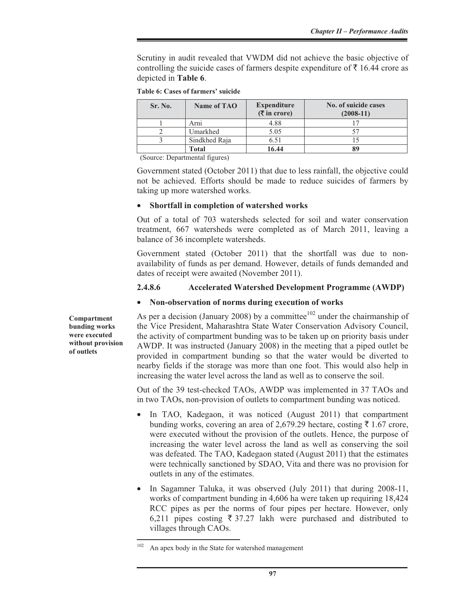Scrutiny in audit revealed that VWDM did not achieve the basic objective of controlling the suicide cases of farmers despite expenditure of  $\bar{\xi}$  16.44 crore as depicted in **Table 6**.

|  |  | Table 6: Cases of farmers' suicide |  |
|--|--|------------------------------------|--|
|--|--|------------------------------------|--|

| Sr. No. | Name of TAO   | <b>Expenditure</b><br>$(\overline{\mathbf{\overline{z}}}$ in crore) | No. of suicide cases<br>$(2008-11)$ |
|---------|---------------|---------------------------------------------------------------------|-------------------------------------|
|         | Arni          | 4.88                                                                |                                     |
|         | Umarkhed      | 5.05                                                                |                                     |
|         | Sindkhed Raja | 6.51                                                                |                                     |
|         | Total         | 16.44                                                               | 89                                  |

(Source: Departmental figures)

Government stated (October 2011) that due to less rainfall, the objective could not be achieved. Efforts should be made to reduce suicides of farmers by taking up more watershed works.

#### **•** Shortfall in completion of watershed works

Out of a total of 703 watersheds selected for soil and water conservation treatment, 667 watersheds were completed as of March 2011, leaving a balance of 36 incomplete watersheds.

Government stated (October 2011) that the shortfall was due to nonavailability of funds as per demand. However, details of funds demanded and dates of receipt were awaited (November 2011).

## **2.4.8.6 Accelerated Watershed Development Programme (AWDP)**

#### x **Non-observation of norms during execution of works**

**Compartment bunding works were executed without provision of outlets** 

As per a decision (January 2008) by a committee<sup>102</sup> under the chairmanship of the Vice President, Maharashtra State Water Conservation Advisory Council, the activity of compartment bunding was to be taken up on priority basis under AWDP. It was instructed (January 2008) in the meeting that a piped outlet be provided in compartment bunding so that the water would be diverted to nearby fields if the storage was more than one foot. This would also help in increasing the water level across the land as well as to conserve the soil.

Out of the 39 test-checked TAOs, AWDP was implemented in 37 TAOs and in two TAOs, non-provision of outlets to compartment bunding was noticed.

- In TAO, Kadegaon, it was noticed (August 2011) that compartment bunding works, covering an area of 2,679.29 hectare, costing  $\bar{\tau}$  1.67 crore, were executed without the provision of the outlets. Hence, the purpose of increasing the water level across the land as well as conserving the soil was defeated. The TAO, Kadegaon stated (August 2011) that the estimates were technically sanctioned by SDAO, Vita and there was no provision for outlets in any of the estimates.
- In Sagamner Taluka, it was observed (July 2011) that during  $2008-11$ , works of compartment bunding in 4,606 ha were taken up requiring 18,424 RCC pipes as per the norms of four pipes per hectare. However, only 6,211 pipes costing  $\bar{\tau}$  37.27 lakh were purchased and distributed to villages through CAOs.

<sup>&</sup>lt;sup>102</sup> An apex body in the State for watershed management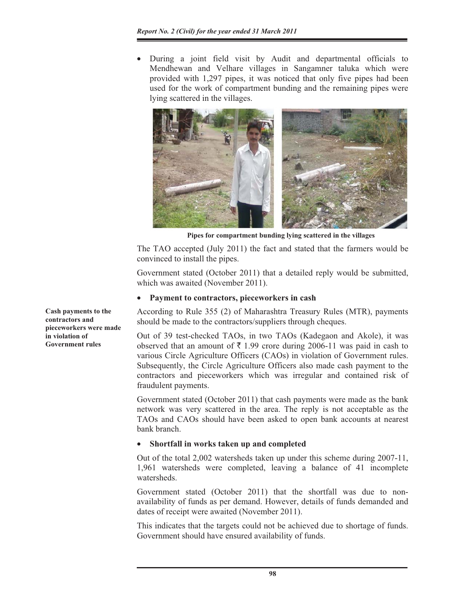During a joint field visit by Audit and departmental officials to Mendhewan and Velhare villages in Sangamner taluka which were provided with 1,297 pipes, it was noticed that only five pipes had been used for the work of compartment bunding and the remaining pipes were lying scattered in the villages.



**Pipes for compartment bunding lying scattered in the villages** 

The TAO accepted (July 2011) the fact and stated that the farmers would be convinced to install the pipes.

Government stated (October 2011) that a detailed reply would be submitted, which was awaited (November 2011).

# Payment to contractors, pieceworkers in cash

According to Rule 355 (2) of Maharashtra Treasury Rules (MTR), payments should be made to the contractors/suppliers through cheques.

Out of 39 test-checked TAOs, in two TAOs (Kadegaon and Akole), it was observed that an amount of  $\bar{\tau}$  1.99 crore during 2006-11 was paid in cash to various Circle Agriculture Officers (CAOs) in violation of Government rules. Subsequently, the Circle Agriculture Officers also made cash payment to the contractors and pieceworkers which was irregular and contained risk of fraudulent payments.

Government stated (October 2011) that cash payments were made as the bank network was very scattered in the area. The reply is not acceptable as the TAOs and CAOs should have been asked to open bank accounts at nearest bank branch.

# x **Shortfall in works taken up and completed**

Out of the total 2,002 watersheds taken up under this scheme during 2007-11, 1,961 watersheds were completed, leaving a balance of 41 incomplete watersheds.

Government stated (October 2011) that the shortfall was due to nonavailability of funds as per demand. However, details of funds demanded and dates of receipt were awaited (November 2011).

This indicates that the targets could not be achieved due to shortage of funds. Government should have ensured availability of funds.

**Cash payments to the contractors and pieceworkers were made in violation of Government rules**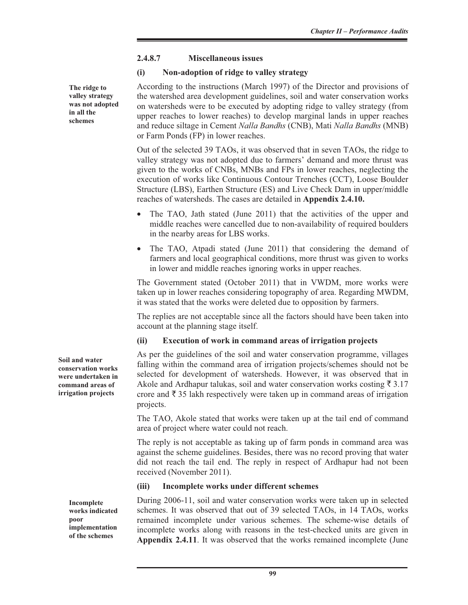## **2.4.8.7 Miscellaneous issues**

## **(i) Non-adoption of ridge to valley strategy**

According to the instructions (March 1997) of the Director and provisions of the watershed area development guidelines, soil and water conservation works on watersheds were to be executed by adopting ridge to valley strategy (from upper reaches to lower reaches) to develop marginal lands in upper reaches and reduce siltage in Cement *Nalla Bandhs* (CNB), Mati *Nalla Bandhs* (MNB) or Farm Ponds (FP) in lower reaches.

Out of the selected 39 TAOs, it was observed that in seven TAOs, the ridge to valley strategy was not adopted due to farmers' demand and more thrust was given to the works of CNBs, MNBs and FPs in lower reaches, neglecting the execution of works like Continuous Contour Trenches (CCT), Loose Boulder Structure (LBS), Earthen Structure (ES) and Live Check Dam in upper/middle reaches of watersheds. The cases are detailed in **Appendix 2.4.10.** 

- The TAO, Jath stated (June 2011) that the activities of the upper and middle reaches were cancelled due to non-availability of required boulders in the nearby areas for LBS works.
- The TAO, Atpadi stated (June 2011) that considering the demand of farmers and local geographical conditions, more thrust was given to works in lower and middle reaches ignoring works in upper reaches.

The Government stated (October 2011) that in VWDM, more works were taken up in lower reaches considering topography of area. Regarding MWDM, it was stated that the works were deleted due to opposition by farmers.

The replies are not acceptable since all the factors should have been taken into account at the planning stage itself.

# **(ii) Execution of work in command areas of irrigation projects**

As per the guidelines of the soil and water conservation programme, villages falling within the command area of irrigation projects/schemes should not be selected for development of watersheds. However, it was observed that in Akole and Ardhapur talukas, soil and water conservation works costing  $\bar{\tau}$  3.17 crore and  $\bar{\tau}$  35 lakh respectively were taken up in command areas of irrigation projects.

The TAO, Akole stated that works were taken up at the tail end of command area of project where water could not reach.

The reply is not acceptable as taking up of farm ponds in command area was against the scheme guidelines. Besides, there was no record proving that water did not reach the tail end. The reply in respect of Ardhapur had not been received (November 2011).

#### **(iii) Incomplete works under different schemes**

During 2006-11, soil and water conservation works were taken up in selected schemes. It was observed that out of 39 selected TAOs, in 14 TAOs, works remained incomplete under various schemes. The scheme-wise details of incomplete works along with reasons in the test-checked units are given in **Appendix 2.4.11**. It was observed that the works remained incomplete (June

**The ridge to valley strategy was not adopted in all the schemes**

**Soil and water conservation works were undertaken in command areas of irrigation projects** 

> **Incomplete works indicated poor implementation of the schemes**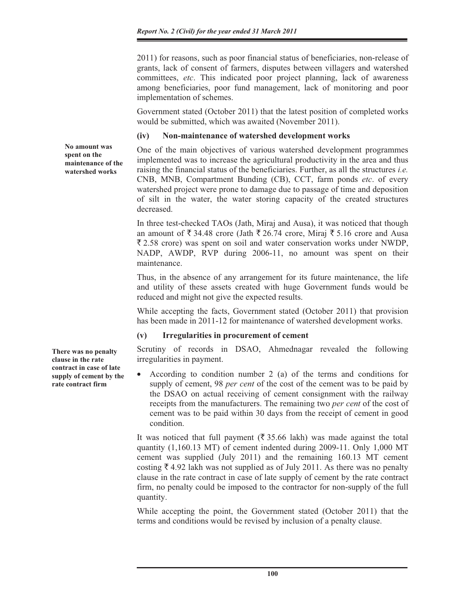2011) for reasons, such as poor financial status of beneficiaries, non-release of grants, lack of consent of farmers, disputes between villagers and watershed committees, *etc*. This indicated poor project planning, lack of awareness among beneficiaries, poor fund management, lack of monitoring and poor implementation of schemes.

Government stated (October 2011) that the latest position of completed works would be submitted, which was awaited (November 2011).

## **(iv) Non-maintenance of watershed development works**

One of the main objectives of various watershed development programmes implemented was to increase the agricultural productivity in the area and thus raising the financial status of the beneficiaries. Further, as all the structures *i.e.* CNB, MNB, Compartment Bunding (CB), CCT, farm ponds *etc*. of every watershed project were prone to damage due to passage of time and deposition of silt in the water, the water storing capacity of the created structures decreased.

In three test-checked TAOs (Jath, Miraj and Ausa), it was noticed that though an amount of  $\bar{\xi}$  34.48 crore (Jath  $\bar{\xi}$  26.74 crore, Miraj  $\bar{\xi}$  5.16 crore and Ausa  $\overline{\xi}$  2.58 crore) was spent on soil and water conservation works under NWDP, NADP, AWDP, RVP during 2006-11, no amount was spent on their maintenance.

Thus, in the absence of any arrangement for its future maintenance, the life and utility of these assets created with huge Government funds would be reduced and might not give the expected results.

While accepting the facts, Government stated (October 2011) that provision has been made in 2011-12 for maintenance of watershed development works.

# **(v) Irregularities in procurement of cement**

Scrutiny of records in DSAO, Ahmednagar revealed the following irregularities in payment.

• According to condition number 2 (a) of the terms and conditions for supply of cement, 98 *per cent* of the cost of the cement was to be paid by the DSAO on actual receiving of cement consignment with the railway receipts from the manufacturers. The remaining two *per cent* of the cost of cement was to be paid within 30 days from the receipt of cement in good condition.

It was noticed that full payment ( $\overline{\xi}$  35.66 lakh) was made against the total quantity (1,160.13 MT) of cement indented during 2009-11. Only 1,000 MT cement was supplied (July 2011) and the remaining 160.13 MT cement costing  $\bar{\tau}$  4.92 lakh was not supplied as of July 2011. As there was no penalty clause in the rate contract in case of late supply of cement by the rate contract firm, no penalty could be imposed to the contractor for non-supply of the full quantity.

While accepting the point, the Government stated (October 2011) that the terms and conditions would be revised by inclusion of a penalty clause.

**There was no penalty clause in the rate contract in case of late supply of cement by the rate contract firm** 

**No amount was spent on the maintenance of the watershed works**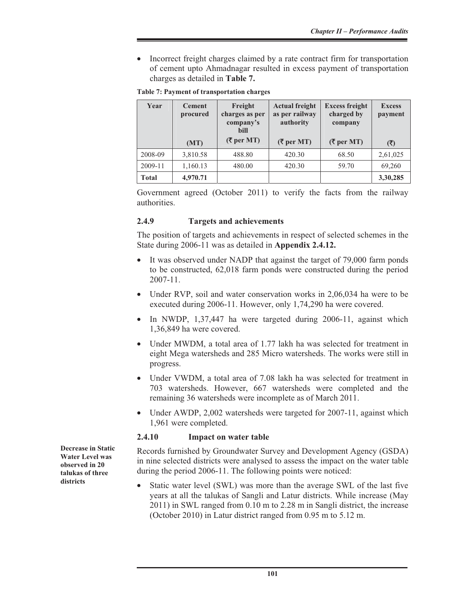Incorrect freight charges claimed by a rate contract firm for transportation of cement upto Ahmadnagar resulted in excess payment of transportation charges as detailed in **Table 7.** 

| Year         | <b>Cement</b><br>procured | Freight<br>charges as per<br>company's<br><b>bill</b> | <b>Actual freight</b><br>as per railway<br>authority | <b>Excess freight</b><br>charged by<br>company | <b>Excess</b><br>payment |
|--------------|---------------------------|-------------------------------------------------------|------------------------------------------------------|------------------------------------------------|--------------------------|
|              | (MT)                      | $({\overline{\mathbf{\xi}}}$ per MT)                  | $({\overline{\tau}}$ per MT)                         | $($ ₹ per MT $)$                               | (3)                      |
| 2008-09      | 3,810.58                  | 488.80                                                | 420.30                                               | 68.50                                          | 2,61,025                 |
| 2009-11      | 1,160.13                  | 480.00                                                | 420.30                                               | 59.70                                          | 69,260                   |
| <b>Total</b> | 4,970.71                  |                                                       |                                                      |                                                | 3,30,285                 |

Government agreed (October 2011) to verify the facts from the railway authorities.

## **2.4.9 Targets and achievements**

The position of targets and achievements in respect of selected schemes in the State during 2006-11 was as detailed in **Appendix 2.4.12.** 

- It was observed under NADP that against the target of 79,000 farm ponds to be constructed, 62,018 farm ponds were constructed during the period 2007-11.
- Under RVP, soil and water conservation works in  $2,06,034$  ha were to be executed during 2006-11. However, only 1,74,290 ha were covered.
- In NWDP,  $1,37,447$  ha were targeted during 2006-11, against which 1,36,849 ha were covered.
- Under MWDM, a total area of 1.77 lakh ha was selected for treatment in eight Mega watersheds and 285 Micro watersheds. The works were still in progress.
- Under VWDM, a total area of 7.08 lakh ha was selected for treatment in 703 watersheds. However, 667 watersheds were completed and the remaining 36 watersheds were incomplete as of March 2011.
- Under AWDP, 2,002 watersheds were targeted for 2007-11, against which 1,961 were completed.

#### **2.4.10 Impact on water table**

Records furnished by Groundwater Survey and Development Agency (GSDA) in nine selected districts were analysed to assess the impact on the water table during the period 2006-11. The following points were noticed:

x Static water level (SWL) was more than the average SWL of the last five years at all the talukas of Sangli and Latur districts. While increase (May 2011) in SWL ranged from 0.10 m to 2.28 m in Sangli district, the increase (October 2010) in Latur district ranged from 0.95 m to 5.12 m.

**Decrease in Static Water Level was observed in 20 talukas of three districts**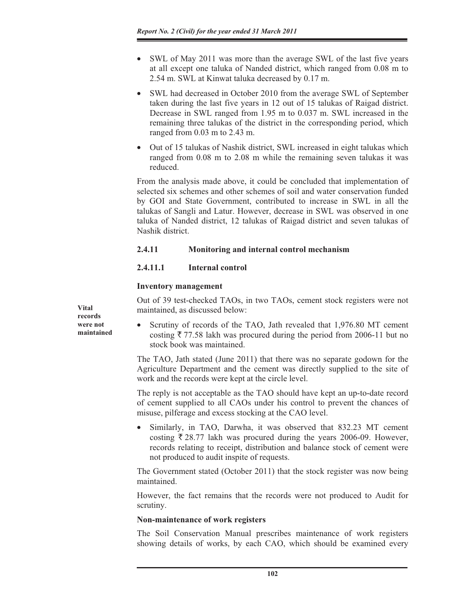- SWL of May 2011 was more than the average SWL of the last five years at all except one taluka of Nanded district, which ranged from 0.08 m to 2.54 m. SWL at Kinwat taluka decreased by 0.17 m.
- SWL had decreased in October 2010 from the average SWL of September taken during the last five years in 12 out of 15 talukas of Raigad district. Decrease in SWL ranged from 1.95 m to 0.037 m. SWL increased in the remaining three talukas of the district in the corresponding period, which ranged from 0.03 m to 2.43 m.
- Out of 15 talukas of Nashik district, SWL increased in eight talukas which ranged from 0.08 m to 2.08 m while the remaining seven talukas it was reduced.

From the analysis made above, it could be concluded that implementation of selected six schemes and other schemes of soil and water conservation funded by GOI and State Government, contributed to increase in SWL in all the talukas of Sangli and Latur. However, decrease in SWL was observed in one taluka of Nanded district, 12 talukas of Raigad district and seven talukas of Nashik district.

# **2.4.11 Monitoring and internal control mechanism**

# **2.4.11.1 Internal control**

# **Inventory management**

Out of 39 test-checked TAOs, in two TAOs, cement stock registers were not maintained, as discussed below:

• Scrutiny of records of the TAO, Jath revealed that 1,976.80 MT cement costing  $\bar{\tau}$  77.58 lakh was procured during the period from 2006-11 but no stock book was maintained.

The TAO, Jath stated (June 2011) that there was no separate godown for the Agriculture Department and the cement was directly supplied to the site of work and the records were kept at the circle level.

The reply is not acceptable as the TAO should have kept an up-to-date record of cement supplied to all CAOs under his control to prevent the chances of misuse, pilferage and excess stocking at the CAO level.

Similarly, in TAO, Darwha, it was observed that 832.23 MT cement costing  $\bar{\tau}$  28.77 lakh was procured during the years 2006-09. However, records relating to receipt, distribution and balance stock of cement were not produced to audit inspite of requests.

The Government stated (October 2011) that the stock register was now being maintained.

However, the fact remains that the records were not produced to Audit for scrutiny.

# **Non-maintenance of work registers**

The Soil Conservation Manual prescribes maintenance of work registers showing details of works, by each CAO, which should be examined every

**Vital records were not maintained**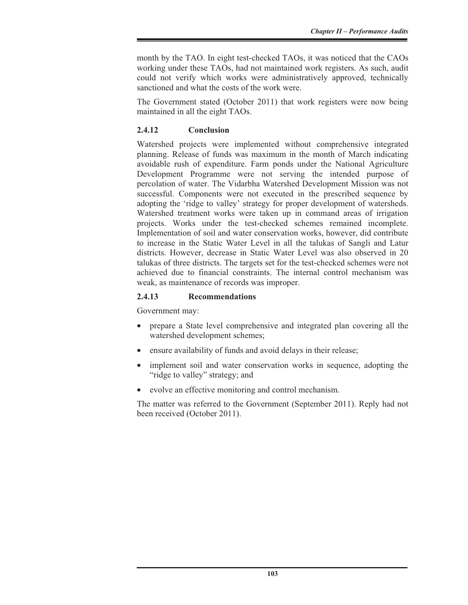month by the TAO. In eight test-checked TAOs, it was noticed that the CAOs working under these TAOs, had not maintained work registers. As such, audit could not verify which works were administratively approved, technically sanctioned and what the costs of the work were.

The Government stated (October 2011) that work registers were now being maintained in all the eight TAOs.

# **2.4.12 Conclusion**

Watershed projects were implemented without comprehensive integrated planning. Release of funds was maximum in the month of March indicating avoidable rush of expenditure. Farm ponds under the National Agriculture Development Programme were not serving the intended purpose of percolation of water. The Vidarbha Watershed Development Mission was not successful. Components were not executed in the prescribed sequence by adopting the 'ridge to valley' strategy for proper development of watersheds. Watershed treatment works were taken up in command areas of irrigation projects. Works under the test-checked schemes remained incomplete. Implementation of soil and water conservation works, however, did contribute to increase in the Static Water Level in all the talukas of Sangli and Latur districts. However, decrease in Static Water Level was also observed in 20 talukas of three districts. The targets set for the test-checked schemes were not achieved due to financial constraints. The internal control mechanism was weak, as maintenance of records was improper.

# **2.4.13 Recommendations**

Government may:

- prepare a State level comprehensive and integrated plan covering all the watershed development schemes;
- ensure availability of funds and avoid delays in their release;
- implement soil and water conservation works in sequence, adopting the "ridge to valley" strategy; and
- evolve an effective monitoring and control mechanism.

The matter was referred to the Government (September 2011). Reply had not been received (October 2011).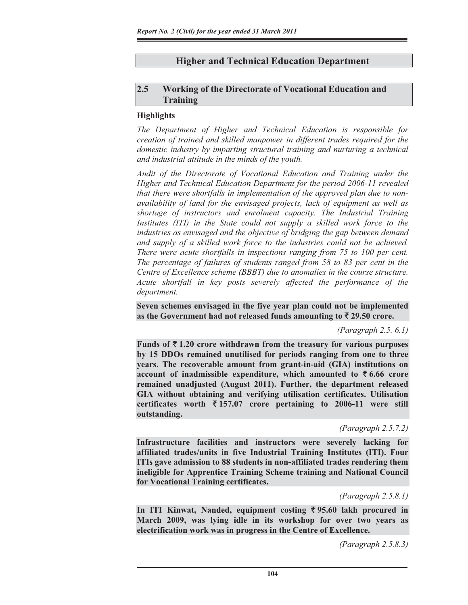# **Higher and Technical Education Department**

# **2.5 Working of the Directorate of Vocational Education and Training**

## **Highlights**

*The Department of Higher and Technical Education is responsible for creation of trained and skilled manpower in different trades required for the domestic industry by imparting structural training and nurturing a technical and industrial attitude in the minds of the youth.* 

*Audit of the Directorate of Vocational Education and Training under the Higher and Technical Education Department for the period 2006-11 revealed that there were shortfalls in implementation of the approved plan due to nonavailability of land for the envisaged projects, lack of equipment as well as shortage of instructors and enrolment capacity. The Industrial Training*  Institutes (ITI) in the State could not supply a skilled work force to the *industries as envisaged and the objective of bridging the gap between demand and supply of a skilled work force to the industries could not be achieved. There were acute shortfalls in inspections ranging from 75 to 100 per cent. The percentage of failures of students ranged from 58 to 83 per cent in the Centre of Excellence scheme (BBBT) due to anomalies in the course structure. Acute shortfall in key posts severely affected the performance of the department.*

**Seven schemes envisaged in the five year plan could not be implemented**  as the Government had not released funds amounting to  $\bar{\tau}$  29.50 crore.

*(Paragraph 2.5. 6.1)* 

Funds of  $\bar{\tau}$  1.20 crore withdrawn from the treasury for various purposes **by 15 DDOs remained unutilised for periods ranging from one to three years. The recoverable amount from grant-in-aid (GIA) institutions on account of inadmissible expenditure, which amounted to**  $\bar{\mathbf{z}}$  **6.66 crore remained unadjusted (August 2011). Further, the department released GIA without obtaining and verifying utilisation certificates. Utilisation certificates worth** ` **157.07 crore pertaining to 2006-11 were still outstanding.**

*(Paragraph 2.5.7.2)* 

**Infrastructure facilities and instructors were severely lacking for affiliated trades/units in five Industrial Training Institutes (ITI). Four ITIs gave admission to 88 students in non-affiliated trades rendering them ineligible for Apprentice Training Scheme training and National Council for Vocational Training certificates.** 

*(Paragraph 2.5.8.1)* 

**In ITI Kinwat, Nanded, equipment costing** ` **95.60 lakh procured in March 2009, was lying idle in its workshop for over two years as electrification work was in progress in the Centre of Excellence.** 

 *(Paragraph 2.5.8.3)*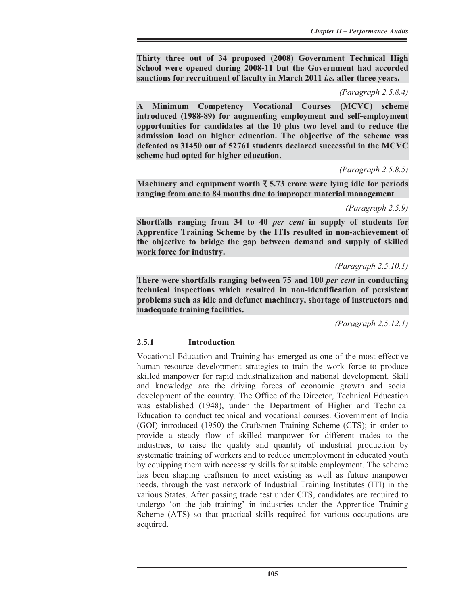**Thirty three out of 34 proposed (2008) Government Technical High School were opened during 2008-11 but the Government had accorded sanctions for recruitment of faculty in March 2011** *i.e.* **after three years.** 

#### *(Paragraph 2.5.8.4)*

**A Minimum Competency Vocational Courses (MCVC) scheme introduced (1988-89) for augmenting employment and self-employment opportunities for candidates at the 10 plus two level and to reduce the admission load on higher education. The objective of the scheme was defeated as 31450 out of 52761 students declared successful in the MCVC scheme had opted for higher education.** 

*(Paragraph 2.5.8.5)* 

Machinery and equipment worth  $\bar{\xi}$  5.73 crore were lying idle for periods **ranging from one to 84 months due to improper material management** 

*(Paragraph 2.5.9)* 

**Shortfalls ranging from 34 to 40** *per cent* **in supply of students for Apprentice Training Scheme by the ITIs resulted in non-achievement of the objective to bridge the gap between demand and supply of skilled work force for industry.** 

*(Paragraph 2.5.10.1)* 

**There were shortfalls ranging between 75 and 100** *per cent* **in conducting technical inspections which resulted in non-identification of persistent problems such as idle and defunct machinery, shortage of instructors and inadequate training facilities.** 

*(Paragraph 2.5.12.1)* 

#### **2.5.1 Introduction**

Vocational Education and Training has emerged as one of the most effective human resource development strategies to train the work force to produce skilled manpower for rapid industrialization and national development. Skill and knowledge are the driving forces of economic growth and social development of the country. The Office of the Director, Technical Education was established (1948), under the Department of Higher and Technical Education to conduct technical and vocational courses. Government of India (GOI) introduced (1950) the Craftsmen Training Scheme (CTS); in order to provide a steady flow of skilled manpower for different trades to the industries, to raise the quality and quantity of industrial production by systematic training of workers and to reduce unemployment in educated youth by equipping them with necessary skills for suitable employment. The scheme has been shaping craftsmen to meet existing as well as future manpower needs, through the vast network of Industrial Training Institutes (ITI) in the various States. After passing trade test under CTS, candidates are required to undergo 'on the job training' in industries under the Apprentice Training Scheme (ATS) so that practical skills required for various occupations are acquired.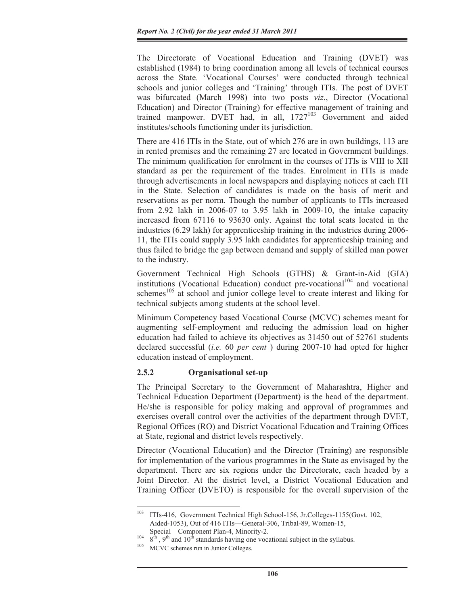The Directorate of Vocational Education and Training (DVET) was established (1984) to bring coordination among all levels of technical courses across the State. 'Vocational Courses' were conducted through technical schools and junior colleges and 'Training' through ITIs. The post of DVET was bifurcated (March 1998) into two posts *viz*., Director (Vocational Education) and Director (Training) for effective management of training and trained manpower. DVET had, in all,  $1727^{103}$  Government and aided institutes/schools functioning under its jurisdiction.

There are 416 ITIs in the State, out of which 276 are in own buildings, 113 are in rented premises and the remaining 27 are located in Government buildings. The minimum qualification for enrolment in the courses of ITIs is VIII to XII standard as per the requirement of the trades. Enrolment in ITIs is made through advertisements in local newspapers and displaying notices at each ITI in the State. Selection of candidates is made on the basis of merit and reservations as per norm. Though the number of applicants to ITIs increased from 2.92 lakh in 2006-07 to 3.95 lakh in 2009-10, the intake capacity increased from 67116 to 93630 only. Against the total seats located in the industries (6.29 lakh) for apprenticeship training in the industries during 2006- 11, the ITIs could supply 3.95 lakh candidates for apprenticeship training and thus failed to bridge the gap between demand and supply of skilled man power to the industry.

Government Technical High Schools (GTHS) & Grant-in-Aid (GIA) institutions (Vocational Education) conduct pre-vocational<sup>104</sup> and vocational schemes<sup>105</sup> at school and junior college level to create interest and liking for technical subjects among students at the school level.

Minimum Competency based Vocational Course (MCVC) schemes meant for augmenting self-employment and reducing the admission load on higher education had failed to achieve its objectives as 31450 out of 52761 students declared successful (*i.e.* 60 *per cent* ) during 2007-10 had opted for higher education instead of employment.

#### **2.5.2 Organisational set-up**

The Principal Secretary to the Government of Maharashtra, Higher and Technical Education Department (Department) is the head of the department. He/she is responsible for policy making and approval of programmes and exercises overall control over the activities of the department through DVET, Regional Offices (RO) and District Vocational Education and Training Offices at State, regional and district levels respectively.

Director (Vocational Education) and the Director (Training) are responsible for implementation of the various programmes in the State as envisaged by the department. There are six regions under the Directorate, each headed by a Joint Director. At the district level, a District Vocational Education and Training Officer (DVETO) is responsible for the overall supervision of the

<sup>103</sup> ITIs-416, Government Technical High School-156, Jr.Colleges-1155(Govt. 102, Aided-1053), Out of 416 ITIs—General-306, Tribal-89, Women-15,

Special Component Plan-4, Minority-2.<br><sup>104</sup> 8<sup>th</sup>, 9<sup>th</sup> and 10<sup>th</sup> standards having one vocational subject in the syllabus.<br><sup>105</sup> MCVC schemes run in Junior Colleges.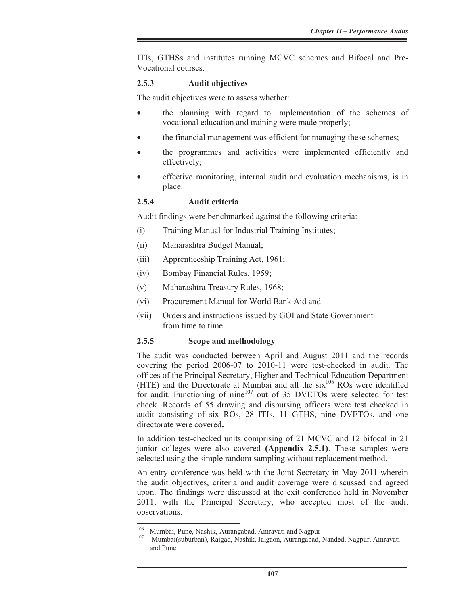ITIs, GTHSs and institutes running MCVC schemes and Bifocal and Pre-Vocational courses.

#### **2.5.3 Audit objectives**

The audit objectives were to assess whether:

- the planning with regard to implementation of the schemes of vocational education and training were made properly;
- the financial management was efficient for managing these schemes;
- the programmes and activities were implemented efficiently and effectively;
- effective monitoring, internal audit and evaluation mechanisms, is in place.

#### **2.5.4 Audit criteria**

Audit findings were benchmarked against the following criteria:

- (i) Training Manual for Industrial Training Institutes;
- (ii) Maharashtra Budget Manual;
- (iii) Apprenticeship Training Act, 1961;
- (iv) Bombay Financial Rules, 1959;
- (v) Maharashtra Treasury Rules, 1968;
- (vi) Procurement Manual for World Bank Aid and
- (vii) Orders and instructions issued by GOI and State Government from time to time

#### **2.5.5 Scope and methodology**

The audit was conducted between April and August 2011 and the records covering the period 2006-07 to 2010-11 were test-checked in audit. The offices of the Principal Secretary, Higher and Technical Education Department (HTE) and the Directorate at Mumbai and all the  $six^{106}$  ROs were identified for audit. Functioning of nine $107$  out of 35 DVETOs were selected for test check. Records of 55 drawing and disbursing officers were test checked in audit consisting of six ROs, 28 ITIs, 11 GTHS, nine DVETOs, and one directorate were covered**.**

In addition test-checked units comprising of 21 MCVC and 12 bifocal in 21 junior colleges were also covered **(Appendix 2.5.1)**. These samples were selected using the simple random sampling without replacement method.

An entry conference was held with the Joint Secretary in May 2011 wherein the audit objectives, criteria and audit coverage were discussed and agreed upon. The findings were discussed at the exit conference held in November 2011, with the Principal Secretary, who accepted most of the audit observations.

<sup>&</sup>lt;sup>106</sup> Mumbai, Pune, Nashik, Aurangabad, Amravati and Nagpur<br><sup>107</sup> Mumbai(suburban), Raigad, Nashik, Jalgaon, Aurangabad, Nanded, Nagpur, Amravati and Pune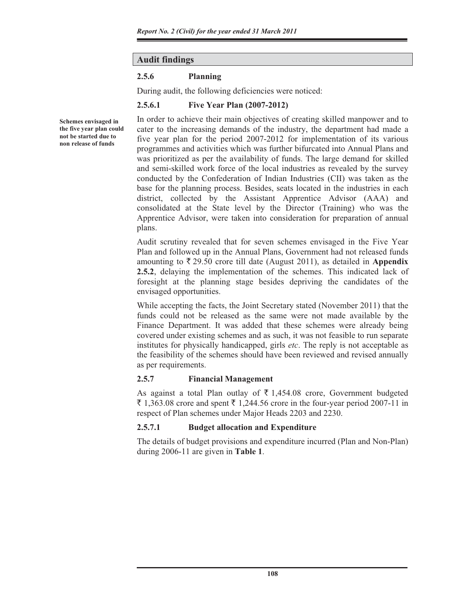# **Audit findings**

# **2.5.6 Planning**

During audit, the following deficiencies were noticed:

# **2.5.6.1 Five Year Plan (2007-2012)**

**Schemes envisaged in the five year plan could not be started due to non release of funds** 

In order to achieve their main objectives of creating skilled manpower and to cater to the increasing demands of the industry, the department had made a five year plan for the period 2007-2012 for implementation of its various programmes and activities which was further bifurcated into Annual Plans and was prioritized as per the availability of funds. The large demand for skilled and semi-skilled work force of the local industries as revealed by the survey conducted by the Confederation of Indian Industries (CII) was taken as the base for the planning process. Besides, seats located in the industries in each district, collected by the Assistant Apprentice Advisor (AAA) and consolidated at the State level by the Director (Training) who was the Apprentice Advisor, were taken into consideration for preparation of annual plans.

Audit scrutiny revealed that for seven schemes envisaged in the Five Year Plan and followed up in the Annual Plans, Government had not released funds amounting to  $\bar{\xi}$  29.50 crore till date (August 2011), as detailed in **Appendix 2.5.2**, delaying the implementation of the schemes. This indicated lack of foresight at the planning stage besides depriving the candidates of the envisaged opportunities.

While accepting the facts, the Joint Secretary stated (November 2011) that the funds could not be released as the same were not made available by the Finance Department. It was added that these schemes were already being covered under existing schemes and as such, it was not feasible to run separate institutes for physically handicapped, girls *etc*. The reply is not acceptable as the feasibility of the schemes should have been reviewed and revised annually as per requirements.

# **2.5.7 Financial Management**

As against a total Plan outlay of  $\bar{\tau}$  1,454.08 crore, Government budgeted  $\bar{\xi}$  1,363.08 crore and spent  $\bar{\xi}$  1,244.56 crore in the four-year period 2007-11 in respect of Plan schemes under Major Heads 2203 and 2230.

# **2.5.7.1 Budget allocation and Expenditure**

The details of budget provisions and expenditure incurred (Plan and Non-Plan) during 2006-11 are given in **Table 1**.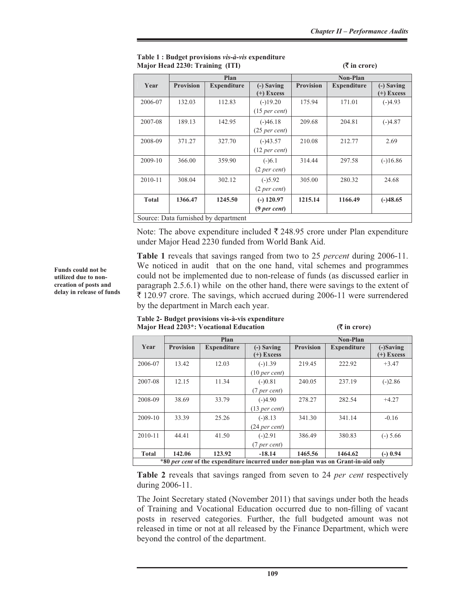|              | Plan             |                                      |                          | Non-Plan         |                    |              |
|--------------|------------------|--------------------------------------|--------------------------|------------------|--------------------|--------------|
| Year         | <b>Provision</b> | <b>Expenditure</b>                   | $(-)$ Saving             | <b>Provision</b> | <b>Expenditure</b> | (-) Saving   |
|              |                  |                                      | $(+)$ Excess             |                  |                    | $(+)$ Excess |
| 2006-07      | 132.03           | 112.83                               | $(-)19.20$               | 175.94           | 171.01             | $(-)4.93$    |
|              |                  |                                      | (15 <sub>per</sub> cent) |                  |                    |              |
| 2007-08      | 189.13           | 142.95                               | $(-)46.18$               | 209.68           | 204.81             | $(-)4.87$    |
|              |                  |                                      | $(25$ per cent)          |                  |                    |              |
| 2008-09      | 371.27           | 327.70                               | $(-)43.57$               | 210.08           | 212.77             | 2.69         |
|              |                  |                                      | (12 <sub>per</sub> cent) |                  |                    |              |
| 2009-10      | 366.00           | 359.90                               | $(-)6.1$                 | 314.44           | 297.58             | $(-)16.86$   |
|              |                  |                                      | (2 per cent)             |                  |                    |              |
| $2010 - 11$  | 308.04           | 302.12                               | $(-)5.92$                | 305.00           | 280.32             | 24.68        |
|              |                  |                                      | (2 per cent)             |                  |                    |              |
| <b>Total</b> | 1366.47          | 1245.50                              | $(-)$ 120.97             | 1215.14          | 1166.49            | $(-)48.65$   |
|              |                  |                                      | $(9$ per cent)           |                  |                    |              |
|              |                  | Source: Data furnished by department |                          |                  |                    |              |

#### **Table 1 : Budget provisions** *vis-à-vis* **expenditure Major Head 2230: Training (ITI) (**` **in crore)**

Note: The above expenditure included  $\bar{\tau}$  248.95 crore under Plan expenditure under Major Head 2230 funded from World Bank Aid.

**Table 1** reveals that savings ranged from two to 25 *percent* during 2006-11. We noticed in audit that on the one hand, vital schemes and programmes could not be implemented due to non-release of funds (as discussed earlier in paragraph 2.5.6.1) while on the other hand, there were savings to the extent of  $\bar{\xi}$  120.97 crore. The savings, which accrued during 2006-11 were surrendered by the department in March each year.

#### **Table 2- Budget provisions vis-à-vis expenditure Major Head 2203\*: Vocational Education (**` **in crore)**

|                                                                                  | Plan             |                    |                          | Non-Plan         |                    |            |  |
|----------------------------------------------------------------------------------|------------------|--------------------|--------------------------|------------------|--------------------|------------|--|
| Year                                                                             | <b>Provision</b> | <b>Expenditure</b> | (-) Saving               | <b>Provision</b> | <b>Expenditure</b> | (-)Saving  |  |
|                                                                                  |                  |                    | $(+)$ Excess             |                  |                    | (+) Excess |  |
| 2006-07                                                                          | 13.42            | 12.03              | $(-)1.39$                | 219.45           | 222.92             | $+3.47$    |  |
|                                                                                  |                  |                    | (10 <sub>per</sub> cent) |                  |                    |            |  |
| 2007-08                                                                          | 12.15            | 11.34              | $(-)0.81$                | 240.05           | 237.19             | $(-)2.86$  |  |
|                                                                                  |                  |                    | $(7$ per cent)           |                  |                    |            |  |
| 2008-09                                                                          | 38.69            | 33.79              | $(-)4.90$                | 278.27           | 282.54             | $+4.27$    |  |
|                                                                                  |                  |                    | (13 <sub>per</sub> cent) |                  |                    |            |  |
| 2009-10                                                                          | 33.39            | 25.26              | $(-)8.13$                | 341.30           | 341.14             | $-0.16$    |  |
|                                                                                  |                  |                    | $(24$ per cent)          |                  |                    |            |  |
| $2010 - 11$                                                                      | 44.41            | 41.50              | $(-)2.91$                | 386.49           | 380.83             | $(-) 5.66$ |  |
|                                                                                  |                  |                    | $(7$ per cent)           |                  |                    |            |  |
| <b>Total</b>                                                                     | 142.06           | 123.92             | $-18.14$                 | 1465.56          | 1464.62            | $(-)$ 0.94 |  |
| *80 per cent of the expenditure incurred under non-plan was on Grant-in-aid only |                  |                    |                          |                  |                    |            |  |

**Table 2** reveals that savings ranged from seven to 24 *per cent* respectively during 2006-11.

The Joint Secretary stated (November 2011) that savings under both the heads of Training and Vocational Education occurred due to non-filling of vacant posts in reserved categories. Further, the full budgeted amount was not released in time or not at all released by the Finance Department, which were beyond the control of the department.

**Funds could not be utilized due to noncreation of posts and delay in release of funds**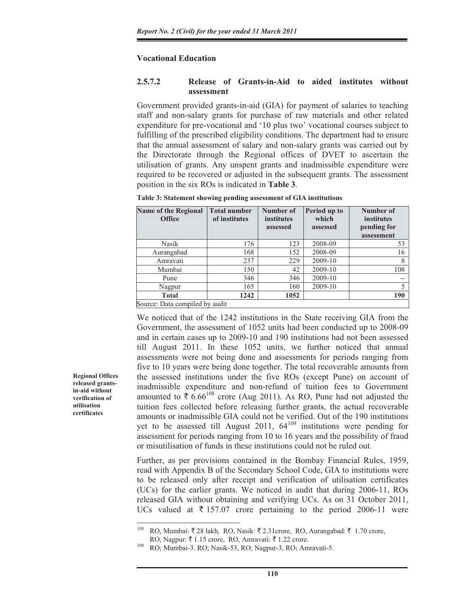## **Vocational Education**

## **2.5.7.2 Release of Grants-in-Aid to aided institutes without assessment**

Government provided grants-in-aid (GIA) for payment of salaries to teaching staff and non-salary grants for purchase of raw materials and other related expenditure for pre-vocational and '10 plus two' vocational courses subject to fulfilling of the prescribed eligibility conditions. The department had to ensure that the annual assessment of salary and non-salary grants was carried out by the Directorate through the Regional offices of DVET to ascertain the utilisation of grants. Any unspent grants and inadmissible expenditure were required to be recovered or adjusted in the subsequent grants. The assessment position in the six ROs is indicated in **Table 3**.

| <b>Name of the Regional</b><br><b>Office</b> | <b>Total number</b><br>of institutes | Number of<br>institutes | Period up to<br>which | Number of<br><b>institutes</b> |  |  |  |
|----------------------------------------------|--------------------------------------|-------------------------|-----------------------|--------------------------------|--|--|--|
|                                              |                                      | assessed                | assessed              | pending for                    |  |  |  |
|                                              |                                      |                         |                       | assessment                     |  |  |  |
| Nasik                                        | 176                                  | 123                     | 2008-09               | 53                             |  |  |  |
| Aurangabad                                   | 168                                  | 152                     | 2008-09               | 16                             |  |  |  |
| Amravati                                     | 237                                  | 229                     | 2009-10               | 8                              |  |  |  |
| Mumbai                                       | 150                                  | 42                      | 2009-10               | 108                            |  |  |  |
| Pune                                         | 346                                  | 346                     | 2009-10               | $-$                            |  |  |  |
| Nagpur                                       | 165                                  | 160                     | 2009-10               | 5                              |  |  |  |
| <b>Total</b>                                 | 1242                                 | 1052                    |                       | 190                            |  |  |  |
| Source: Data compiled by audit               |                                      |                         |                       |                                |  |  |  |

**Table 3: Statement showing pending assessment of GIA institutions** 

We noticed that of the 1242 institutions in the State receiving GIA from the Government, the assessment of 1052 units had been conducted up to 2008-09 and in certain cases up to 2009-10 and 190 institutions had not been assessed till August 2011. In these 1052 units, we further noticed that annual assessments were not being done and assessments for periods ranging from five to 10 years were being done together. The total recoverable amounts from the assessed institutions under the five ROs (except Pune) on account of inadmissible expenditure and non-refund of tuition fees to Government amounted to  $\bar{\xi}$  6.66<sup>108</sup> crore (Aug 2011). As RO, Pune had not adjusted the tuition fees collected before releasing further grants, the actual recoverable amounts or inadmissible GIA could not be verified. Out of the 190 institutions yet to be assessed till August 2011,  $64^{109}$  institutions were pending for assessment for periods ranging from 10 to 16 years and the possibility of fraud or misutilisation of funds in these institutions could not be ruled out.

Further, as per provisions contained in the Bombay Financial Rules, 1959, read with Appendix B of the Secondary School Code, GIA to institutions were to be released only after receipt and verification of utilisation certificates (UCs) for the earlier grants. We noticed in audit that during 2006-11, ROs released GIA without obtaining and verifying UCs. As on 31 October 2011, UCs valued at  $\overline{\tau}$  157.07 crore pertaining to the period 2006-11 were

108 RO, Mumbai:  $\bar{\xi}$  28 lakh, RO, Nasik:  $\bar{\xi}$  2.31 crore, RO, Aurangabad:  $\bar{\xi}$  1.70 crore,

**Regional Offices released grantsin-aid without verification of utilisation certificates** 

RO, Nagpur:  $\bar{\tau}$  1.15 crore, RO, Amravati:  $\bar{\tau}$  1.22 crore.<br><sup>109</sup> RO; Mumbai-3, RO; Nasik-53, RO; Nagpur-3, RO; Amravati-5.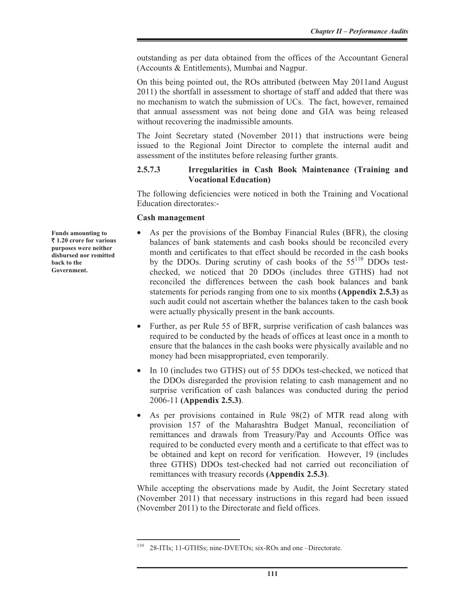outstanding as per data obtained from the offices of the Accountant General (Accounts & Entitlements), Mumbai and Nagpur.

On this being pointed out, the ROs attributed (between May 2011and August 2011) the shortfall in assessment to shortage of staff and added that there was no mechanism to watch the submission of UCs. The fact, however, remained that annual assessment was not being done and GIA was being released without recovering the inadmissible amounts.

The Joint Secretary stated (November 2011) that instructions were being issued to the Regional Joint Director to complete the internal audit and assessment of the institutes before releasing further grants.

## **2.5.7.3 Irregularities in Cash Book Maintenance (Training and Vocational Education)**

The following deficiencies were noticed in both the Training and Vocational Education directorates:-

#### **Cash management**

- As per the provisions of the Bombay Financial Rules (BFR), the closing balances of bank statements and cash books should be reconciled every month and certificates to that effect should be recorded in the cash books by the DDOs. During scrutiny of cash books of the 55<sup>110</sup> DDOs testchecked, we noticed that 20 DDOs (includes three GTHS) had not reconciled the differences between the cash book balances and bank statements for periods ranging from one to six months **(Appendix 2.5.3)** as such audit could not ascertain whether the balances taken to the cash book were actually physically present in the bank accounts.
- Further, as per Rule 55 of BFR, surprise verification of cash balances was required to be conducted by the heads of offices at least once in a month to ensure that the balances in the cash books were physically available and no money had been misappropriated, even temporarily.
- In 10 (includes two GTHS) out of 55 DDOs test-checked, we noticed that the DDOs disregarded the provision relating to cash management and no surprise verification of cash balances was conducted during the period 2006-11 **(Appendix 2.5.3)**.
- As per provisions contained in Rule 98(2) of MTR read along with provision 157 of the Maharashtra Budget Manual, reconciliation of remittances and drawals from Treasury/Pay and Accounts Office was required to be conducted every month and a certificate to that effect was to be obtained and kept on record for verification. However, 19 (includes three GTHS) DDOs test-checked had not carried out reconciliation of remittances with treasury records **(Appendix 2.5.3)**.

While accepting the observations made by Audit, the Joint Secretary stated (November 2011) that necessary instructions in this regard had been issued (November 2011) to the Directorate and field offices.

**Funds amounting to**  ` **1.20 crore for various purposes were neither disbursed nor remitted back to the Government.**

<sup>110 28-</sup>ITIs; 11-GTHSs; nine-DVETOs; six-ROs and one –Directorate.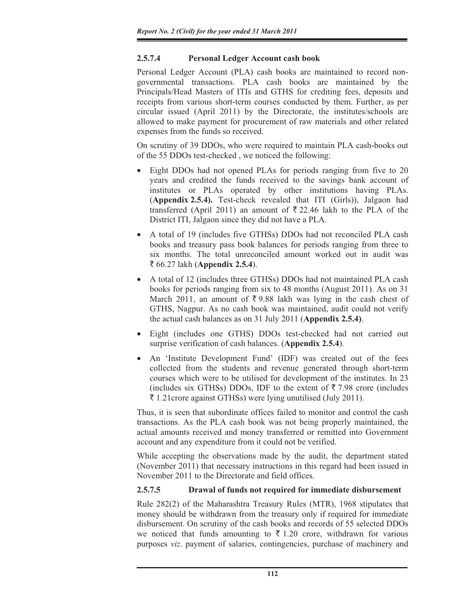# **2.5.7.4 Personal Ledger Account cash book**

Personal Ledger Account (PLA) cash books are maintained to record nongovernmental transactions. PLA cash books are maintained by the Principals/Head Masters of ITIs and GTHS for crediting fees, deposits and receipts from various short-term courses conducted by them. Further, as per circular issued (April 2011) by the Directorate, the institutes/schools are allowed to make payment for procurement of raw materials and other related expenses from the funds so received.

On scrutiny of 39 DDOs, who were required to maintain PLA cash-books out of the 55 DDOs test-checked , we noticed the following:

- Eight DDOs had not opened PLAs for periods ranging from five to 20 years and credited the funds received to the savings bank account of institutes or PLAs operated by other institutions having PLAs. (**Appendix 2.5.4).** Test-check revealed that ITI (Girls)), Jalgaon had transferred (April 2011) an amount of  $\overline{\xi}$  22.46 lakh to the PLA of the District ITI, Jalgaon since they did not have a PLA.
- x A total of 19 (includes five GTHSs) DDOs had not reconciled PLA cash books and treasury pass book balances for periods ranging from three to six months. The total unreconciled amount worked out in audit was ` 66.27 lakh (**Appendix 2.5.4**).
- A total of 12 (includes three GTHSs) DDOs had not maintained PLA cash books for periods ranging from six to 48 months (August 2011). As on 31 March 2011, an amount of  $\overline{\xi}$  9.88 lakh was lying in the cash chest of GTHS, Nagpur. As no cash book was maintained, audit could not verify the actual cash balances as on 31 July 2011 (**Appendix 2.5.4)**.
- Eight (includes one GTHS) DDOs test-checked had not carried out surprise verification of cash balances. (**Appendix 2.5.4**).
- An 'Institute Development Fund' (IDF) was created out of the fees collected from the students and revenue generated through short-term courses which were to be utilised for development of the institutes. In 23 (includes six GTHSs) DDOs, IDF to the extent of  $\bar{\tau}$  7.98 crore (includes  $\bar{\xi}$  1.21 crore against GTHSs) were lying unutilised (July 2011).

Thus, it is seen that subordinate offices failed to monitor and control the cash transactions. As the PLA cash book was not being properly maintained, the actual amounts received and money transferred or remitted into Government account and any expenditure from it could not be verified.

While accepting the observations made by the audit, the department stated (November 2011) that necessary instructions in this regard had been issued in November 2011 to the Directorate and field offices.

# **2.5.7.5 Drawal of funds not required for immediate disbursement**

Rule 282(2) of the Maharashtra Treasury Rules (MTR), 1968 stipulates that money should be withdrawn from the treasury only if required for immediate disbursement. On scrutiny of the cash books and records of 55 selected DDOs we noticed that funds amounting to  $\bar{\tau}$  1.20 crore, withdrawn for various purposes *viz*. payment of salaries, contingencies, purchase of machinery and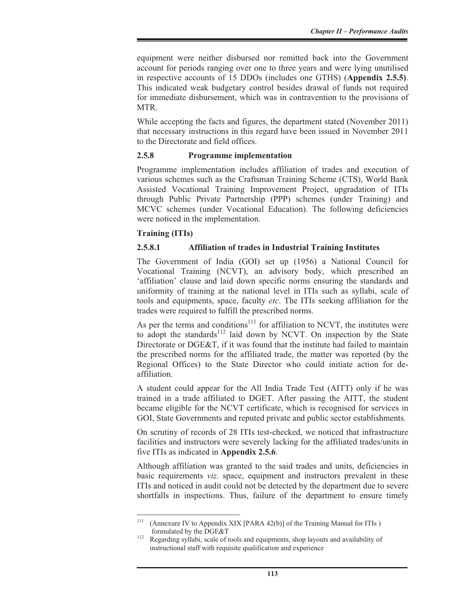equipment were neither disbursed nor remitted back into the Government account for periods ranging over one to three years and were lying unutilised in respective accounts of 15 DDOs (includes one GTHS) (**Appendix 2.5.5)**. This indicated weak budgetary control besides drawal of funds not required for immediate disbursement, which was in contravention to the provisions of MTR.

While accepting the facts and figures, the department stated (November 2011) that necessary instructions in this regard have been issued in November 2011 to the Directorate and field offices.

## **2.5.8 Programme implementation**

Programme implementation includes affiliation of trades and execution of various schemes such as the Craftsman Training Scheme (CTS), World Bank Assisted Vocational Training Improvement Project, upgradation of ITIs through Public Private Partnership (PPP) schemes (under Training) and MCVC schemes (under Vocational Education). The following deficiencies were noticed in the implementation.

# **Training (ITIs)**

## **2.5.8.1 Affiliation of trades in Industrial Training Institutes**

The Government of India (GOI) set up (1956) a National Council for Vocational Training (NCVT), an advisory body, which prescribed an 'affiliation' clause and laid down specific norms ensuring the standards and uniformity of training at the national level in ITIs such as syllabi, scale of tools and equipments, space, faculty *etc*. The ITIs seeking affiliation for the trades were required to fulfill the prescribed norms.

As per the terms and conditions<sup>111</sup> for affiliation to NCVT, the institutes were to adopt the standards<sup>112</sup> laid down by NCVT. On inspection by the State Directorate or DGE&T, if it was found that the institute had failed to maintain the prescribed norms for the affiliated trade, the matter was reported (by the Regional Offices) to the State Director who could initiate action for deaffiliation.

A student could appear for the All India Trade Test (AITT) only if he was trained in a trade affiliated to DGET. After passing the AITT, the student became eligible for the NCVT certificate, which is recognised for services in GOI, State Governments and reputed private and public sector establishments.

On scrutiny of records of 28 ITIs test-checked, we noticed that infrastructure facilities and instructors were severely lacking for the affiliated trades/units in five ITIs as indicated in **Appendix 2.5.6**.

Although affiliation was granted to the said trades and units, deficiencies in basic requirements *viz*. space, equipment and instructors prevalent in these ITIs and noticed in audit could not be detected by the department due to severe shortfalls in inspections. Thus, failure of the department to ensure timely

<sup>&</sup>lt;sup>111</sup> (Annexure IV to Appendix XIX [PARA 42(b)] of the Training Manual for ITIs ) formulated by the DGE&T<br><sup>112</sup> Regarding syllabi, scale of tools and equipments, shop layouts and availability of

instructional staff with requisite qualification and experience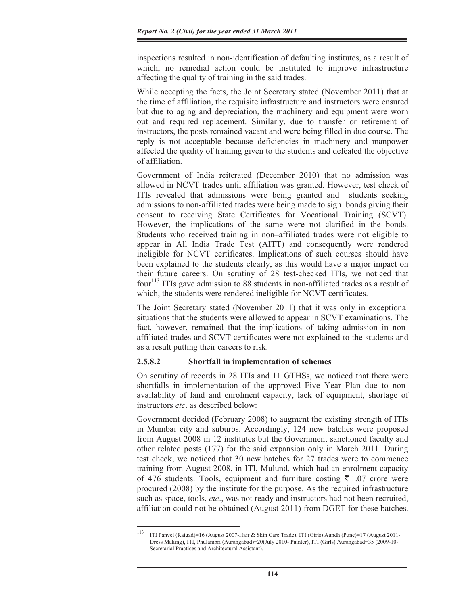inspections resulted in non-identification of defaulting institutes, as a result of which, no remedial action could be instituted to improve infrastructure affecting the quality of training in the said trades.

While accepting the facts, the Joint Secretary stated (November 2011) that at the time of affiliation, the requisite infrastructure and instructors were ensured but due to aging and depreciation, the machinery and equipment were worn out and required replacement. Similarly, due to transfer or retirement of instructors, the posts remained vacant and were being filled in due course. The reply is not acceptable because deficiencies in machinery and manpower affected the quality of training given to the students and defeated the objective of affiliation.

Government of India reiterated (December 2010) that no admission was allowed in NCVT trades until affiliation was granted. However, test check of ITIs revealed that admissions were being granted and students seeking admissions to non-affiliated trades were being made to sign bonds giving their consent to receiving State Certificates for Vocational Training (SCVT). However, the implications of the same were not clarified in the bonds. Students who received training in non–affiliated trades were not eligible to appear in All India Trade Test (AITT) and consequently were rendered ineligible for NCVT certificates. Implications of such courses should have been explained to the students clearly, as this would have a major impact on their future careers. On scrutiny of 28 test-checked ITIs, we noticed that four<sup>113</sup> ITIs gave admission to 88 students in non-affiliated trades as a result of which, the students were rendered ineligible for NCVT certificates.

The Joint Secretary stated (November 2011) that it was only in exceptional situations that the students were allowed to appear in SCVT examinations. The fact, however, remained that the implications of taking admission in nonaffiliated trades and SCVT certificates were not explained to the students and as a result putting their careers to risk.

#### **2.5.8.2 Shortfall in implementation of schemes**

On scrutiny of records in 28 ITIs and 11 GTHSs, we noticed that there were shortfalls in implementation of the approved Five Year Plan due to nonavailability of land and enrolment capacity, lack of equipment, shortage of instructors *etc*. as described below:

Government decided (February 2008) to augment the existing strength of ITIs in Mumbai city and suburbs. Accordingly, 124 new batches were proposed from August 2008 in 12 institutes but the Government sanctioned faculty and other related posts (177) for the said expansion only in March 2011. During test check, we noticed that 30 new batches for 27 trades were to commence training from August 2008, in ITI, Mulund, which had an enrolment capacity of 476 students. Tools, equipment and furniture costing  $\bar{\tau}$  1.07 crore were procured (2008) by the institute for the purpose. As the required infrastructure such as space, tools, *etc*., was not ready and instructors had not been recruited, affiliation could not be obtained (August 2011) from DGET for these batches.

<sup>113</sup> ITI Panvel (Raigad)=16 (August 2007-Hair & Skin Care Trade), ITI (Girls) Aundh (Pune)=17 (August 2011- Dress Making), ITI, Phulambri (Aurangabad)=20(July 2010- Painter), ITI (Girls) Aurangabad=35 (2009-10- Secretarial Practices and Architectural Assistant).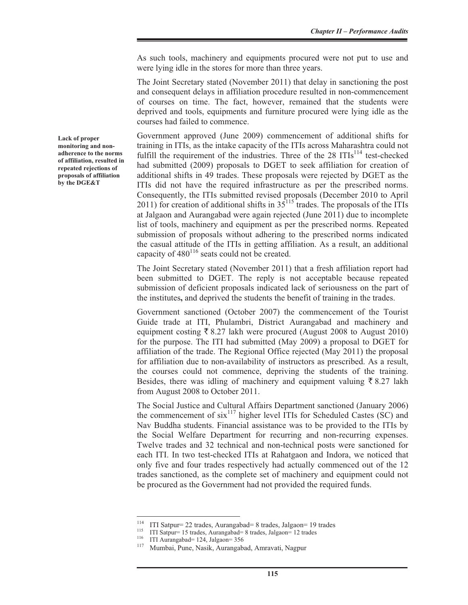As such tools, machinery and equipments procured were not put to use and were lying idle in the stores for more than three years.

The Joint Secretary stated (November 2011) that delay in sanctioning the post and consequent delays in affiliation procedure resulted in non-commencement of courses on time. The fact, however, remained that the students were deprived and tools, equipments and furniture procured were lying idle as the courses had failed to commence.

Government approved (June 2009) commencement of additional shifts for training in ITIs, as the intake capacity of the ITIs across Maharashtra could not fulfill the requirement of the industries. Three of the  $28$  ITIs<sup>114</sup> test-checked had submitted (2009) proposals to DGET to seek affiliation for creation of additional shifts in 49 trades. These proposals were rejected by DGET as the ITIs did not have the required infrastructure as per the prescribed norms. Consequently, the ITIs submitted revised proposals (December 2010 to April 2011) for creation of additional shifts in  $35^{115}$  trades. The proposals of the ITIs at Jalgaon and Aurangabad were again rejected (June 2011) due to incomplete list of tools, machinery and equipment as per the prescribed norms. Repeated submission of proposals without adhering to the prescribed norms indicated the casual attitude of the ITIs in getting affiliation. As a result, an additional capacity of  $480^{116}$  seats could not be created.

The Joint Secretary stated (November 2011) that a fresh affiliation report had been submitted to DGET. The reply is not acceptable because repeated submission of deficient proposals indicated lack of seriousness on the part of the institutes**,** and deprived the students the benefit of training in the trades.

Government sanctioned (October 2007) the commencement of the Tourist Guide trade at ITI, Phulambri, District Aurangabad and machinery and equipment costing  $\bar{\xi}$  8.27 lakh were procured (August 2008 to August 2010) for the purpose. The ITI had submitted (May 2009) a proposal to DGET for affiliation of the trade. The Regional Office rejected (May 2011) the proposal for affiliation due to non-availability of instructors as prescribed. As a result, the courses could not commence, depriving the students of the training. Besides, there was idling of machinery and equipment valuing  $\bar{\tau}$  8.27 lakh from August 2008 to October 2011.

The Social Justice and Cultural Affairs Department sanctioned (January 2006) the commencement of  $\sin^{117}$  higher level ITIs for Scheduled Castes (SC) and Nav Buddha students. Financial assistance was to be provided to the ITIs by the Social Welfare Department for recurring and non-recurring expenses. Twelve trades and 32 technical and non-technical posts were sanctioned for each ITI. In two test-checked ITIs at Rahatgaon and Indora, we noticed that only five and four trades respectively had actually commenced out of the 12 trades sanctioned, as the complete set of machinery and equipment could not be procured as the Government had not provided the required funds.

**Lack of proper monitoring and nonadherence to the norms of affiliation, resulted in repeated rejections of proposals of affiliation by the DGE&T** 

<sup>&</sup>lt;sup>114</sup> ITI Satpur= 22 trades, Aurangabad= 8 trades, Jalgaon= 19 trades<br>
ITI Satpur= 15 trades, Aurangabad= 8 trades, Jalgaon= 12 trades<br>
ITI Aurangabad= 124, Jalgaon= 356<br>
<sup>117</sup> Mumbai, Pune, Nasik, Aurangabad, Amravati, N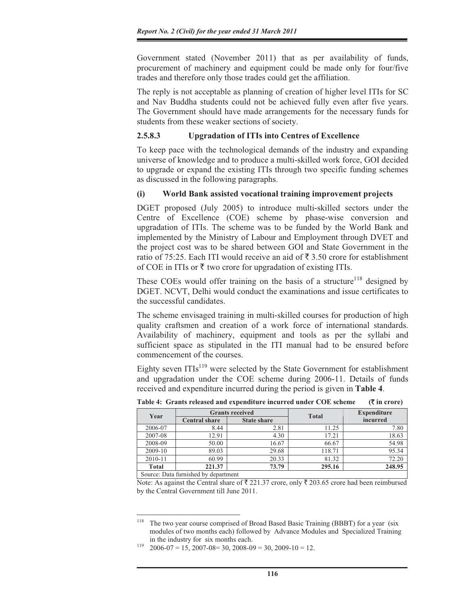Government stated (November 2011) that as per availability of funds, procurement of machinery and equipment could be made only for four/five trades and therefore only those trades could get the affiliation.

The reply is not acceptable as planning of creation of higher level ITIs for SC and Nav Buddha students could not be achieved fully even after five years. The Government should have made arrangements for the necessary funds for students from these weaker sections of society.

#### **2.5.8.3 Upgradation of ITIs into Centres of Excellence**

To keep pace with the technological demands of the industry and expanding universe of knowledge and to produce a multi-skilled work force, GOI decided to upgrade or expand the existing ITIs through two specific funding schemes as discussed in the following paragraphs.

#### **(i) World Bank assisted vocational training improvement projects**

DGET proposed (July 2005) to introduce multi-skilled sectors under the Centre of Excellence (COE) scheme by phase-wise conversion and upgradation of ITIs. The scheme was to be funded by the World Bank and implemented by the Ministry of Labour and Employment through DVET and the project cost was to be shared between GOI and State Government in the ratio of 75:25. Each ITI would receive an aid of  $\bar{\tau}$  3.50 crore for establishment of COE in ITIs or  $\bar{\tau}$  two crore for upgradation of existing ITIs.

These COEs would offer training on the basis of a structure<sup>118</sup> designed by DGET. NCVT, Delhi would conduct the examinations and issue certificates to the successful candidates.

The scheme envisaged training in multi-skilled courses for production of high quality craftsmen and creation of a work force of international standards. Availability of machinery, equipment and tools as per the syllabi and sufficient space as stipulated in the ITI manual had to be ensured before commencement of the courses.

Eighty seven  $ITIs<sup>119</sup>$  were selected by the State Government for establishment and upgradation under the COE scheme during 2006-11. Details of funds received and expenditure incurred during the period is given in **Table 4**.

| Year                                 |                                            | <b>Grants received</b> | <b>Total</b> | <b>Expenditure</b> |  |  |
|--------------------------------------|--------------------------------------------|------------------------|--------------|--------------------|--|--|
|                                      | <b>State share</b><br><b>Central share</b> |                        |              | incurred           |  |  |
| 2006-07                              | 8.44                                       | 2.81                   | 11.25        | 7.80               |  |  |
| 2007-08                              | 12.91                                      | 4.30                   | 17.21        | 18.63              |  |  |
| 2008-09                              | 50.00                                      | 16.67                  | 66.67        | 54.98              |  |  |
| 2009-10                              | 89.03                                      | 29.68                  | 118.71       | 95.34              |  |  |
| 2010-11                              | 60.99                                      | 20.33                  | 81.32        | 72.20              |  |  |
| <b>Total</b>                         | 221.37                                     | 73.79                  | 295.16       | 248.95             |  |  |
| Source: Data furnished by department |                                            |                        |              |                    |  |  |

**Table 4: Grants released and expenditure incurred under COE scheme (**` **in crore)** 

Note: As against the Central share of  $\bar{\tau}$  221.37 crore, only  $\bar{\tau}$  203.65 crore had been reimbursed by the Central Government till June 2011.

<sup>&</sup>lt;sup>118</sup> The two year course comprised of Broad Based Basic Training (BBBT) for a year (six modules of two months each) followed by Advance Modules and Specialized Training in the industry for six months each.<br>
<sup>119</sup> 2006-07 = 15, 2007-08= 30, 2008-09 = 30, 2009-10 = 12.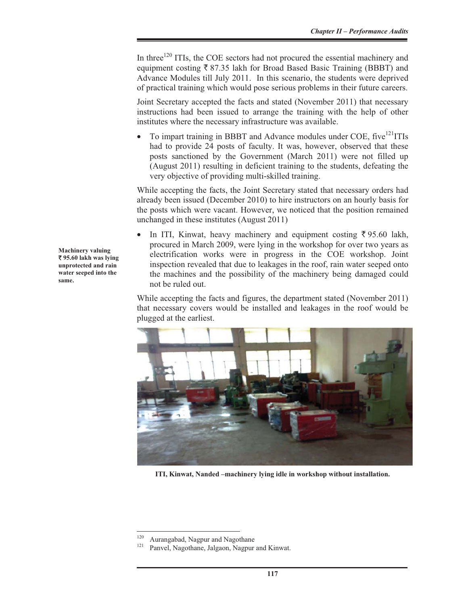In three<sup>120</sup> ITIs, the COE sectors had not procured the essential machinery and equipment costing  $\bar{\xi}$  87.35 lakh for Broad Based Basic Training (BBBT) and Advance Modules till July 2011. In this scenario, the students were deprived of practical training which would pose serious problems in their future careers.

Joint Secretary accepted the facts and stated (November 2011) that necessary instructions had been issued to arrange the training with the help of other institutes where the necessary infrastructure was available.

To impart training in BBBT and Advance modules under COE, five<sup>121</sup>ITIs had to provide 24 posts of faculty. It was, however, observed that these posts sanctioned by the Government (March 2011) were not filled up (August 2011) resulting in deficient training to the students, defeating the very objective of providing multi-skilled training.

While accepting the facts, the Joint Secretary stated that necessary orders had already been issued (December 2010) to hire instructors on an hourly basis for the posts which were vacant. However, we noticed that the position remained unchanged in these institutes (August 2011)

In ITI, Kinwat, heavy machinery and equipment costing  $\overline{\xi}$  95.60 lakh, procured in March 2009, were lying in the workshop for over two years as electrification works were in progress in the COE workshop. Joint inspection revealed that due to leakages in the roof, rain water seeped onto the machines and the possibility of the machinery being damaged could not be ruled out.

While accepting the facts and figures, the department stated (November 2011) that necessary covers would be installed and leakages in the roof would be plugged at the earliest.



**ITI, Kinwat, Nanded –machinery lying idle in workshop without installation.** 

**Machinery valuing**  ` **95.60 lakh was lying unprotected and rain water seeped into the same.**

<sup>&</sup>lt;sup>120</sup> Aurangabad, Nagpur and Nagothane  $121$  Panvel, Nagothane, Jalgaon, Nagpur and Kinwat.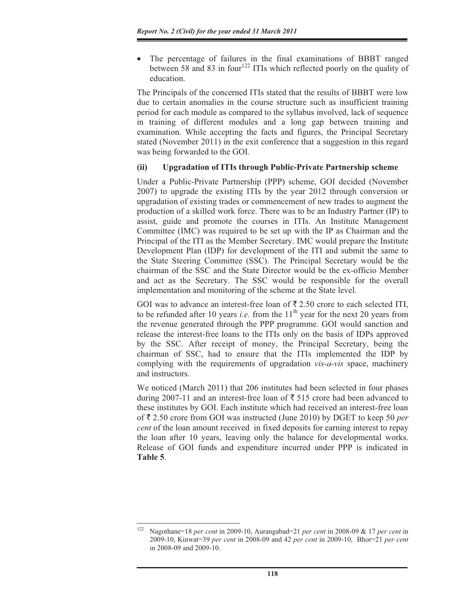The percentage of failures in the final examinations of BBBT ranged between 58 and 83 in four<sup>122</sup> ITIs which reflected poorly on the quality of education.

The Principals of the concerned ITIs stated that the results of BBBT were low due to certain anomalies in the course structure such as insufficient training period for each module as compared to the syllabus involved, lack of sequence in training of different modules and a long gap between training and examination. While accepting the facts and figures, the Principal Secretary stated (November 2011) in the exit conference that a suggestion in this regard was being forwarded to the GOI.

### **(ii) Upgradation of ITIs through Public-Private Partnership scheme**

Under a Public-Private Partnership (PPP) scheme, GOI decided (November 2007) to upgrade the existing ITIs by the year 2012 through conversion or upgradation of existing trades or commencement of new trades to augment the production of a skilled work force. There was to be an Industry Partner (IP) to assist, guide and promote the courses in ITIs. An Institute Management Committee (IMC) was required to be set up with the IP as Chairman and the Principal of the ITI as the Member Secretary. IMC would prepare the Institute Development Plan (IDP) for development of the ITI and submit the same to the State Steering Committee (SSC). The Principal Secretary would be the chairman of the SSC and the State Director would be the ex-officio Member and act as the Secretary. The SSC would be responsible for the overall implementation and monitoring of the scheme at the State level.

GOI was to advance an interest-free loan of  $\bar{\tau}$  2.50 crore to each selected ITI, to be refunded after 10 years *i.e.* from the  $11<sup>th</sup>$  year for the next 20 years from the revenue generated through the PPP programme. GOI would sanction and release the interest-free loans to the ITIs only on the basis of IDPs approved by the SSC. After receipt of money, the Principal Secretary, being the chairman of SSC, had to ensure that the ITIs implemented the IDP by complying with the requirements of upgradation *vis-a-vis* space, machinery and instructors.

We noticed (March 2011) that 206 institutes had been selected in four phases during 2007-11 and an interest-free loan of  $\bar{\tau}$  515 crore had been advanced to these institutes by GOI. Each institute which had received an interest-free loan of ` 2.50 crore from GOI was instructed (June 2010) by DGET to keep 50 *per cent* of the loan amount received in fixed deposits for earning interest to repay the loan after 10 years, leaving only the balance for developmental works. Release of GOI funds and expenditure incurred under PPP is indicated in **Table 5**.

<sup>122</sup> Nagothane=18 *per cent* in 2009-10, Aurangabad=21 *per cent* in 2008-09 & 17 *per cent* in 2009-10, Kinwat=39 *per cent* in 2008-09 and 42 *per cent* in 2009-10, Bhor=21 *per cent* in 2008-09 and 2009-10.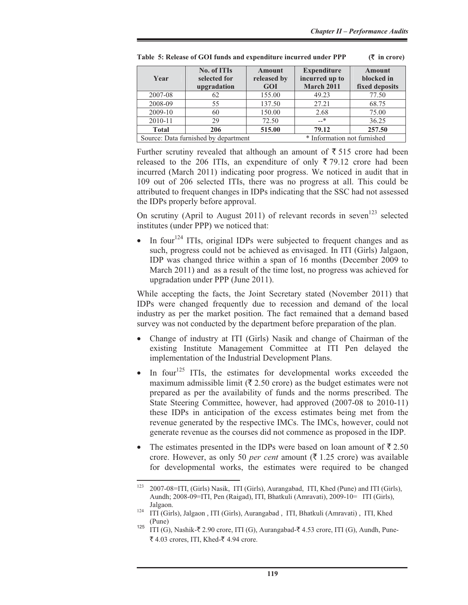| Year                                                                | No. of ITIs<br>selected for<br>upgradation | Amount<br>released by<br>GOI | <b>Expenditure</b><br>incurred up to<br>March 2011 | Amount<br>blocked in<br>fixed deposits |
|---------------------------------------------------------------------|--------------------------------------------|------------------------------|----------------------------------------------------|----------------------------------------|
| 2007-08                                                             | 62                                         | 155.00                       | 49.23                                              | 77.50                                  |
| 2008-09                                                             | 55                                         | 137.50                       | 27.21                                              | 68.75                                  |
| 2009-10                                                             | 60                                         | 150.00                       | 2.68                                               | 75.00                                  |
| 2010-11                                                             | 29                                         | 72.50                        | $-$ *                                              | 36.25                                  |
| <b>Total</b>                                                        | 206                                        | 515.00                       | 79.12                                              | 257.50                                 |
| * Information not furnished<br>Source: Data furnished by department |                                            |                              |                                                    |                                        |

**Table 5: Release of GOI funds and expenditure incurred under PPP (**` **in crore)** 

Further scrutiny revealed that although an amount of  $\bar{\tau}$  515 crore had been released to the 206 ITIs, an expenditure of only  $\overline{\xi}$  79.12 crore had been incurred (March 2011) indicating poor progress. We noticed in audit that in 109 out of 206 selected ITIs, there was no progress at all. This could be attributed to frequent changes in IDPs indicating that the SSC had not assessed the IDPs properly before approval.

On scrutiny (April to August 2011) of relevant records in seven<sup>123</sup> selected institutes (under PPP) we noticed that:

In four<sup>124</sup> ITIs, original IDPs were subjected to frequent changes and as such, progress could not be achieved as envisaged. In ITI (Girls) Jalgaon, IDP was changed thrice within a span of 16 months (December 2009 to March 2011) and as a result of the time lost, no progress was achieved for upgradation under PPP (June 2011).

While accepting the facts, the Joint Secretary stated (November 2011) that IDPs were changed frequently due to recession and demand of the local industry as per the market position. The fact remained that a demand based survey was not conducted by the department before preparation of the plan.

- x Change of industry at ITI (Girls) Nasik and change of Chairman of the existing Institute Management Committee at ITI Pen delayed the implementation of the Industrial Development Plans.
- In four<sup>125</sup> ITIs, the estimates for developmental works exceeded the maximum admissible limit ( $\bar{\tau}$  2.50 crore) as the budget estimates were not prepared as per the availability of funds and the norms prescribed. The State Steering Committee, however, had approved (2007-08 to 2010-11) these IDPs in anticipation of the excess estimates being met from the revenue generated by the respective IMCs. The IMCs, however, could not generate revenue as the courses did not commence as proposed in the IDP.
- The estimates presented in the IDPs were based on loan amount of  $\bar{\tau}$  2.50 crore. However, as only 50 *per cent* amount ( $\overline{\xi}$  1.25 crore) was available for developmental works, the estimates were required to be changed

<sup>123 2007-08=</sup>ITI, (Girls) Nasik, ITI (Girls), Aurangabad, ITI, Khed (Pune) and ITI (Girls), Aundh; 2008-09=ITI, Pen (Raigad), ITI, Bhatkuli (Amravati), 2009-10= ITI (Girls),

<sup>&</sup>lt;sup>124</sup> ITI (Girls), Jalgaon, ITI (Girls), Aurangabad, ITI, Bhatkuli (Amravati), ITI, Khed (Pune)<br>125 ITI (G), Nashik- $\bar{\tau}$  2.90 crore, ITI (G), Aurangabad- $\bar{\tau}$  4.53 crore, ITI (G), Aundh, Pune-

<sup>₹ 4.03</sup> crores, ITI, Khed-₹ 4.94 crore.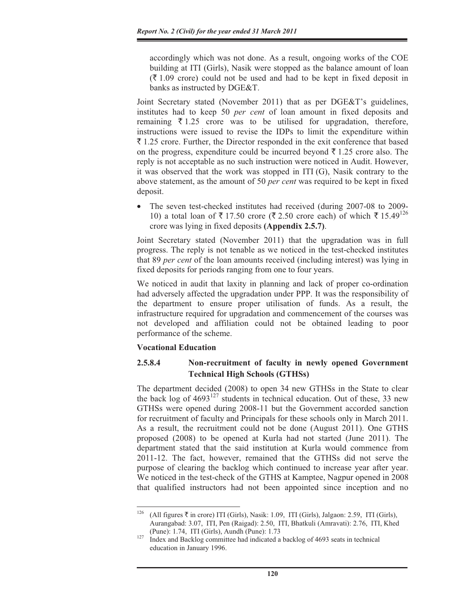accordingly which was not done. As a result, ongoing works of the COE building at ITI (Girls), Nasik were stopped as the balance amount of loan  $(\bar{\mathcal{F}} 1.09$  crore) could not be used and had to be kept in fixed deposit in banks as instructed by DGE&T.

Joint Secretary stated (November 2011) that as per DGE&T's guidelines, institutes had to keep 50 *per cent* of loan amount in fixed deposits and remaining  $\bar{\tau}$  1.25 crore was to be utilised for upgradation, therefore, instructions were issued to revise the IDPs to limit the expenditure within  $\bar{\tau}$  1.25 crore. Further, the Director responded in the exit conference that based on the progress, expenditure could be incurred beyond  $\bar{\tau}$  1.25 crore also. The reply is not acceptable as no such instruction were noticed in Audit. However, it was observed that the work was stopped in ITI (G), Nasik contrary to the above statement, as the amount of 50 *per cent* was required to be kept in fixed deposit.

• The seven test-checked institutes had received (during 2007-08 to 2009-10) a total loan of  $\bar{\tau}$  17.50 crore ( $\bar{\tau}$  2.50 crore each) of which  $\bar{\tau}$  15.49<sup>126</sup> crore was lying in fixed deposits **(Appendix 2.5.7)**.

Joint Secretary stated (November 2011) that the upgradation was in full progress. The reply is not tenable as we noticed in the test-checked institutes that 89 *per cent* of the loan amounts received (including interest) was lying in fixed deposits for periods ranging from one to four years.

We noticed in audit that laxity in planning and lack of proper co-ordination had adversely affected the upgradation under PPP. It was the responsibility of the department to ensure proper utilisation of funds. As a result, the infrastructure required for upgradation and commencement of the courses was not developed and affiliation could not be obtained leading to poor performance of the scheme.

### **Vocational Education**

# **2.5.8.4 Non-recruitment of faculty in newly opened Government Technical High Schools (GTHSs)**

The department decided (2008) to open 34 new GTHSs in the State to clear the back log of  $4693^{127}$  students in technical education. Out of these, 33 new GTHSs were opened during 2008-11 but the Government accorded sanction for recruitment of faculty and Principals for these schools only in March 2011. As a result, the recruitment could not be done (August 2011). One GTHS proposed (2008) to be opened at Kurla had not started (June 2011). The department stated that the said institution at Kurla would commence from 2011-12. The fact, however, remained that the GTHSs did not serve the purpose of clearing the backlog which continued to increase year after year. We noticed in the test-check of the GTHS at Kamptee, Nagpur opened in 2008 that qualified instructors had not been appointed since inception and no

<sup>&</sup>lt;sup>126</sup> (All figures  $\overline{\tau}$  in crore) ITI (Girls), Nasik: 1.09, ITI (Girls), Jalgaon: 2.59, ITI (Girls), Aurangabad: 3.07, ITI, Pen (Raigad): 2.50, ITI, Bhatkuli (Amravati): 2.76, ITI, Khed (Pune): 1.74, ITI (Girls), Aundh (Pune): 1.73<br><sup>127</sup> Index and Backlog committee had indicated a backlog of 4693 seats in technical

education in January 1996.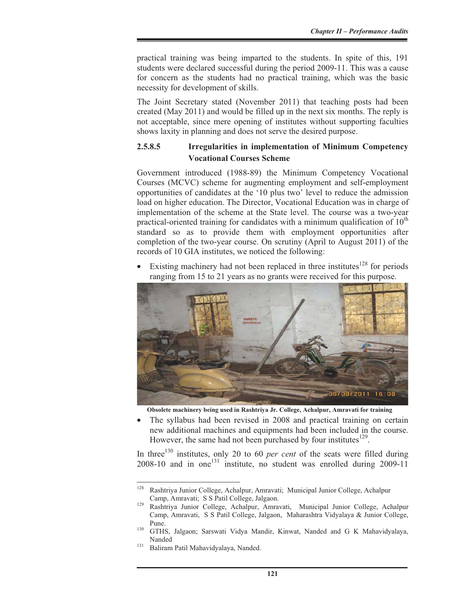practical training was being imparted to the students. In spite of this, 191 students were declared successful during the period 2009-11. This was a cause for concern as the students had no practical training, which was the basic necessity for development of skills.

The Joint Secretary stated (November 2011) that teaching posts had been created (May 2011) and would be filled up in the next six months. The reply is not acceptable, since mere opening of institutes without supporting faculties shows laxity in planning and does not serve the desired purpose.

# **2.5.8.5 Irregularities in implementation of Minimum Competency Vocational Courses Scheme**

Government introduced (1988-89) the Minimum Competency Vocational Courses (MCVC) scheme for augmenting employment and self-employment opportunities of candidates at the '10 plus two' level to reduce the admission load on higher education. The Director, Vocational Education was in charge of implementation of the scheme at the State level. The course was a two-year practical-oriented training for candidates with a minimum qualification of  $10<sup>th</sup>$ standard so as to provide them with employment opportunities after completion of the two-year course. On scrutiny (April to August 2011) of the records of 10 GIA institutes, we noticed the following:

Existing machinery had not been replaced in three institutes<sup>128</sup> for periods ranging from 15 to 21 years as no grants were received for this purpose.



**Obsolete machinery being used in Rashtriya Jr. College, Achalpur, Amravati for training** 

The syllabus had been revised in 2008 and practical training on certain new additional machines and equipments had been included in the course. However, the same had not been purchased by four institutes $^{129}$ .

In three<sup>130</sup> institutes, only 20 to 60 *per cent* of the seats were filled during 2008-10 and in one<sup>131</sup> institute, no student was enrolled during 2009-11

<sup>128</sup> Rashtriya Junior College, Achalpur, Amravati; Municipal Junior College, Achalpur Camp, Amravati; S S Patil College, Jalgaon. 129 Rashtriya Junior College, Achalpur, Amravati, Municipal Junior College, Achalpur

Camp, Amravati, S S Patil College, Jalgaon, Maharashtra Vidyalaya & Junior College,

Pune. 130 GTHS, Jalgaon; Sarswati Vidya Mandir, Kinwat, Nanded and G K Mahavidyalaya, Nanded<br><sup>131</sup> Baliram Patil Mahavidyalaya, Nanded.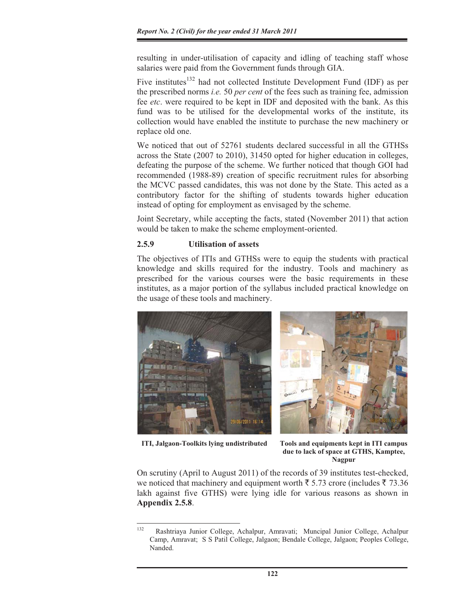resulting in under-utilisation of capacity and idling of teaching staff whose salaries were paid from the Government funds through GIA.

Five institutes<sup>132</sup> had not collected Institute Development Fund (IDF) as per the prescribed norms *i.e.* 50 *per cent* of the fees such as training fee, admission fee *etc*. were required to be kept in IDF and deposited with the bank. As this fund was to be utilised for the developmental works of the institute, its collection would have enabled the institute to purchase the new machinery or replace old one.

We noticed that out of 52761 students declared successful in all the GTHSs across the State (2007 to 2010), 31450 opted for higher education in colleges, defeating the purpose of the scheme. We further noticed that though GOI had recommended (1988-89) creation of specific recruitment rules for absorbing the MCVC passed candidates, this was not done by the State. This acted as a contributory factor for the shifting of students towards higher education instead of opting for employment as envisaged by the scheme.

Joint Secretary, while accepting the facts, stated (November 2011) that action would be taken to make the scheme employment-oriented.

### **2.5.9 Utilisation of assets**

The objectives of ITIs and GTHSs were to equip the students with practical knowledge and skills required for the industry. Tools and machinery as prescribed for the various courses were the basic requirements in these institutes, as a major portion of the syllabus included practical knowledge on the usage of these tools and machinery.



**ITI, Jalgaon-Toolkits lying undistributed Tools and equipments kept in ITI campus** 



**due to lack of space at GTHS, Kamptee, Nagpur** 

On scrutiny (April to August 2011) of the records of 39 institutes test-checked, we noticed that machinery and equipment worth  $\bar{\xi}$  5.73 crore (includes  $\bar{\xi}$  73.36 lakh against five GTHS) were lying idle for various reasons as shown in **Appendix 2.5.8**.

<sup>132</sup> Rashtriaya Junior College, Achalpur, Amravati; Muncipal Junior College, Achalpur Camp, Amravat; S S Patil College, Jalgaon; Bendale College, Jalgaon; Peoples College, Nanded.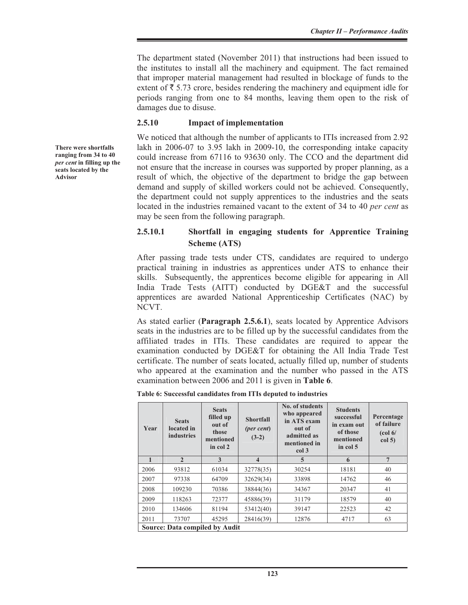The department stated (November 2011) that instructions had been issued to the institutes to install all the machinery and equipment. The fact remained that improper material management had resulted in blockage of funds to the extent of  $\bar{\tau}$  5.73 crore, besides rendering the machinery and equipment idle for periods ranging from one to 84 months, leaving them open to the risk of damages due to disuse.

### **2.5.10 Impact of implementation**

We noticed that although the number of applicants to ITIs increased from 2.92 lakh in 2006-07 to 3.95 lakh in 2009-10, the corresponding intake capacity could increase from 67116 to 93630 only. The CCO and the department did not ensure that the increase in courses was supported by proper planning, as a result of which, the objective of the department to bridge the gap between demand and supply of skilled workers could not be achieved. Consequently, the department could not supply apprentices to the industries and the seats located in the industries remained vacant to the extent of 34 to 40 *per cent* as may be seen from the following paragraph.

# **2.5.10.1 Shortfall in engaging students for Apprentice Training Scheme (ATS)**

After passing trade tests under CTS, candidates are required to undergo practical training in industries as apprentices under ATS to enhance their skills. Subsequently, the apprentices become eligible for appearing in All India Trade Tests (AITT) conducted by DGE&T and the successful apprentices are awarded National Apprenticeship Certificates (NAC) by NCVT.

As stated earlier (**Paragraph 2.5.6.1**), seats located by Apprentice Advisors seats in the industries are to be filled up by the successful candidates from the affiliated trades in ITIs. These candidates are required to appear the examination conducted by DGE&T for obtaining the All India Trade Test certificate. The number of seats located, actually filled up, number of students who appeared at the examination and the number who passed in the ATS examination between 2006 and 2011 is given in **Table 6**.

**Table 6: Successful candidates from ITIs deputed to industries** 

| Year         | <b>Seats</b><br>located in<br><b>industries</b> | <b>Seats</b><br>filled up<br>out of<br>those<br>mentioned<br>in col 2 | <b>Shortfall</b><br>(per cent)<br>$(3-2)$ | No. of students<br>who appeared<br>in ATS exam<br>out of<br>admitted as<br>mentioned in<br>col 3 | <b>Students</b><br>successful<br>in exam out<br>of those<br>mentioned<br>in col 5 | Percentage<br>of failure<br>$\left(\text{col } 6\right)$<br>col <sub>5</sub> |  |
|--------------|-------------------------------------------------|-----------------------------------------------------------------------|-------------------------------------------|--------------------------------------------------------------------------------------------------|-----------------------------------------------------------------------------------|------------------------------------------------------------------------------|--|
| $\mathbf{1}$ | $\overline{2}$                                  | 3                                                                     | $\overline{\mathbf{4}}$                   | 5                                                                                                | 6                                                                                 | $7\phantom{.0}$                                                              |  |
| 2006         | 93812                                           | 61034                                                                 | 32778(35)                                 | 30254                                                                                            | 18181                                                                             | 40                                                                           |  |
| 2007         | 97338                                           | 64709                                                                 | 32629(34)                                 | 33898                                                                                            | 14762                                                                             | 46                                                                           |  |
| 2008         | 109230                                          | 70386                                                                 | 38844(36)                                 | 34367                                                                                            | 20347                                                                             | 41                                                                           |  |
| 2009         | 118263                                          | 72377                                                                 | 45886(39)                                 | 31179                                                                                            | 18579                                                                             | 40                                                                           |  |
| 2010         | 134606                                          | 81194                                                                 | 53412(40)                                 | 39147                                                                                            | 22523                                                                             | 42                                                                           |  |
| 2011         | 73707                                           | 45295                                                                 | 28416(39)                                 | 12876                                                                                            | 4717                                                                              | 63                                                                           |  |
|              | <b>Source: Data compiled by Audit</b>           |                                                                       |                                           |                                                                                                  |                                                                                   |                                                                              |  |

**There were shortfalls ranging from 34 to 40**  *per cent* **in filling up the seats located by the Advisor**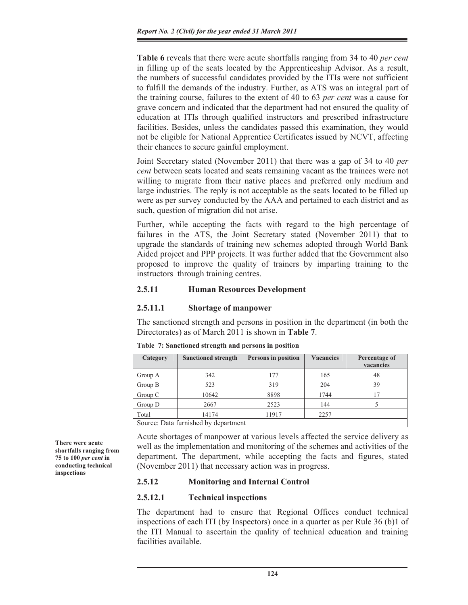**Table 6** reveals that there were acute shortfalls ranging from 34 to 40 *per cent* in filling up of the seats located by the Apprenticeship Advisor. As a result, the numbers of successful candidates provided by the ITIs were not sufficient to fulfill the demands of the industry. Further, as ATS was an integral part of the training course, failures to the extent of 40 to 63 *per cent* was a cause for grave concern and indicated that the department had not ensured the quality of education at ITIs through qualified instructors and prescribed infrastructure facilities. Besides, unless the candidates passed this examination, they would not be eligible for National Apprentice Certificates issued by NCVT, affecting their chances to secure gainful employment.

Joint Secretary stated (November 2011) that there was a gap of 34 to 40 *per cent* between seats located and seats remaining vacant as the trainees were not willing to migrate from their native places and preferred only medium and large industries. The reply is not acceptable as the seats located to be filled up were as per survey conducted by the AAA and pertained to each district and as such, question of migration did not arise.

Further, while accepting the facts with regard to the high percentage of failures in the ATS, the Joint Secretary stated (November 2011) that to upgrade the standards of training new schemes adopted through World Bank Aided project and PPP projects. It was further added that the Government also proposed to improve the quality of trainers by imparting training to the instructors through training centres.

### **2.5.11 Human Resources Development**

### **2.5.11.1 Shortage of manpower**

The sanctioned strength and persons in position in the department (in both the Directorates) as of March 2011 is shown in **Table 7**.

| Category                             | <b>Sanctioned strength</b> | Persons in position | <b>Vacancies</b> | Percentage of<br>vacancies |  |
|--------------------------------------|----------------------------|---------------------|------------------|----------------------------|--|
| Group A                              | 342                        | 177                 | 165              | 48                         |  |
| Group B                              | 523                        | 319                 | 204              | 39                         |  |
| Group C                              | 10642                      | 8898                | 1744             | 17                         |  |
| Group D                              | 2667                       | 2523                | 144              |                            |  |
| Total                                | 14174                      | 11917               | 2257             |                            |  |
| Source: Data furnished by department |                            |                     |                  |                            |  |

**Table 7: Sanctioned strength and persons in position** 

Acute shortages of manpower at various levels affected the service delivery as well as the implementation and monitoring of the schemes and activities of the department. The department, while accepting the facts and figures, stated (November 2011) that necessary action was in progress.

### **2.5.12 Monitoring and Internal Control**

### **2.5.12.1 Technical inspections**

The department had to ensure that Regional Offices conduct technical inspections of each ITI (by Inspectors) once in a quarter as per Rule 36 (b)1 of the ITI Manual to ascertain the quality of technical education and training facilities available.

**There were acute shortfalls ranging from 75 to 100** *per cent* **in conducting technical inspections**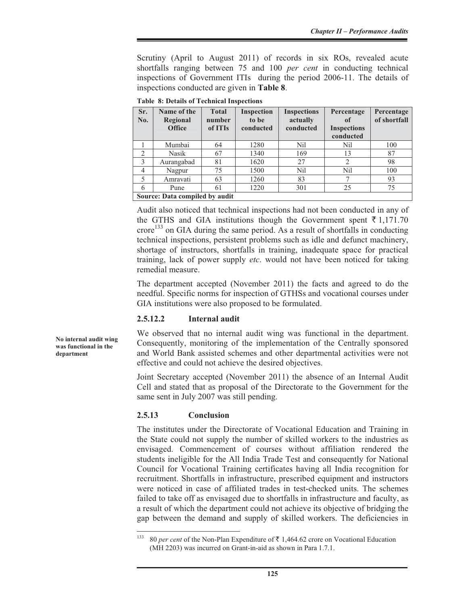Scrutiny (April to August 2011) of records in six ROs, revealed acute shortfalls ranging between 75 and 100 *per cent* in conducting technical inspections of Government ITIs during the period 2006-11. The details of inspections conducted are given in **Table 8**.

| Sr.<br>No.     | Name of the<br>Regional<br><b>Office</b> | <b>Total</b><br>number<br>of ITIs | <b>Inspection</b><br>to be<br>conducted | <b>Inspections</b><br>actually<br>conducted | Percentage<br>of<br><b>Inspections</b><br>conducted | Percentage<br>of shortfall |  |
|----------------|------------------------------------------|-----------------------------------|-----------------------------------------|---------------------------------------------|-----------------------------------------------------|----------------------------|--|
|                | Mumbai                                   | 64                                | 1280                                    | Nil                                         | Nil                                                 | 100                        |  |
| $\mathfrak{D}$ | Nasik                                    | 67                                | 1340                                    | 169                                         | 13                                                  | 87                         |  |
| 3              | Aurangabad                               | 81                                | 1620                                    | 27                                          | 2                                                   | 98                         |  |
| $\overline{4}$ | Nagpur                                   | 75                                | 1500                                    | Nil                                         | Nil                                                 | 100                        |  |
| 5              | Amravati                                 | 63                                | 1260                                    | 83                                          |                                                     | 93                         |  |
| 6              | Pune                                     | 61                                | 1220                                    | 301                                         | 25                                                  | 75                         |  |
|                | Source: Data compiled by audit           |                                   |                                         |                                             |                                                     |                            |  |

**Table 8: Details of Technical Inspections** 

**Source: Data compiled by audit** 

Audit also noticed that technical inspections had not been conducted in any of the GTHS and GIA institutions though the Government spent  $\bar{\tau}$  1,171.70  $\text{core}^{133}$  on GIA during the same period. As a result of shortfalls in conducting technical inspections, persistent problems such as idle and defunct machinery, shortage of instructors, shortfalls in training, inadequate space for practical training, lack of power supply *etc*. would not have been noticed for taking remedial measure.

The department accepted (November 2011) the facts and agreed to do the needful. Specific norms for inspection of GTHSs and vocational courses under GIA institutions were also proposed to be formulated.

### **2.5.12.2 Internal audit**

We observed that no internal audit wing was functional in the department. Consequently, monitoring of the implementation of the Centrally sponsored and World Bank assisted schemes and other departmental activities were not effective and could not achieve the desired objectives.

Joint Secretary accepted (November 2011) the absence of an Internal Audit Cell and stated that as proposal of the Directorate to the Government for the same sent in July 2007 was still pending.

### **2.5.13 Conclusion**

The institutes under the Directorate of Vocational Education and Training in the State could not supply the number of skilled workers to the industries as envisaged. Commencement of courses without affiliation rendered the students ineligible for the All India Trade Test and consequently for National Council for Vocational Training certificates having all India recognition for recruitment. Shortfalls in infrastructure, prescribed equipment and instructors were noticed in case of affiliated trades in test-checked units. The schemes failed to take off as envisaged due to shortfalls in infrastructure and faculty, as a result of which the department could not achieve its objective of bridging the gap between the demand and supply of skilled workers. The deficiencies in

**No internal audit wing was functional in the department**

<sup>&</sup>lt;sup>133</sup> 80 *per cent* of the Non-Plan Expenditure of  $\bar{\tau}$  1,464.62 crore on Vocational Education (MH 2203) was incurred on Grant-in-aid as shown in Para 1.7.1.